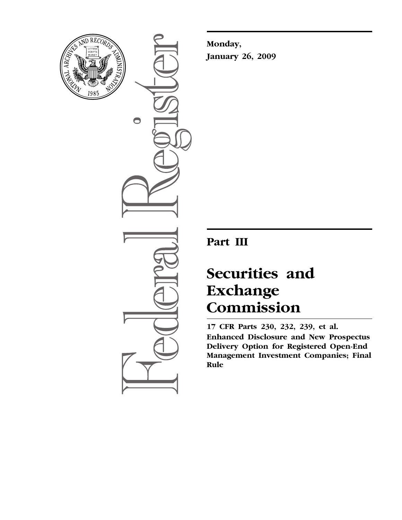

 $\bullet$ 

**Monday, January 26, 2009** 

# **Part III**

# **Securities and Exchange Commission**

**17 CFR Parts 230, 232, 239, et al. Enhanced Disclosure and New Prospectus Delivery Option for Registered Open-End Management Investment Companies; Final Rule**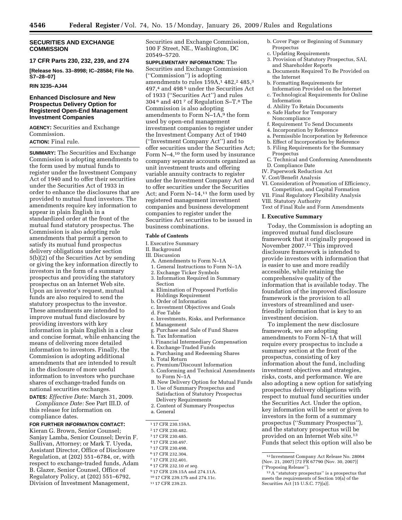# **SECURITIES AND EXCHANGE COMMISSION**

# **17 CFR Parts 230, 232, 239, and 274**

**[Release Nos. 33–8998; IC–28584; File No. S7–28–07]** 

# **RIN 3235–AJ44**

# **Enhanced Disclosure and New Prospectus Delivery Option for Registered Open-End Management Investment Companies**

**AGENCY:** Securities and Exchange Commission. **ACTION:** Final rule.

**SUMMARY:** The Securities and Exchange Commission is adopting amendments to the form used by mutual funds to register under the Investment Company Act of 1940 and to offer their securities under the Securities Act of 1933 in order to enhance the disclosures that are provided to mutual fund investors. The amendments require key information to appear in plain English in a standardized order at the front of the mutual fund statutory prospectus. The Commission is also adopting rule amendments that permit a person to satisfy its mutual fund prospectus delivery obligations under section 5(b)(2) of the Securities Act by sending or giving the key information directly to investors in the form of a summary prospectus and providing the statutory prospectus on an Internet Web site. Upon an investor's request, mutual funds are also required to send the statutory prospectus to the investor. These amendments are intended to improve mutual fund disclosure by providing investors with key information in plain English in a clear and concise format, while enhancing the means of delivering more detailed information to investors. Finally, the Commission is adopting additional amendments that are intended to result in the disclosure of more useful information to investors who purchase shares of exchange-traded funds on national securities exchanges.

**DATES:** *Effective Date:* March 31, 2009.

*Compliance Date:* See Part III.D. of this release for information on compliance dates.

# **FOR FURTHER INFORMATION CONTACT:**

Kieran G. Brown, Senior Counsel; Sanjay Lamba, Senior Counsel; Devin F. Sullivan, Attorney; or Mark T. Uyeda, Assistant Director, Office of Disclosure Regulation, at (202) 551–6784, or, with respect to exchange-traded funds, Adam B. Glazer, Senior Counsel, Office of Regulatory Policy, at (202) 551–6792, Division of Investment Management,

Securities and Exchange Commission, 100 F Street, NE., Washington, DC 20549–5720.

**SUPPLEMENTARY INFORMATION:** The Securities and Exchange Commission (''Commission'') is adopting amendments to rules  $159A, 1482, 2485, 3$ 497,4 and 498 5 under the Securities Act of 1933 (''Securities Act'') and rules 304 6 and 401 7 of Regulation S–T.8 The Commission is also adopting amendments to Form  $N-1A$ ,<sup>9</sup> the form used by open-end management investment companies to register under the Investment Company Act of 1940 (''Investment Company Act'') and to offer securities under the Securities Act; Form N–4,10 the form used by insurance company separate accounts organized as unit investment trusts and offering variable annuity contracts to register under the Investment Company Act and to offer securities under the Securities Act; and Form N-14,<sup>11</sup> the form used by registered management investment companies and business development companies to register under the Securities Act securities to be issued in business combinations.

#### **Table of Contents**

- I. Executive Summary
- II. Background
- III. Discussion
	- A. Amendments to Form N–1A 1. General Instructions to Form N–1A
	- 2. Exchange Ticker Symbols
	- 3. Information Required in Summary
	- Section a. Elimination of Proposed Portfolio Holdings Requirement
	- b. Order of Information
	- c. Investment Objectives and Goals
	- d. Fee Table
	- e. Investments, Risks, and Performance
	- f. Management
	- g. Purchase and Sale of Fund Shares
	- h. Tax Information
	- i. Financial Intermediary Compensation
	- 4. Exchange-Traded Funds a. Purchasing and Redeeming Shares
	- b. Total Return
	- c. Premium/Discount Information
	- 5. Conforming and Technical Amendments to Form N–1A
	- B. New Delivery Option for Mutual Funds
	- 1. Use of Summary Prospectus and Satisfaction of Statutory Prospectus Delivery Requirements
- 2. Content of Summary Prospectus a. General

- 2 17 CFR 230.482.
- 3 17 CFR 230.485.
- 4 17 CFR 230.497.
- 5 17 CFR 230.498.

- 7 17 CFR 232.401.
- 8 17 CFR 232.10 *et seq.*
- 9 17 CFR 239.15A and 274.11A.
- 10 17 CFR 239.17b and 274.11c.

11 17 CFR 239.23.

- b. Cover Page or Beginning of Summary
- **Prospectus**
- c. Updating Requirements
- 3. Provision of Statutory Prospectus, SAI, and Shareholder Reports
- a. Documents Required To Be Provided on the Internet
- b. Formatting Requirements for
- Information Provided on the Internet c. Technological Requirements for Online Information
- d. Ability To Retain Documents
- e. Safe Harbor for Temporary Noncompliance
- f. Requirement To Send Documents
- 4. Incorporation by Reference
- a. Permissible Incorporation by Reference
- b. Effect of Incorporation by Reference
- 5. Filing Requirements for the Summary Prospectus
- C. Technical and Conforming Amendments
- D. Compliance Date
- IV. Paperwork Reduction Act
- V. Cost/Benefit Analysis
- VI. Consideration of Promotion of Efficiency, Competition, and Capital Formation
- VII. Final Regulatory Flexibility Analysis
- VIII. Statutory Authority
- Text of Final Rule and Form Amendments

# **I. Executive Summary**

Today, the Commission is adopting an improved mutual fund disclosure framework that it originally proposed in November 2007.12 This improved disclosure framework is intended to provide investors with information that is easier to use and more readily accessible, while retaining the comprehensive quality of the information that is available today. The foundation of the improved disclosure framework is the provision to all investors of streamlined and userfriendly information that is key to an investment decision.

To implement the new disclosure framework, we are adopting amendments to Form N–1A that will require every prospectus to include a summary section at the front of the prospectus, consisting of key information about the fund, including investment objectives and strategies, risks, costs, and performance. We are also adopting a new option for satisfying prospectus delivery obligations with respect to mutual fund securities under the Securities Act. Under the option, key information will be sent or given to investors in the form of a summary prospectus (''Summary Prospectus''), and the statutory prospectus will be provided on an Internet Web site.13 Funds that select this option will also be

<sup>1 17</sup> CFR 230.159A.

<sup>6 17</sup> CFR 232.304.

<sup>12</sup> Investment Company Act Release No. 28064 (Nov. 21, 2007) [72 FR 67790 (Nov. 30, 2007)] (''Proposing Release'').

<sup>&</sup>lt;sup>13</sup> A "statutory prospectus" is a prospectus that meets the requirements of Section 10(a) of the Securities Act [15 U.S.C. 77j(a)].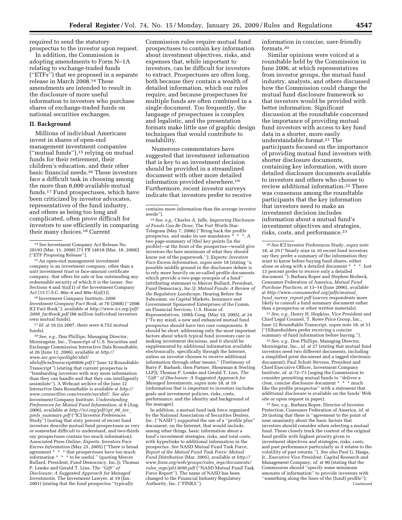required to send the statutory prospectus to the investor upon request.

In addition, the Commission is adopting amendments to Form N–1A relating to exchange-traded funds (''ETFs'') that we proposed in a separate release in March 2008.14 These amendments are intended to result in the disclosure of more useful information to investors who purchase shares of exchange-traded funds on national securities exchanges.

#### **II. Background**

Millions of individual Americans invest in shares of open-end management investment companies (''mutual funds''),15 relying on mutual funds for their retirement, their children's education, and their other basic financial needs.16 These investors face a difficult task in choosing among the more than 8,000 available mutual funds.17 Fund prospectuses, which have been criticized by investor advocates, representatives of the fund industry, and others as being too long and complicated, often prove difficult for investors to use efficiently in comparing their many choices.18 Current

15 An open-end management investment company is an investment company, other than a unit investment trust or face-amount certificate company, that offers for sale or has outstanding any redeemable security of which it is the issuer. *See*  Sections 4 and 5(a)(1) of the Investment Company Act [15 U.S.C. 80a–4 and 80a–5(a)(1)].

16 Investment Company Institute, *2008 Investment Company Fact Book,* at 70 (2008) (''2008 ICI Fact Book''), available at *http://www.ici.org/pdf/ 2008*\_*factbook.pdf* (88 million individual investors own mutual funds).

17 *Id.* at 16 (in 2007, there were 8,752 mutual funds).

18 *See, e.g.*, Don Phillips, Managing Director, Morningstar, Inc., Transcript of U.S. Securities and Exchange Commission Interactive Data Roundtable, at 26 (June 12, 2006), available at *http:// www.sec.gov/spotlight/xbrl/* 

*xbrlofficialtranscript0606.pdf* (''June 12 Roundtable Transcript'') (stating that current prospectus is ''bombarding investors with way more information than they can handle and that they can intelligently assimilate''). A Webcast archive of the June 12 Interactive Data Roundtable is available at *http:// www.connectlive.com/events/secxbrl/. See also*  Investment Company Institute, *Understanding Preferences for Mutual Fund Information,* at 8 (Aug. 2006), available at *http://ici.org/pdf/rpt*\_*06*\_*inv*\_ *prefs*\_*summary.pdf* (''ICI Investor Preferences Study'') (noting that sixty percent of recent fund investors describe mutual fund prospectuses as very or somewhat difficult to understand, and two-thirds say prospectuses contain too much information); Associated Press Online, *Experts: Investors Face Excess Information* (May 25, 2005) (''There is broad agreement \* \* \* that prospectuses have too much information \* \* \* to be useful.'' (quoting Mercer Bullard, President, Fund Democracy, Inc.)); Thomas P. Lemke and Gerald T. Lins, *The ''Gift'' of Disclosure: A Suggested Approach for Managed Investments,* The Investment Lawyer, at 19 (Jan. 2001) (stating that the fund prospectus ''typically

Commission rules require mutual fund prospectuses to contain key information about investment objectives, risks, and expenses that, while important to investors, can be difficult for investors to extract. Prospectuses are often long, both because they contain a wealth of detailed information, which our rules require, and because prospectuses for multiple funds are often combined in a single document. Too frequently, the language of prospectuses is complex and legalistic, and the presentation formats make little use of graphic design techniques that would contribute to readability.

Numerous commentators have suggested that investment information that is key to an investment decision should be provided in a streamlined document with other more detailed information provided elsewhere.19 Furthermore, recent investor surveys indicate that investors prefer to receive

19 *See, e.g.*, Charles A. Jaffe, *Improving Disclosure of Funds Can Be Done*, The Fort Worth Star-Telegram (May 7, 2006) (''Bring back the profile prospectus, and make its use mandatory \* \* \*. A two page-summary of [the] key points [in the profile]—at the front of the prospectus—would give investors the bare minimum of what they should know out of the paperwork.''); *Experts: Investors Face Excess Information, supra* note 18 (stating ''a possible middle ground in the disclosure debate is to rely more heavily on so-called profile documents which provide a two-page synopsis of a fund'' (attributing statement to Mercer Bullard, President, Fund Democracy, Inc.)); *Mutual Funds: A Review of the Regulatory Landscape*, Hearing Before the Subcomm. on Capital Markets, Insurance and Government Sponsored Enterprises of the Comm. on Financial Services, U.S. House of Representatives, 109th Cong. (May 10, 2005), at 24 (''To my mind, a new and enhanced mutual fund prospectus should have two core components. It should be short, addressing only the most important factors about which typical fund investors care in making investment decisions, and it should be supplemented by additional information available electronically, specifically through the Internet, unless an investor chooses to receive additional information through other means.'' (Testimony of Barry P. Barbash, then Partner, Shearman & Sterling LLP)); Thomas P. Lemke and Gerald T. Lins, *The ''Gift'' of Disclosure: A Suggested Approach for Managed Investments, supra* note 18, at 19 (information that is important to investors includes goals and investment policies, risks, costs, performance, and the identity and background of the manager).

In addition, a mutual fund task force organized by the National Association of Securities Dealers, Inc. (''NASD'') supported the use of a ''profile plus'' document, on the Internet, that would include, among other things, basic information about a fund's investment strategies, risks, and total costs, with hyperlinks to additional information in the prospectus. *See* NASD Mutual Fund Task Force, *Report of the Mutual Fund Task Force: Mutual Fund Distribution* (Mar. 2005), available at *http:// www.finra.org/web/groups/rules*\_*regs/documents/ rules*\_*regs/p013690.pdf* (''NASD Mutual Fund Task Force Report"). The name of NASD has been changed to the Financial Industry Regulatory Authority, Inc. (''FINRA'').

information in concise, user-friendly formats.20

Similar opinions were voiced at a roundtable held by the Commission in June 2006, at which representatives from investor groups, the mutual fund industry, analysts, and others discussed how the Commission could change the mutual fund disclosure framework so that investors would be provided with better information. Significant discussion at the roundtable concerned the importance of providing mutual fund investors with access to key fund data in a shorter, more easily understandable format.21 The participants focused on the importance of providing mutual fund investors with shorter disclosure documents, containing key information, with more detailed disclosure documents available to investors and others who choose to review additional information.22 There was consensus among the roundtable participants that the key information that investors need to make an investment decision includes information about a mutual fund's investment objectives and strategies, risks, costs, and performance.23

21 *See, e.g.*, Henry H. Hopkins, Vice President and Chief Legal Counsel, T. Rowe Price Group, Inc., June 12 Roundtable Transcript, *supra* note 18, at 31 (''[S]hareholders prefer receiving a concise summary of fund information before buying.'').

22 *See, e.g.*, Don Phillips, Managing Director, Morningstar, Inc., *id.* at 27 (stating that mutual fund investors need two different documents, including a simplified print document and a tagged electronic document); Paul Schott Stevens, President and Chief Executive Officer, Investment Company Institute, *id.* at 72–73 (urging the Commission to consider permitting mutual funds to ''deliver a clear, concise disclosure document \* \* \* much like the profile prospectus'' with a statement that additional disclosure is available on the funds' Web site or upon request in paper).

23 *See, e.g.*, Barbara Roper, Director of Investor Protection, Consumer Federation of America, *id.* at 20 (noting that there is ''agreement to the point of near unanimity about the basic factors that investors should consider when selecting a mutual fund. These closely track the content of the original fund profile with highest priority given to investment objectives and strategies, risks, costs, and past performance particularly as it relates to the volatility of past returns.''). *See also* Paul G. Haaga, Jr., Executive Vice President, Capital Research and Management Company, *id.* at 90 (stating that the Commission should ''specify some minimum amounts of information'' to provide investors with ''something along the lines of the [fund] profile''); Continued

<sup>14</sup> *See* Investment Company Act Release No. 28193 (Mar. 11, 2008) [73 FR 14618 (Mar. 18, 2008)] (''ETF Proposing Release'').

contains more information than the average investor needs'').

<sup>20</sup> *See* ICI Investor Preferences Study, *supra* note 18, at 29 (''Nearly nine in 10 recent fund investors say they prefer a summary of the information they want to know before buying fund shares, either alone or along with a detailed document \* \* \*. Just 13 percent prefer to receive only a detailed document.''); Barbara Roper and Stephen Brobeck, Consumer Federation of America, *Mutual Fund Purchase Practices*, at 13–14 (June 2006), available at *http://www.consumerfed.org/pdfs/mutual*\_ *fund*\_*survey*\_*report.pdf* (survey respondents more likely to consult a fund summary document rather than a prospectus or other written materials).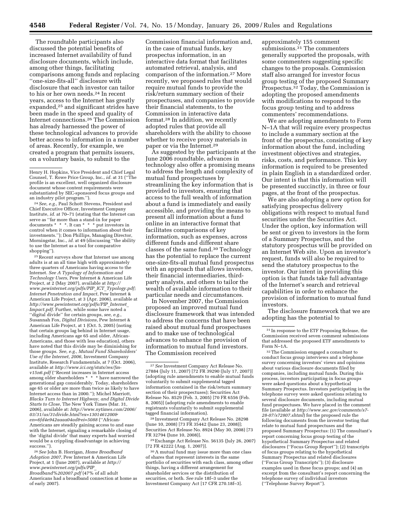The roundtable participants also discussed the potential benefits of increased Internet availability of fund disclosure documents, which include, among other things, facilitating comparisons among funds and replacing ''one-size-fits-all'' disclosure with disclosure that each investor can tailor to his or her own needs.24 In recent years, access to the Internet has greatly expanded,<sup>25</sup> and significant strides have been made in the speed and quality of Internet connections.26 The Commission has already harnessed the power of these technological advances to provide better access to information in a number of areas. Recently, for example, we created a program that permits issuers, on a voluntary basis, to submit to the

24 *See, e.g.*, Paul Schott Stevens, President and Chief Executive Officer, Investment Company Institute, *id.* at 70–71 (stating that the Internet can serve as ''far more than a stand-in for paper documents \* \* \*. It can \* \* \* put investors in control when it comes to information about their investments.''); Don Phillips, Managing Director, Morningstar, Inc., *id.* at 49 (discussing ''the ability to use the Internet as a tool for comparative shopping'').

25 Recent surveys show that Internet use among adults is at an all time high with approximately three quarters of Americans having access to the Internet. *See A Typology of Information and Technology Users*, Pew Internet & American Life Project, at 2 (May 2007), available at *http:// www.pewinternet.org/pdfs/PIP*\_*ICT*\_*Typology.pdf; Internet Penetration and Impact*, Pew Internet & American Life Project, at 3 (Apr. 2006), available at *http://www.pewinternet.org/pdfs/PIP*\_*Internet*\_ *Impact.pdf*. Further, while some have noted a ''digital divide'' for certain groups, *see, e.g.*, Susannah Fox, *Digital Divisions*, Pew Internet & American Life Project, at 1 (Oct. 5, 2005) (noting that certain groups lag behind in Internet usage, including Americans age 65 and older, African-Americans, and those with less education), others have noted that this divide may be diminishing for those groups. *See, e.g., Mutual Fund Shareholders' Use of the Internet, 2006*, Investment Company Institute, Research Fundamentals, at 7 (Oct. 2006), available at *http://www.ici.org/stats/res/fmv15n6.pdf* (''Recent increases in Internet access among older shareholders \* \* \* have narrowed the generational gap considerably. Today, shareholders age 65 or older are more than twice as likely to have Internet access than in 2000.''); Michel Marriott, *Blacks Turn to Internet Highway, and Digital Divide Starts to Close*, The New York Times (Mar. 31, 2006), available at: *http://www.nytimes.com/2006/ 03/31/us/31divide.html?ex=1301461200& en=6fd4e942aaaa04ad&ei=5088* (''African-Americans are steadily gaining access to and ease with the Internet, signaling a remarkable closing of the 'digital divide' that many experts had worried would be a crippling disadvantage in achieving success.'').

26 *See* John B. Horrigan, *Home Broadband Adoption 2007*, Pew Internet & American Life Project, at 1 (June 2007), available at *http:// www.pewinternet.org/pdfs/PIP*\_

*Broadband%202007.pdf* (47% of all adult Americans had a broadband connection at home as of early 2007).

Commission financial information and, in the case of mutual funds, key prospectus information, in an interactive data format that facilitates automated retrieval, analysis, and comparison of the information.27 More recently, we proposed rules that would require mutual funds to provide the risk/return summary section of their prospectuses, and companies to provide their financial statements, to the Commission in interactive data format.28 In addition, we recently adopted rules that provide all shareholders with the ability to choose whether to receive proxy materials in paper or via the Internet.29

As suggested by the participants at the June 2006 roundtable, advances in technology also offer a promising means to address the length and complexity of mutual fund prospectuses by streamlining the key information that is provided to investors, ensuring that access to the full wealth of information about a fund is immediately and easily accessible, and providing the means to present all information about a fund online in an interactive format that facilitates comparisons of key information, such as expenses, across different funds and different share classes of the same fund.30 Technology has the potential to replace the current one-size-fits-all mutual fund prospectus with an approach that allows investors, their financial intermediaries, thirdparty analysts, and others to tailor the wealth of available information to their particular needs and circumstances.

In November 2007, the Commission proposed an improved mutual fund disclosure framework that was intended to address the concerns that have been raised about mutual fund prospectuses and to make use of technological advances to enhance the provision of information to mutual fund investors. The Commission received

28 Investment Company Act Release No. 28298 (June 10, 2008) [73 FR 35442 (June 23, 2008)]; Securities Act Release No. 8924 (May 30, 2008) [73 FR 32794 (June 10, 2008)].

29 Exchange Act Release No. 56135 (July 26, 2007) [72 FR 42222 (Aug. 1, 2007)].

30 A mutual fund may issue more than one class of shares that represent interests in the same portfolio of securities with each class, among other things, having a different arrangement for shareholder services or the distribution of securities, or both. *See* rule 18f–3 under the Investment Company Act [17 CFR 270.18f–3].

approximately 155 comment submissions.<sup>31</sup> The commenters generally supported the proposals, with some commenters suggesting specific changes to the proposals. Commission staff also arranged for investor focus group testing of the proposed Summary Prospectus.32 Today, the Commission is adopting the proposed amendments with modifications to respond to the focus group testing and to address commenters' recommendations.

We are adopting amendments to Form N–1A that will require every prospectus to include a summary section at the front of the prospectus, consisting of key information about the fund, including investment objectives and strategies, risks, costs, and performance. This key information is required to be presented in plain English in a standardized order. Our intent is that this information will be presented succinctly, in three or four pages, at the front of the prospectus.

We are also adopting a new option for satisfying prospectus delivery obligations with respect to mutual fund securities under the Securities Act. Under the option, key information will be sent or given to investors in the form of a Summary Prospectus, and the statutory prospectus will be provided on an Internet Web site. Upon an investor's request, funds will also be required to send the statutory prospectus to the investor. Our intent in providing this option is that funds take full advantage of the Internet's search and retrieval capabilities in order to enhance the provision of information to mutual fund investors.

The disclosure framework that we are adopting has the potential to

32 The Commission engaged a consultant to conduct focus group interviews and a telephone survey concerning investors' views and opinions about various disclosure documents filed by companies, including mutual funds. During this process, investors participating in focus groups were asked questions about a hypothetical Summary Prospectus. Investors participating in the telephone survey were asked questions relating to several disclosure documents, including mutual fund prospectuses. We have placed in the comment file (available at *http://www.sec.gov/comments/s7- 28-07/s72807.shtml*) for the proposed rule the following documents from the investor testing that relate to mutual fund prospectuses and the proposed Summary Prospectus: (1) The consultant's report concerning focus group testing of the hypothetical Summary Prospectus and related disclosures (''Focus Group Report''); (2) transcripts of focus groups relating to the hypothetical Summary Prospectus and related disclosures (''Focus Group Transcripts''); (3) disclosure examples used in these focus groups; and (4) an excerpt from the consultant's report concerning the telephone survey of individual investors (''Telephone Survey Report'').

Henry H. Hopkins, Vice President and Chief Legal Counsel, T. Rowe Price Group, Inc., *id.* at 31 (''The profile is an excellent, well organized disclosure document whose content requirements were substantiated by SEC-sponsored focus groups and an industry pilot program.'').

<sup>27</sup> *See* Investment Company Act Release No. 27884 (July 11, 2007) [72 FR 39290 (July 17, 2007)] (adopting rule amendments to enable mutual funds voluntarily to submit supplemental tagged information contained in the risk/return summary section of their prospectuses); Securities Act Release No. 8529 (Feb. 3, 2005) [70 FR 6556 (Feb. 8, 2005)] (adopting rule amendments to enable registrants voluntarily to submit supplemental tagged financial information).

<sup>31</sup> In response to the ETF Proposing Release, the Commission received seven comment submissions that addressed the proposed ETF amendments to Form N–1A.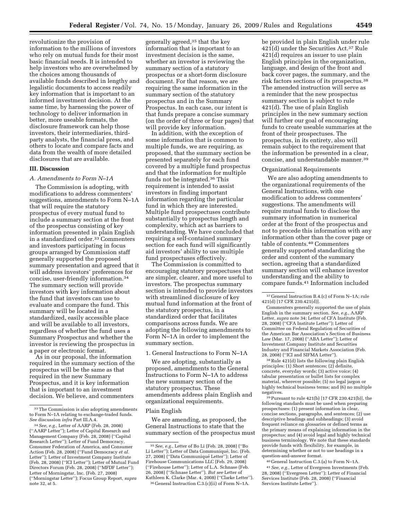revolutionize the provision of information to the millions of investors who rely on mutual funds for their most basic financial needs. It is intended to help investors who are overwhelmed by the choices among thousands of available funds described in lengthy and legalistic documents to access readily key information that is important to an informed investment decision. At the same time, by harnessing the power of technology to deliver information in better, more useable formats, the disclosure framework can help those investors, their intermediaries, thirdparty analysts, the financial press, and others to locate and compare facts and data from the wealth of more detailed disclosures that are available.

#### **III. Discussion**

#### *A. Amendments to Form N–1A*

The Commission is adopting, with modifications to address commenters' suggestions, amendments to Form N–1A that will require the statutory prospectus of every mutual fund to include a summary section at the front of the prospectus consisting of key information presented in plain English in a standardized order.33 Commenters and investors participating in focus groups arranged by Commission staff generally supported the proposed summary presentation and agreed that it will address investors' preferences for concise, user-friendly information.34 The summary section will provide investors with key information about the fund that investors can use to evaluate and compare the fund. This summary will be located in a standardized, easily accessible place and will be available to all investors, regardless of whether the fund uses a Summary Prospectus and whether the investor is reviewing the prospectus in a paper or electronic format.

As in our proposal, the information required in the summary section of the prospectus will be the same as that required in the new Summary Prospectus, and it is key information that is important to an investment decision. We believe, and commenters

generally agreed,35 that the key information that is important to an investment decision is the same, whether an investor is reviewing the summary section of a statutory prospectus or a short-form disclosure document. For that reason, we are requiring the same information in the summary section of the statutory prospectus and in the Summary Prospectus. In each case, our intent is that funds prepare a concise summary (on the order of three or four pages) that will provide key information.

In addition, with the exception of some information that is common to multiple funds, we are requiring, as proposed, that the summary section be presented separately for each fund covered by a multiple fund prospectus and that the information for multiple funds not be integrated.36 This requirement is intended to assist investors in finding important information regarding the particular fund in which they are interested. Multiple fund prospectuses contribute substantially to prospectus length and complexity, which act as barriers to understanding. We have concluded that requiring a self-contained summary section for each fund will significantly aid investors' ability to use multiple fund prospectuses effectively.

The Commission is committed to encouraging statutory prospectuses that are simpler, clearer, and more useful to investors. The prospectus summary section is intended to provide investors with streamlined disclosure of key mutual fund information at the front of the statutory prospectus, in a standardized order that facilitates comparisons across funds. We are adopting the following amendments to Form N–1A in order to implement the summary section.

1. General Instructions to Form N–1A

We are adopting, substantially as proposed, amendments to the General Instructions to Form N–1A to address the new summary section of the statutory prospectus. These amendments address plain English and organizational requirements.

#### Plain English

We are amending, as proposed, the General Instructions to state that the summary section of the prospectus must be provided in plain English under rule 421(d) under the Securities Act.37 Rule 421(d) requires an issuer to use plain English principles in the organization, language, and design of the front and back cover pages, the summary, and the risk factors sections of its prospectus.38 The amended instruction will serve as a reminder that the new prospectus summary section is subject to rule 421(d). The use of plain English principles in the new summary section will further our goal of encouraging funds to create useable summaries at the front of their prospectuses. The prospectus, in its entirety, also will remain subject to the requirement that the information be presented in a clear, concise, and understandable manner.39

#### Organizational Requirements

We are also adopting amendments to the organizational requirements of the General Instructions, with one modification to address commenters' suggestions. The amendments will require mutual funds to disclose the summary information in numerical order at the front of the prospectus and not to precede this information with any information other than the cover page or table of contents.40 Commenters generally supported standardizing the order and content of the summary section, agreeing that a standardized summary section will enhance investor understanding and the ability to compare funds.41 Information included

38 Rule 421(d) lists the following plain English principles: (1) Short sentences; (2) definite, concrete, everyday words; (3) active voice; (4) tabular presentation or bullet lists for complex material, wherever possible; (5) no legal jargon or highly technical business terms; and (6) no multiple negatives.

39 Pursuant to rule 421(b) [17 CFR 230.421(b)], the following standards must be used when preparing prospectuses: (1) present information in clear, concise sections, paragraphs, and sentences; (2) use descriptive headings and subheadings; (3) avoid frequent reliance on glossaries or defined terms as the primary means of explaining information in the prospectus; and (4) avoid legal and highly technical business terminology. We note that these standards provide funds with flexibility, for example, in determining whether or not to use headings in a question-and-answer format.

40 General Instruction C.3.(a) to Form N–1A. 41 *See, e.g.*, Letter of Evergreen Investments (Feb. 28, 2008) (''Evergreen Letter''); Letter of Financial Services Institute (Feb. 28, 2008) (''Financial Services Institute Letter'').

<sup>33</sup> The Commission is also adopting amendments to Form N–1A relating to exchange-traded funds. *See* discussion *infra* Part III.A.4.

<sup>34</sup> *See, e.g.*, Letter of AARP (Feb. 28, 2008) (''AARP Letter''); Letter of Capital Research and Management Company (Feb. 28, 2008) (''Capital Research Letter''); Letter of Fund Democracy, Consumer Federation of America, and Consumer Action (Feb. 28, 2008) (''Fund Democracy *et al.*  Letter''); Letter of Investment Company Institute (Feb. 28, 2008) (''ICI Letter''); Letter of Mutual Fund Directors Forum (Feb. 28, 2008) (''MFDF Letter''); Letter of Morningstar, Inc. (Feb. 27, 2008) (''Morningstar Letter''); Focus Group Report, *supra*  note 32, at 5.

<sup>35</sup> *See, e.g.*, Letter of Bo Li (Feb. 28, 2008) (''Bo Li Letter''); Letter of Data Communiqué, Inc. (Feb. 27, 2008) ("Data Communiqué Letter"); Letter of Firehouse Communications LLC (Feb. 29, 2008) (''Firehouse Letter''); Letter of L.A. Schnase (Feb. 26, 2008) (''Schnase Letter''). *But see* Letter of Kathleen K. Clarke (Mar. 4, 2008) (''Clarke Letter''). 36 General Instruction C.3.(c)(ii) of Form N–1A.

<sup>37</sup> General Instruction B.4.(c) of Form N–1A; rule 421(d) [17 CFR 230.421(d)].

Commenters generally supported the use of plain English in the summary section. *See, e.g.*, AARP Letter, *supra* note 34; Letter of CFA Institute (Feb. 28, 2008) (''CFA Institute Letter''); Letter of Committee on Federal Regulation of Securities of the American Bar Association's Section of Business Law (Mar. 17, 2008) (''ABA Letter''); Letter of Investment Company Institute and Securities Industry and Financial Markets Association (Feb. 28, 2008) (''ICI and SIFMA Letter'').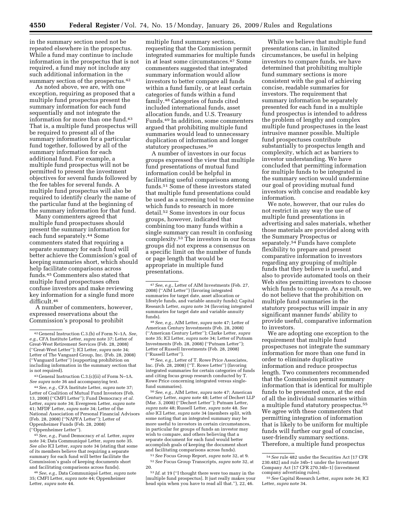in the summary section need not be repeated elsewhere in the prospectus. While a fund may continue to include information in the prospectus that is not required, a fund may not include any such additional information in the summary section of the prospectus.<sup>42</sup>

As noted above, we are, with one exception, requiring as proposed that a multiple fund prospectus present the summary information for each fund sequentially and not integrate the information for more than one fund.<sup>43</sup> That is, a multiple fund prospectus will be required to present all of the summary information for a particular fund together, followed by all of the summary information for each additional fund. For example, a multiple fund prospectus will not be permitted to present the investment objectives for several funds followed by the fee tables for several funds. A multiple fund prospectus will also be required to identify clearly the name of the particular fund at the beginning of the summary information for that fund.

Many commenters agreed that multiple fund prospectuses should present the summary information for each fund separately.44 Some commenters stated that requiring a separate summary for each fund will better achieve the Commission's goal of keeping summaries short, which should help facilitate comparisons across funds.45 Commenters also stated that multiple fund prospectuses often confuse investors and make reviewing key information for a single fund more difficult.46

A number of commenters, however, expressed reservations about the Commission's proposal to prohibit

45 *See, e.g.*, Fund Democracy *et al.* Letter, *supra*  note 34; Data Communique´ Letter, *supra* note 35. *See also* ICI Letter, *supra* note 34 (stating that some of its members believe that requiring a separate summary for each fund will better facilitate the Commission's goals of keeping documents short and facilitating comparisons across funds).

46 *See, e.g.*, Data Communique´ Letter, *supra* note 35; CMFI Letter, *supra* note 44; Oppenheimer Letter, *supra* note 44.

multiple fund summary sections, requesting that the Commission permit integrated summaries for multiple funds in at least some circumstances.47 Some commenters suggested that integrated summary information would allow investors to better compare all funds within a fund family, or at least certain categories of funds within a fund family.48 Categories of funds cited included international funds, asset allocation funds, and U.S. Treasury Funds.49 In addition, some commenters argued that prohibiting multiple fund summaries would lead to unnecessary duplication of information and longer statutory prospectuses.50

A number of investors in our focus groups expressed the view that multiple fund presentations of mutual fund information could be helpful in facilitating useful comparisons among funds.51 Some of these investors stated that multiple fund presentations could be used as a screening tool to determine which funds to research in more detail.52 Some investors in our focus groups, however, indicated that combining too many funds within a single summary can result in confusing complexity.53 The investors in our focus groups did not express a consensus on a specific limit on the number of funds or page length that would be appropriate in multiple fund presentations.

48 *See, e.g.*, AIM Letter, *supra* note 47; Letter of American Century Investments (Feb. 28, 2008) (''American Century Letter''); Clarke Letter, *supra*  note 35; ICI Letter, *supra* note 34; Letter of Putnam Investments (Feb. 28, 2008) (''Putnam Letter''); Letter of Russell Investments (Feb. 28, 2008) (''Russell Letter'').

49 *See, e.g.*, Letter of T. Rowe Price Associates, Inc. (Feb. 28, 2008) (''T. Rowe Letter'') (favoring integrated summaries for certain categories of funds and citing focus group research conducted by T. Rowe Price concerning integrated versus singlefund summaries).

50 *See, e.g.*, AIM Letter, *supra* note 47; American Century Letter, *supra* note 48; Letter of Dechert LLP (Mar. 3, 2008) (''Dechert Letter''); Putnam Letter, *supra* note 48; Russell Letter, *supra* note 48. *See also* ICI Letter, *supra* note 34 (members split, with some noting that an integrated summary may be more useful to investors in certain circumstances, in particular for groups of funds an investor may wish to compare, and others believing that a separate document for each fund would better accomplish goals of keeping the document short and facilitating comparisons across funds).

51 *See* Focus Group Report, *supra* note 32, at 9. 52 *See* Focus Group Transcripts, *supra* note 32, at 20.

53 *Id*. at 19 (''I thought there were too many in the [multiple fund prospectus]. It just really makes your head spin when you have to read all that.''), 22, 46.

While we believe that multiple fund presentations can, in limited circumstances, be useful in helping investors to compare funds, we have determined that prohibiting multiple fund summary sections is more consistent with the goal of achieving concise, readable summaries for investors. The requirement that summary information be separately presented for each fund in a multiple fund prospectus is intended to address the problem of lengthy and complex multiple fund prospectuses in the least intrusive manner possible. Multiple fund prospectuses contribute substantially to prospectus length and complexity, which act as barriers to investor understanding. We have concluded that permitting information for multiple funds to be integrated in the summary section would undermine our goal of providing mutual fund investors with concise and readable key information.

We note, however, that our rules do not restrict in any way the use of multiple fund presentations in advertising and sales materials, whether those materials are provided along with the Summary Prospectus or separately.54 Funds have complete flexibility to prepare and present comparative information to investors regarding any grouping of multiple funds that they believe is useful, and also to provide automated tools on their Web sites permitting investors to choose which funds to compare. As a result, we do not believe that the prohibition on multiple fund summaries in the statutory prospectus will impair in any significant manner funds' ability to provide useful, comparative information to investors.

We are adopting one exception to the requirement that multiple fund prospectuses not integrate the summary information for more than one fund in order to eliminate duplicative information and reduce prospectus length. Two commenters recommended that the Commission permit summary information that is identical for multiple funds to be presented once, at the end of all the individual summaries within a multiple fund statutory prospectus.55 We agree with these commenters that permitting integration of information that is likely to be uniform for multiple funds will further our goal of concise, user-friendly summary sections. Therefore, a multiple fund prospectus

<sup>42</sup> General Instruction C.3.(b) of Form N–1A. *See, e.g.*, CFA Institute Letter, *supra* note 37; Letter of Great-West Retirement Services (Feb. 28, 2008) (''Great-West Letter''); ICI Letter, *supra* note 34; Letter of The Vanguard Group, Inc. (Feb. 28, 2008) (''Vanguard Letter'') (supporting prohibition on including information in the summary section that is not required).

<sup>43</sup> General Instruction C.3.(c)(ii) of Form N–1A. *See supra* note 36 and accompanying text.

<sup>44</sup> *See, e.g.*, CFA Institute Letter, *supra* note 37; Letter of Coalition of Mutual Fund Investors (Feb. 13, 2008) (''CMFI Letter''); Fund Democracy *et al.*  Letter, *supra* note 34; Evergreen Letter, *supra* note 41; MFDF Letter, *supra* note 34; Letter of the National Association of Personal Financial Advisors (Feb. 28, 2008) (''NAPFA Letter''); Letter of Oppenheimer Funds (Feb. 28, 2008) (''Oppenheimer Letter'').

<sup>47</sup> *See, e.g.*, Letter of AIM Investments (Feb. 27, 2008) (''AIM Letter'') (favoring integrated summaries for target date, asset allocation or lifestyle funds, and variable annuity funds); Capital Research Letter, *supra* note 34 (favoring integrated summaries for target date and variable annuity funds).

<sup>54</sup> *See* rule 482 under the Securities Act [17 CFR 230.482] and rule 34b–1 under the Investment Company Act [17 CFR 270.34b-1] (investment company advertising rules).

<sup>55</sup> See Capital Research Letter, *supra* note 34; ICI Letter, *supra* note 34.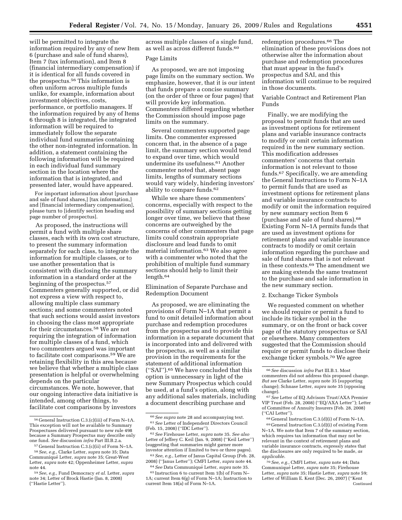will be permitted to integrate the information required by any of new Item 6 (purchase and sale of fund shares), Item 7 (tax information), and Item 8 (financial intermediary compensation) if it is identical for all funds covered in the prospectus.56 This information is often uniform across multiple funds unlike, for example, information about investment objectives, costs, performance, or portfolio managers. If the information required by any of Items 6 through 8 is integrated, the integrated information will be required to immediately follow the separate individual fund summaries containing the other non-integrated information. In addition, a statement containing the following information will be required in each individual fund summary section in the location where the information that is integrated, and presented later, would have appeared.

For important information about [purchase and sale of fund shares,] [tax information,] and [financial intermediary compensation], please turn to [identify section heading and page number of prospectus].

As proposed, the instructions will permit a fund with multiple share classes, each with its own cost structure, to present the summary information separately for each class, to integrate the information for multiple classes, or to use another presentation that is consistent with disclosing the summary information in a standard order at the beginning of the prospectus.57 Commenters generally supported, or did not express a view with respect to, allowing multiple class summary sections; and some commenters noted that such sections would assist investors in choosing the class most appropriate for their circumstances.58 We are not requiring the integration of information for multiple classes of a fund, which two commenters argued was important to facilitate cost comparisons.59 We are retaining flexibility in this area because we believe that whether a multiple class presentation is helpful or overwhelming depends on the particular circumstances. We note, however, that our ongoing interactive data initiative is intended, among other things, to facilitate cost comparisons by investors

across multiple classes of a single fund, as well as across different funds.60

# Page Limits

As proposed, we are not imposing page limits on the summary section. We emphasize, however, that it is our intent that funds prepare a concise summary (on the order of three or four pages) that will provide key information. Commenters differed regarding whether the Commission should impose page limits on the summary.

Several commenters supported page limits. One commenter expressed concern that, in the absence of a page limit, the summary section would tend to expand over time, which would undermine its usefulness.61 Another commenter noted that, absent page limits, lengths of summary sections would vary widely, hindering investors' ability to compare funds.62

While we share these commenters' concerns, especially with respect to the possibility of summary sections getting longer over time, we believe that these concerns are outweighed by the concerns of other commenters that page limits could constrain appropriate disclosure and lead funds to omit material information.63 We also agree with a commenter who noted that the prohibition of multiple fund summary sections should help to limit their length.64

Elimination of Separate Purchase and Redemption Document

As proposed, we are eliminating the provisions of Form N–1A that permit a fund to omit detailed information about purchase and redemption procedures from the prospectus and to provide this information in a separate document that is incorporated into and delivered with the prospectus, as well as a similar provision in the requirements for the statement of additional information (''SAI'').65 We have concluded that this option is unnecessary in light of the new Summary Prospectus which could be used, at a fund's option, along with any additional sales materials, including a document describing purchase and

redemption procedures.66 The elimination of these provisions does not otherwise alter the information about purchase and redemption procedures that must appear in the fund's prospectus and SAI, and this information will continue to be required in those documents.

# Variable Contract and Retirement Plan Funds

Finally, we are modifying the proposal to permit funds that are used as investment options for retirement plans and variable insurance contracts to modify or omit certain information required in the new summary section. This modification addresses commenters' concerns that certain information is not relevant to those funds.67 Specifically, we are amending the General Instructions to Form N–1A to permit funds that are used as investment options for retirement plans and variable insurance contracts to modify or omit the information required by new summary section Item 6 (purchase and sale of fund shares).68 Existing Form N–1A permits funds that are used as investment options for retirement plans and variable insurance contracts to modify or omit certain information regarding the purchase and sale of fund shares that is not relevant in these contexts.69 The amendment we are making extends the same treatment to the purchase and sale information in the new summary section.

#### 2. Exchange Ticker Symbols

We requested comment on whether we should require or permit a fund to include its ticker symbol in the summary, or on the front or back cover page of the statutory prospectus or SAI or elsewhere. Many commenters suggested that the Commission should require or permit funds to disclose their exchange ticker symbols.70 We agree

68 General Instruction C.3.(d)(i) of Form N–1A. 69 General Instruction C.3.(d)(i) of existing Form N–1A. We note that Item 7 of the summary section, which requires tax information that may not be relevant in the context of retirement plans and variable insurance contracts, expressly states that the disclosures are only required to be made, *as applicable*.

<sup>56</sup> General Instruction C.3.(c)(iii) of Form N–1A. This exception will not be available to Summary Prospectuses delivered pursuant to new rule 498 because a Summary Prospectus may describe only<br>one fund. See discussion *infra* Part III.B.2.a.

<sup>&</sup>lt;sup>57</sup> General Instruction C.3.(c)(ii) of Form N–1A.<br><sup>58</sup> *See, e.g.*, Clarke Letter, *supra* note 35; Data

Communique´ Letter, *supra* note 35; Great-West Letter, *supra* note 42; Oppenheimer Letter, *supra*  note 44. 59 *See, e.g.*, Fund Democracy *et al.* Letter, *supra* 

note 34; Letter of Brock Hastie (Jan. 8, 2008) (''Hastie Letter'').

<sup>60</sup> *See supra* note 28 and accompanying text. 61 *See* Letter of Independent Directors Council (Feb. 15, 2008) (''IDC Letter'').

<sup>62</sup> *See* Firehouse Letter, *supra* note 35. *See also*  Letter of Jeffrey C. Keil (Jan. 9, 2008) (''Keil Letter'') (suggesting that summaries might garner more investor attention if limited to two or three pages).

<sup>63</sup> *See, e.g.*, Letter of Janus Capital Group (Feb. 28, 2008) (''Janus Letter''); CMFI Letter, *supra* note 44. 64 *See* Data Communique´ Letter, *supra* note 35.

<sup>65</sup> Instruction 6 to current Item 1(b) of Form N– 1A; current Item 6(g) of Form N–1A; Instruction to current Item 18(a) of Form N–1A.

<sup>66</sup> *See* discussion *infra* Part III.B.1. Most commenters did not address this proposed change. *But see* Clarke Letter, *supra* note 35 (supporting change); Schnase Letter, *supra* note 35 (opposing change).

<sup>67</sup> *See* Letter of EQ Advisors Trust/AXA Premier VIP Trust (Feb. 28, 2008) (''EQ/AXA Letter''); Letter of Committee of Annuity Insurers (Feb. 28, 2008) (''CAI Letter'').

<sup>70</sup> *See, e.g.*, CMFI Letter, *supra* note 44; Data Communique´ Letter, *supra* note 35; Firehouse Letter, *supra* note 35; Hastie Letter, *supra* note 59; Letter of William E. Kent (Dec. 26, 2007) (''Kent Continued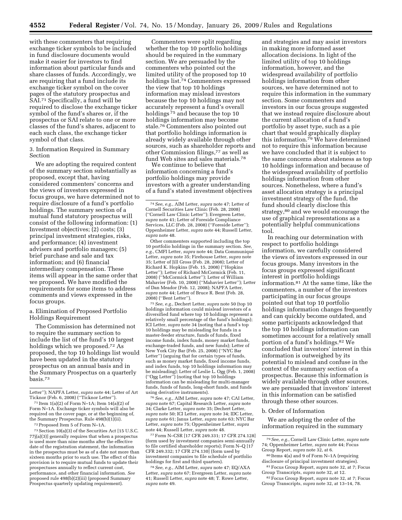with these commenters that requiring exchange ticker symbols to be included in fund disclosure documents would make it easier for investors to find information about particular funds and share classes of funds. Accordingly, we are requiring that a fund include its exchange ticker symbol on the cover pages of the statutory prospectus and SAI.71 Specifically, a fund will be required to disclose the exchange ticker symbol of the fund's shares or, if the prospectus or SAI relate to one or more classes of the fund's shares, adjacent to each such class, the exchange ticker symbol of that class.

3. Information Required in Summary Section

We are adopting the required content of the summary section substantially as proposed, except that, having considered commenters' concerns and the views of investors expressed in focus groups, we have determined not to require disclosure of a fund's portfolio holdings. The summary section of a mutual fund statutory prospectus will consist of the following information: (1) Investment objectives; (2) costs; (3) principal investment strategies, risks, and performance; (4) investment advisers and portfolio managers; (5) brief purchase and sale and tax information; and (6) financial intermediary compensation. These items will appear in the same order that we proposed. We have modified the requirements for some items to address comments and views expressed in the focus groups.

a. Elimination of Proposed Portfolio Holdings Requirement

The Commission has determined not to require the summary section to include the list of the fund's 10 largest holdings which we proposed.72 As proposed, the top 10 holdings list would have been updated in the statutory prospectus on an annual basis and in the Summary Prospectus on a quarterly basis.73

Commenters were split regarding whether the top 10 portfolio holdings should be required in the summary section. We are persuaded by the commenters who pointed out the limited utility of the proposed top 10 holdings list.74 Commenters expressed the view that top 10 holdings information may mislead investors because the top 10 holdings may not accurately represent a fund's overall holdings<sup>75</sup> and because the top 10 holdings information may become stale.76 Commenters also pointed out that portfolio holdings information is already widely available through other sources, such as shareholder reports and other Commission filings,77 as well as fund Web sites and sales materials.78

We continue to believe that information concerning a fund's portfolio holdings may provide investors with a greater understanding of a fund's stated investment objectives

Other commenters supported including the top 10 portfolio holdings in the summary section. *See, e.g.*, CMFI Letter, *supra* note 44; Data Communique´ Letter, *supra* note 35; Firehouse Letter, *supra* note 35; Letter of Jill Gross (Feb. 28, 2008); Letter of Richard K. Hopkins (Feb. 15, 2008) (''Hopkins Letter''); Letter of Richard McCormick (Feb. 11, 2008) (''McCormick Letter''); Letter of William Mahavier (Feb. 10, 2008) (''Mahavier Letter''); Letter of Dan Meador (Feb. 12, 2008); NAPFA Letter, *supra* note 44; Letter of Bruce R. Bent (Feb. 28, 2008) (''Bent Letter'').

75 *See, e.g.*, Dechert Letter, *supra* note 50 (top 10 holdings information could mislead investors of a diversified fund where top 10 holdings represent a relatively small percentage of the fund's holdings); ICI Letter, *supra* note 34 (noting that a fund's top 10 holdings may be misleading for funds in a master-feeder structure, funds of funds, fixed income funds, index funds, money market funds, exchange-traded funds, and new funds); Letter of New York City Bar (Feb. 25, 2008) (''NYC Bar Letter'') (arguing that for certain types of funds, such as money market funds, fixed income funds, and index funds, top 10 holdings information may be misleading); Letter of Leslie L. Ogg (Feb. 1, 2008) (''Ogg Letter'') (noting that top 10 holdings information can be misleading for multi-manager funds, funds of funds, long-short funds, and funds using derivative instruments).

76 *See, e.g.*, AIM Letter, *supra* note 47; CAI Letter, *supra* note 67; Capital Research Letter, *supra* note 34; Clarke Letter, *supra* note 35; Dechert Letter, *supra* note 50; ICI Letter, *supra* note 34; IDC Letter, *supra* note 61; Janus Letter, *supra* note 63; NYC Bar Letter, *supra* note 75; Oppenheimer Letter, *supra*  note 44; Russell Letter, *supra* note 48.

77 Form N–CSR [17 CFR 249.331; 17 CFR 274.128] (form used by investment companies semi-annually to file certified shareholder reports); Form N–Q [17 CFR 249.332; 17 CFR 274.130] (form used by investment companies to file schedule of portfolio holdings for first and third quarters).

78 *See, e.g.*, AIM Letter, *supra* note 47; EQ/AXA Letter, *supra* note 67; Evergreen Letter, *supra* note 41; Russell Letter, *supra* note 48; T. Rowe Letter, *supra* note 49.

and strategies and may assist investors in making more informed asset allocation decisions. In light of the limited utility of top 10 holdings information, however, and the widespread availability of portfolio holdings information from other sources, we have determined not to require this information in the summary section. Some commenters and investors in our focus groups suggested that we instead require disclosure about the current allocation of a fund's portfolio by asset type, such as a pie chart that would graphically display this information.79 We have determined not to require this information because we have concluded that it is subject to the same concerns about staleness as top 10 holdings information and because of the widespread availability of portfolio holdings information from other sources. Nonetheless, where a fund's asset allocation strategy is a principal investment strategy of the fund, the fund should clearly disclose this strategy,80 and we would encourage the use of graphical representations as a potentially helpful communications tool.

In reaching our determination with respect to portfolio holdings information, we carefully considered the views of investors expressed in our focus groups. Many investors in the focus groups expressed significant interest in portfolio holdings information.81 At the same time, like the commenters, a number of the investors participating in our focus groups pointed out that top 10 portfolio holdings information changes frequently and can quickly become outdated, and some participants acknowledged that the top 10 holdings information can sometimes account for a relatively small portion of a fund's holdings.82 We concluded that investors' interest in this information is outweighed by its potential to mislead and confuse in the context of the summary section of a prospectus. Because this information is widely available through other sources, we are persuaded that investors' interest in this information can be satisfied through these other sources.

#### b. Order of Information

We are adopting the order of the information required in the summary

Letter''); NAPFA Letter, *supra* note 44; Letter of Art Ticknor (Feb. 6, 2008) (''Ticknor Letter'').

 $71$  Item 1(a)(2) of Form N-1A; Item 14(a)(2) of Form N–1A. Exchange ticker symbols will also be required on the cover page, or at the beginning of, the Summary Prospectus. Rule 498(b)(1)(ii).

<sup>72</sup> Proposed Item 5 of Form N–1A.

<sup>73</sup> Section 10(a)(3) of the Securities Act [15 U.S.C. 77j(a)(3)] generally requires that when a prospectus is used more than nine months after the effective date of the registration statement, the information in the prospectus must be as of a date not more than sixteen months prior to such use. The effect of this provision is to require mutual funds to update their prospectuses annually to reflect current cost, performance, and other financial information. *See*  proposed rule 498(b)(2)(iii) (proposed Summary Prospectus quarterly updating requirement).

<sup>74</sup> *See, e.g.*, AIM Letter, *supra* note 47; Letter of Cornell Securities Law Clinic (Feb. 28, 2008) (''Cornell Law Clinic Letter''); Evergreen Letter, *supra* note 41; Letter of Foreside Compliance Services, LLC (Feb. 28, 2008) (''Foreside Letter''); Oppenheimer Letter, *supra* note 44; Russell Letter, *supra* note 48.

<sup>79</sup> *See, e.g.*, Cornell Law Clinic Letter, *supra* note 74; Oppenheimer Letter, *supra* note 44; Focus Group Report, *supra* note 32, at 6.

<sup>80</sup> Items 4(a) and 9 of Form N–1A (requiring disclosure of principal investment strategies).

<sup>81</sup> Focus Group Report, *supra* note 32, at 7; Focus Group Transcripts, *supra* note 32, at 12.

<sup>82</sup> Focus Group Report, *supra* note 32, at 7; Focus Group Transcripts, *supra* note 32, at 13–14, 78.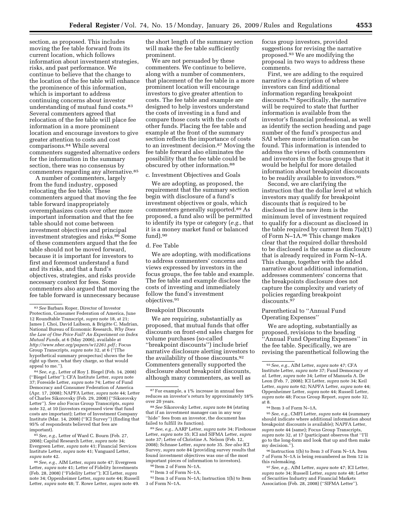section, as proposed. This includes moving the fee table forward from its current location, which follows information about investment strategies, risks, and past performance. We continue to believe that the change to the location of the fee table will enhance the prominence of this information, which is important to address continuing concerns about investor understanding of mutual fund costs.<sup>83</sup> Several commenters agreed that relocation of the fee table will place fee information in a more prominent location and encourage investors to give greater attention to costs and cost comparisons.84 While several commenters suggested alternative orders for the information in the summary section, there was no consensus by commenters regarding any alternative.85

A number of commenters, largely from the fund industry, opposed relocating the fee table. These commenters argued that moving the fee table forward inappropriately overemphasizes costs over other more important information and that the fee table should not come between investment objectives and principal investment strategies and risks.86 Some of these commenters argued that the fee table should not be moved forward, because it is important for investors to first and foremost understand a fund and its risks, and that a fund's objectives, strategies, and risks provide necessary context for fees. Some commenters also argued that moving the fee table forward is unnecessary because

84 *See, e.g.*, Letter of Roy J. Biegel (Feb. 14, 2008) (''Biegel Letter''); CFA Institute Letter, *supra* note 37; Foreside Letter, *supra* note 74; Letter of Fund Democracy and Consumer Federation of America (Apr. 17, 2008); NAPFA Letter, *supra* note 44; Letter of Charles Sikorovsky (Feb. 29, 2008) (''Sikorovsky Letter''). *See also* Focus Group Transcripts, *supra*  note 32, at 10 (investors expressed view that fund costs are important); Letter of Investment Company Institute (Mar. 14, 2008) (''ICI Survey'') (finding that 95% of respondents believed that fees are important).

85 *See, e.g.*, Letter of Ward C. Bourn (Feb. 27, 2008); Capital Research Letter, *supra* note 34; Evergreen Letter, *supra* note 41; Financial Services Institute Letter, *supra* note 41; Vanguard Letter, *supra* note 42.

86 *See, e.g.*, AIM Letter, *supra* note 47; Evergreen Letter, *supra* note 41; Letter of Fidelity Investments (Feb. 28, 2008) (''Fidelity Letter''); ICI Letter, *supra*  note 34; Oppenheimer Letter, *supra* note 44; Russell Letter, *supra* note 48; T. Rowe Letter, *supra* note 49. the short length of the summary section will make the fee table sufficiently prominent.

We are not persuaded by these commenters. We continue to believe, along with a number of commenters, that placement of the fee table in a more prominent location will encourage investors to give greater attention to costs. The fee table and example are designed to help investors understand the costs of investing in a fund and compare those costs with the costs of other funds. Placing the fee table and example at the front of the summary section reflects the importance of costs to an investment decision.87 Moving the fee table forward also eliminates the possibility that the fee table could be obscured by other information.<sup>88</sup>

# c. Investment Objectives and Goals

We are adopting, as proposed, the requirement that the summary section begin with disclosure of a fund's investment objectives or goals, which commenters generally supported.89 As proposed, a fund also will be permitted to identify its type or category (*e.g.*, that it is a money market fund or balanced fund).<sup>90</sup>

#### d. Fee Table

We are adopting, with modifications to address commenters' concerns and views expressed by investors in the focus groups, the fee table and example. The fee table and example disclose the costs of investing and immediately follow the fund's investment objectives.91

#### Breakpoint Discounts

We are requiring, substantially as proposed, that mutual funds that offer discounts on front-end sales charges for volume purchases (so-called ''breakpoint discounts'') include brief narrative disclosure alerting investors to the availability of those discounts.92 Commenters generally supported the disclosure about breakpoint discounts, although many commenters, as well as

89 *See, e.g.*, AARP Letter, *supra* note 34; Firehouse Letter, *supra* note 35; ICI and SIFMA Letter, *supra*  note 37; Letter of Christine A. Nelson (Feb. 12, 2008); Schnase Letter, *supra* note 35. *See also* ICI Survey, *supra* note 84 (providing survey results that found investment objectives was one of the most important pieces of information to investors).

92 Item 3 of Form N–1A; Instruction 1(b) to Item 3 of Form N–1A.

focus group investors, provided suggestions for revising the narrative proposed.93 We are modifying the proposal in two ways to address these comments.

First, we are adding to the required narrative a description of where investors can find additional information regarding breakpoint discounts.94 Specifically, the narrative will be required to state that further information is available from the investor's financial professional, as well as identify the section heading and page number of the fund's prospectus and SAI where more information can be found. This information is intended to address the views of both commenters and investors in the focus groups that it would be helpful for more detailed information about breakpoint discounts to be readily available to investors.95

Second, we are clarifying the instruction that the dollar level at which investors may qualify for breakpoint discounts that is required to be disclosed in the new item is the minimum level of investment required to qualify for a discount as disclosed in the table required by current Item 7(a)(1) of Form N–1A.96 This change makes clear that the required dollar threshold to be disclosed is the same as disclosure that is already required in Form N–1A. This change, together with the added narrative about additional information, addresses commenters' concerns that the breakpoints disclosure does not capture the complexity and variety of policies regarding breakpoint discounts.<sup>97</sup>

# Parenthetical to ''Annual Fund Operating Expenses''

We are adopting, substantially as proposed, revisions to the heading ''Annual Fund Operating Expenses'' in the fee table. Specifically, we are revising the parenthetical following the

95 *See, e.g.*, CMFI Letter, *supra* note 44 (summary should indicate where additional information about breakpoint discounts is available); NAPFA Letter, *supra* note 44 (same); Focus Group Transcripts, *supra* note 32, at 17 (participant observes that ''I'll go to the long-form and look that up and then make my decision.'').

96 Instruction 1(b) to Item 3 of Form N–1A. Item 7 of Form N–1A is being renumbered as Item 12 in this rulemaking.

97 *See, e.g.*, AIM Letter, *supra* note 47; ICI Letter, *supra* note 34; Russell Letter, *supra* note 48; Letter of Securities Industry and Financial Markets Association (Feb. 28, 2008) (''SIFMA Letter'').

<sup>83</sup> *See* Barbara Roper, Director of Investor Protection, Consumer Federation of America, June 12 Roundtable Transcript, *supra* note 18, at 21; James J. Choi, David Laibson, & Brigitte C. Madrian, National Bureau of Economic Research, *Why Does the Law of One Price Fail? An Experiment on Index Mutual Funds*, at 6 (May 2006), available at *http://www.nber.org/papers/w12261.pdf.*; Focus Group Transcripts, *supra* note 32, at 6 (''[The hypothetical summary prospectus] shows the fee right up there, what they charge, so that would appeal to me.'').

<sup>87</sup> For example, a 1% increase in annual fees reduces an investor's return by approximately 18% over 20 years.

<sup>88</sup> *See* Sikorovsky Letter, *supra* note 84 (stating that if an investment manager can in any way ''hide'' fees from an investor, the document has failed to fulfill its function).

<sup>90</sup> Item 2 of Form N–1A.

<sup>91</sup> Item 3 of Form N–1A.

<sup>93</sup> *See, e.g.*, AIM Letter, *supra* note 47; CFA Institute Letter, *supra* note 37; Fund Democracy *et al.* Letter, *supra* note 34; Letter of Manuela A. De Leon (Feb. 7, 2008); ICI Letter, *supra* note 34; Keil Letter, *supra* note 62; NAPFA Letter, *supra* note 44; Oppenheimer Letter, *supra* note 44; Russell Letter, *supra* note 48; Focus Group Report, *supra* note 32, at 8.

 $^{94}\!$  Item 3 of Form N–1A.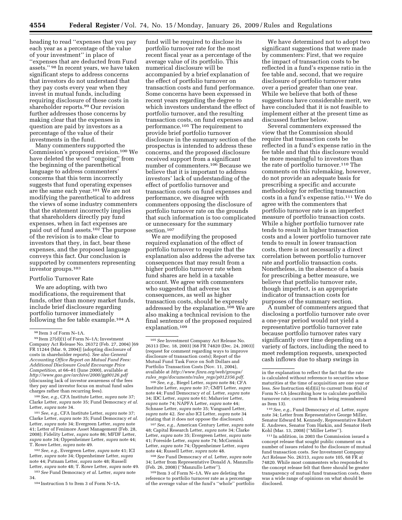**4554 Federal Register** / Vol. 74, No. 15 / Monday, January 26, 2009 / Rules and Regulations

heading to read ''expenses that you pay each year as a percentage of the value of your investment'' in place of ''expenses that are deducted from Fund assets.'' 98 In recent years, we have taken significant steps to address concerns that investors do not understand that they pay costs every year when they invest in mutual funds, including requiring disclosure of these costs in shareholder reports.99 Our revision further addresses those concerns by making clear that the expenses in question are paid by investors as a percentage of the value of their investments in the fund.

Many commenters supported the Commission's proposed revision.100 We have deleted the word ''ongoing'' from the beginning of the parenthetical language to address commenters' concerns that this term incorrectly suggests that fund operating expenses are the same each year.101 We are not modifying the parenthetical to address the views of some industry commenters that the statement incorrectly implies that shareholders directly pay fund expenses, when in fact expenses are paid out of fund assets.102 The purpose of the revision is to make clear to investors that they, in fact, bear these expenses, and the proposed language conveys this fact. Our conclusion is supported by commenters representing investor groups.103

#### Portfolio Turnover Rate

We are adopting, with two modifications, the requirement that funds, other than money market funds, include brief disclosure regarding portfolio turnover immediately following the fee table example.104 A

100 *See, e.g.*, CFA Institute Letter, *supra* note 37; Clarke Letter, *supra* note 35; Fund Democracy *et al.*  Letter, *supra* note 34.

101 *See, e.g.*, CFA Institute Letter, *supra* note 37; Clarke Letter, *supra* note 35; Fund Democracy *et al.*  Letter, *supra* note 34; Evergreen Letter, *supra* note 41; Letter of Fenimore Asset Management (Feb. 28, 2008); Fidelity Letter, *supra* note 86; MFDF Letter, *supra* note 34; Oppenheimer Letter, *supra* note 44; T. Rowe Letter, *supra* note 49.

102 *See, e.g.*, Evergreen Letter, *supra* note 41; ICI Letter, *supra* note 34; Oppenheimer Letter, *supra*  note 44; Putnam Letter, *supra* note 48; Russell Letter, *supra* note 48; T. Rowe Letter, *supra* note 49.

103 *See* Fund Democracy *et al.* Letter, *supra* note 34.

fund will be required to disclose its portfolio turnover rate for the most recent fiscal year as a percentage of the average value of its portfolio. This numerical disclosure will be accompanied by a brief explanation of the effect of portfolio turnover on transaction costs and fund performance. Some concerns have been expressed in recent years regarding the degree to which investors understand the effect of portfolio turnover, and the resulting transaction costs, on fund expenses and performance.105 The requirement to provide brief portfolio turnover disclosure in the summary section of the prospectus is intended to address these concerns, and the proposed disclosure received support from a significant number of commenters.106 Because we believe that it is important to address investors' lack of understanding of the effect of portfolio turnover and transaction costs on fund expenses and performance, we disagree with commenters opposing the disclosure of portfolio turnover rate on the grounds that such information is too complicated or unnecessary for the summary section.107

We are modifying the proposed required explanation of the effect of portfolio turnover to require that the explanation also address the adverse tax consequences that may result from a higher portfolio turnover rate when fund shares are held in a taxable account. We agree with commenters who suggested that adverse tax consequences, as well as higher transaction costs, should be expressly addressed by the explanation.108 We are also making a technical revision to the final sentence of the proposed required explanation.109

106 *See, e.g.*, Biegel Letter, *supra* note 84; CFA Institute Letter, *supra* note 37; CMFI Letter, *supra*  note 44; Fund Democracy *et al.* Letter, *supra* note 34; IDC Letter, *supra* note 61; Mahavier Letter, *supra* note 74; NAPFA Letter, *supra* note 44; Schnase Letter, *supra* note 35; Vanguard Letter, *supra* note 42. *See also* ICI Letter, *supra* note 34 (stating that it does not oppose the disclosure).

107 *See, e.g.*, American Century Letter, *supra* note 48; Capital Research Letter, *supra* note 34; Clarke Letter, *supra* note 35; Evergreen Letter, *supra* note 41; Foreside Letter, *supra* note 74; McCormick Letter, *supra* note 74; Oppenheimer Letter, *supra*  note 44; Russell Letter, *supra* note 48.

108 *See* Fund Democracy *et al*. Letter, *supra* note 34; Letter from Representative Donald A. Manzullo (Feb. 26, 2008) (''Manzullo Letter'').

109 Item 3 of Form N–1A. We are deleting the reference to portfolio turnover rate as a percentage of the average value of the fund's ''whole'' portfolio

We have determined not to adopt two significant suggestions that were made by commenters: First, that we require the impact of transaction costs to be reflected in a fund's expense ratio in the fee table and, second, that we require disclosure of portfolio turnover rates over a period greater than one year. While we believe that both of these suggestions have considerable merit, we have concluded that it is not feasible to implement either at the present time as discussed further below.

Several commenters expressed the view that the Commission should require that transaction costs be reflected in a fund's expense ratio in the fee table and that this disclosure would be more meaningful to investors than the rate of portfolio turnover.110 The comments on this rulemaking, however, do not provide an adequate basis for prescribing a specific and accurate methodology for reflecting transaction costs in a fund's expense ratio.111 We do agree with the commenters that portfolio turnover rate is an imperfect measure of portfolio transaction costs. While a higher portfolio turnover rate tends to result in higher transaction costs and a lower portfolio turnover rate tends to result in lower transaction costs, there is not necessarily a direct correlation between portfolio turnover rate and portfolio transaction costs. Nonetheless, in the absence of a basis for prescribing a better measure, we believe that portfolio turnover rate, though imperfect, is an appropriate indicator of transaction costs for purposes of the summary section.

A number of commenters argued that disclosing a portfolio turnover rate over a one-year period would not yield a representative portfolio turnover rate because portfolio turnover rates vary significantly over time depending on a variety of factors, including the need to meet redemption requests, unexpected cash inflows due to sharp swings in

110 *See, e.g.*, Fund Democracy *et al*. Letter, *supra*  note 34; Letter from Representative George Miller, Senator Edward M. Kennedy, Representative Robert E. Andrews, Senator Tom Harkin, and Senator Herb Kohl (Mar. 13, 2008) (''Miller Letter'').

111 In addition, in 2003 the Commission issued a concept release that sought public comment on a number of issues related to the disclosure of mutual fund transaction costs. *See* Investment Company Act Release No. 26313, *supra* note 105, 68 FR at 74820. While most commenters who responded to the concept release felt that there should be greater transparency of mutual fund transaction costs, there was a wide range of opinions on what should be disclosed.

<sup>98</sup> Item 3 of Form N–1A.

<sup>99</sup> Item 27(d)(1) of Form N–1A; Investment Company Act Release No. 26372 (Feb. 27, 2004) [69 FR 11244 (Mar. 9, 2004)] (adopting disclosure of costs in shareholder reports). *See also General Accounting Office Report on Mutual Fund Fees: Additional Disclosure Could Encourage Price Competition*, at 66–81 (June 2000), available at *http://www.gao.gov/archive/2000/gg00126.pdf*  (discussing lack of investor awareness of the fees they pay and investor focus on mutual fund sales charges rather than recurring fees).

<sup>104</sup> Instruction 5 to Item 3 of Form N–1A.

<sup>105</sup> *See* Investment Company Act Release No. 26313 (Dec. 18, 2003) [68 FR 74820 (Dec. 24, 2003)] (request for comment regarding ways to improve disclosure of transaction costs); Report of the Mutual Fund Task Force on Soft Dollars and Portfolio Transaction Costs (Nov. 11, 2004), available at *http://www.finra.org/web/groups/ rules*\_*regs/documents/rules*\_*regs/p012356.pdf*.

in the explanation to reflect the fact that the rate is calculated without reference to securities whose maturities at the time of acquisition are one year or less. *See* Instruction 4(d)(ii) to current Item 8(a) of Form N–1A (describing how to calculate portfolio turnover rate; current Item 8 is being renumbered as Item 13).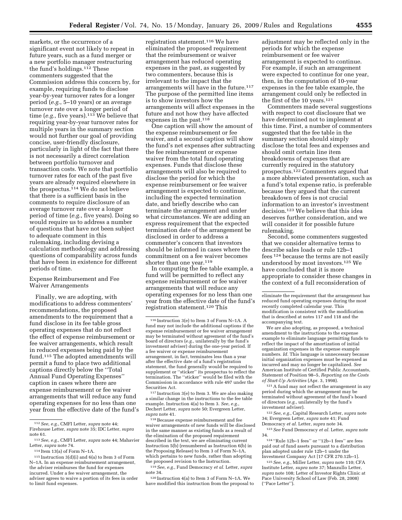markets, or the occurrence of a significant event not likely to repeat in future years, such as a fund merger or a new portfolio manager restructuring the fund's holdings.112 These commenters suggested that the Commission address this concern by, for example, requiring funds to disclose year-by-year turnover rates for a longer period (*e.g.*, 5–10 years) or an average turnover rate over a longer period of time (*e.g.*, five years).113 We believe that requiring year-by-year turnover rates for multiple years in the summary section would not further our goal of providing concise, user-friendly disclosure, particularly in light of the fact that there is not necessarily a direct correlation between portfolio turnover and transaction costs. We note that portfolio turnover rates for each of the past five years are already required elsewhere in the prospectus.<sup>114</sup> We do not believe that there is a sufficient basis in the comments to require disclosure of an average turnover rate over a longer period of time (*e.g.*, five years). Doing so would require us to address a number of questions that have not been subject to adequate comment in this rulemaking, including devising a calculation methodology and addressing questions of comparability across funds that have been in existence for different periods of time.

Expense Reimbursement and Fee Waiver Arrangements

Finally, we are adopting, with modifications to address commenters' recommendations, the proposed amendments to the requirement that a fund disclose in its fee table gross operating expenses that do not reflect the effect of expense reimbursement or fee waiver arrangements, which result in reduced expenses being paid by the fund.115 The adopted amendments will permit a fund to place two additional captions directly below the ''Total Annual Fund Operating Expenses'' caption in cases where there are expense reimbursement or fee waiver arrangements that will reduce any fund operating expenses for no less than one year from the effective date of the fund's registration statement.116 We have eliminated the proposed requirement that the reimbursement or waiver arrangement has reduced operating expenses in the past, as suggested by two commenters, because this is irrelevant to the impact that the arrangements will have in the future.117 The purpose of the permitted line items is to show investors how the arrangements will affect expenses in the future and not how they have affected expenses in the past.<sup>118</sup>

One caption will show the amount of the expense reimbursement or fee waiver, and a second caption will show the fund's net expenses after subtracting the fee reimbursement or expense waiver from the total fund operating expenses. Funds that disclose these arrangements will also be required to disclose the period for which the expense reimbursement or fee waiver arrangement is expected to continue, including the expected termination date, and briefly describe who can terminate the arrangement and under what circumstances. We are adding an express requirement that the expected termination date of the arrangement be disclosed in order to address a commenter's concern that investors should be informed in cases where the commitment on a fee waiver becomes shorter than one year.<sup>119</sup>

In computing the fee table example, a fund will be permitted to reflect any expense reimbursement or fee waiver arrangements that will reduce any operating expenses for no less than one year from the effective date of the fund's registration statement.120 This

117 Instruction 3(e) to Item 3. We are also making a similar change in the instructions to the fee table example. Instruction 4(a) to Item 3. *See, e.g.*, Dechert Letter, *supra* note 50; Evergreen Letter, *supra* note 41.

118 Because expense reimbursement and fee waiver arrangements of new funds will be disclosed in the same manner as existing funds as a result of the elimination of the proposed requirement described in the text, we are eliminating current Instruction 5(b) (renumbered as Instruction 6(b) in the Proposing Release) to Item 3 of Form N–1A, which pertains to new funds, rather than adopting the proposed revision to the Instruction.

119 *See, e.g.*, Fund Democracy *et al.* Letter, *supra*  note 34.

120 Instruction 4(a) to Item 3 of Form N–1A. We have modified this instruction from the proposal to adjustment may be reflected only in the periods for which the expense reimbursement or fee waiver arrangement is expected to continue. For example, if such an arrangement were expected to continue for one year, then, in the computation of 10-year expenses in the fee table example, the arrangement could only be reflected in the first of the 10 years.121

Commenters made several suggestions with respect to cost disclosure that we have determined not to implement at this time. First, a number of commenters suggested that the fee table in the summary section should simply disclose the total fees and expenses and should omit certain line item breakdowns of expenses that are currently required in the statutory prospectus.122 Commenters argued that a more abbreviated presentation, such as a fund's total expense ratio, is preferable because they argued that the current breakdown of fees is not crucial information to an investor's investment decision.123 We believe that this idea deserves further consideration, and we will consider it for possible future rulemaking.

Second, some commenters suggested that we consider alternative terms to describe sales loads or rule 12b–1 fees 124 because the terms are not easily understood by most investors.125 We have concluded that it is more appropriate to consider these changes in the context of a full reconsideration of

We are also adopting, as proposed, a technical amendment to the instructions to the expense example to eliminate language permitting funds to reflect the impact of the amortization of initial organization expenses in the expense example numbers. *Id.* This language is unnecessary because initial organization expenses must be expensed as incurred and may no longer be capitalized. *See*  American Institute of Certified Public Accountants, Statement of Position 98–5, *Reporting on the Costs of Start-Up Activities* (Apr. 3, 1998).

<sup>121</sup> A fund may not reflect the arrangement in any period during which the arrangement may be terminated without agreement of the fund's board of directors (*e.g.*, unilaterally by the fund's investment adviser).

122 *See, e.g.*, Capital Research Letter, *supra* note 34; Evergreen Letter, *supra* note 41; Fund Democracy *et al.* Letter, *supra* note 34.

123 *See* Fund Democracy *et al.* Letter, *supra* note 34.

 $^{124}$  "Rule 12b–1 fees" or "12b–1 fees" are fees paid out of fund assets pursuant to a distribution plan adopted under rule 12b–1 under the Investment Company Act [17 CFR 270.12b–1].

<sup>112</sup> *See, e.g.*, CMFI Letter, *supra* note 44; Firehouse Letter, *supra* note 35; IDC Letter, *supra*  note 61.

<sup>113</sup> *See, e.g.*, CMFI Letter, *supra* note 44; Mahavier Letter, *supra* note 74.

<sup>114</sup> Item 13(a) of Form N–1A.

 $115$  Instruction 3(d)(i) and 6(a) to Item 3 of Form N–1A. In an expense reimbursement arrangement, the adviser reimburses the fund for expenses incurred. Under a fee waiver arrangement, the adviser agrees to waive a portion of its fees in order to limit fund expenses.

<sup>116</sup> Instruction 3(e) to Item 3 of Form N–1A. A fund may not include the additional captions if the expense reimbursement or fee waiver arrangement may be terminated without agreement of the fund's board of directors (*e.g.*, unilaterally by the fund's investment adviser) during the one-year period. If a fee waiver or expense reimbursement arrangement, in fact, terminates less than a year after the effective date of a fund's registration statement, the fund generally would be required to supplement or ''sticker'' its prospectus to reflect the termination. The ''sticker'' would be filed with the Commission in accordance with rule 497 under the Securities Act.

eliminate the requirement that the arrangement has reduced fund operating expenses during the most recently completed calendar year. This modification is consistent with the modification that is described at notes 117 and 118 and the accompanying text.

<sup>125</sup> *See, e.g.*, Miller Letter, *supra* note 110; CFA Institute Letter, *supra* note 37; Manzullo Letter, *supra* note 108; Letter of Investor Rights Clinic at Pace University School of Law (Feb. 28, 2008) (''Pace Letter'').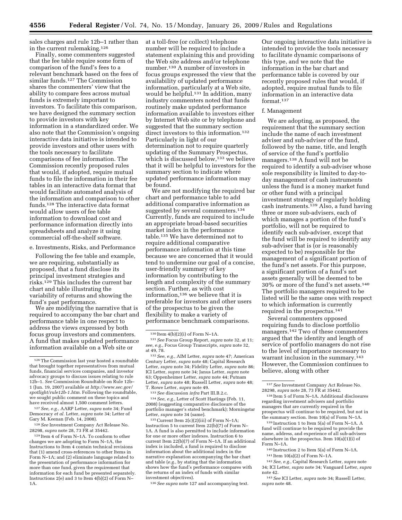sales charges and rule 12b–1 rather than in the current rulemaking.126

Finally, some commenters suggested that the fee table require some form of comparison of the fund's fees to a relevant benchmark based on the fees of similar funds.127 The Commission shares the commenters' view that the ability to compare fees across mutual funds is extremely important to investors. To facilitate this comparison, we have designed the summary section to provide investors with key information in a standardized order. We also note that the Commission's ongoing interactive data initiative is intended to provide investors and other users with the tools necessary to facilitate comparisons of fee information. The Commission recently proposed rules that would, if adopted, require mutual funds to file the information in their fee tables in an interactive data format that would facilitate automated analysis of the information and comparison to other funds.128 The interactive data format would allow users of fee table information to download cost and performance information directly into spreadsheets and analyze it using commercial off-the-shelf software.

e. Investments, Risks, and Performance

Following the fee table and example, we are requiring, substantially as proposed, that a fund disclose its principal investment strategies and risks.129 This includes the current bar chart and table illustrating the variability of returns and showing the fund's past performance.

We are modifying the narrative that is required to accompany the bar chart and performance table in one respect to address the views expressed by both focus group investors and commenters. A fund that makes updated performance information available on a Web site or

127 *See, e.g.*, AARP Letter, *supra* note 34; Fund Democracy *et al.* Letter, *supra* note 34; Letter of Gary M. Keenan (Feb. 14, 2008).

128 *See* Investment Company Act Release No. 28298, *supra* note 28, 73 FR at 35442.

129 Item 4 of Form N–1A. To conform to other changes we are adopting to Form N–1A, the Instructions to Item 4 contain technical revisions that (1) amend cross-references to other Items in Form N–1A; and (2) eliminate language related to the presentation of performance information for more than one fund, given the requirement that information for each fund be presented separately. Instructions 2(e) and 3 to Item 4(b)(2) of Form N– 1A.

at a toll-free (or collect) telephone number will be required to include a statement explaining this and providing the Web site address and/or telephone number.130 A number of investors in focus groups expressed the view that the availability of updated performance information, particularly at a Web site, would be helpful.131 In addition, many industry commenters noted that funds routinely make updated performance information available to investors either by Internet Web site or by telephone and suggested that the summary section direct investors to this information.132 Particularly in light of our determination not to require quarterly updating of the Summary Prospectus, which is discussed below,<sup>133</sup> we believe that it will be helpful to investors for the summary section to indicate where updated performance information may be found.

We are not modifying the required bar chart and performance table to add additional comparative information as suggested by several commenters.134 Currently, funds are required to include an appropriate broad-based securities market index in the performance table.135 We have determined not to require additional comparative performance information at this time because we are concerned that it would tend to undermine our goal of a concise, user-friendly summary of key information by contributing to the length and complexity of the summary section. Further, as with cost information,136 we believe that it is preferable for investors and other users of the prospectus to be given the flexibility to make a variety of performance benchmark comparisons.

133 *See* discussion *infra* Part III.B.2.c.

134 *See, e.g.*, Letter of Scott Hastings (Feb. 11, 2008) (suggesting comparative disclosure of the portfolio manager's stated benchmark); Morningstar Letter, *supra* note 34 (same).

 $^{135}\rm{Current}$  Item 2(c)(2)(iii) of Form N–1A; Instruction 5 to current Item 22(b)(7) of Form N– 1A. A fund is also permitted to include information for one or more other indexes. Instruction 6 to current Item 22(b)(7) of Form N–1A. If an additional index is included, a fund is required to disclose information about the additional index in the narrative explanation accompanying the bar chart and table (*e.g.*, by stating that the information shows how the fund's performance compares with the returns of an index of funds with similar investment objectives).

136 *See supra* note 127 and accompanying text.

Our ongoing interactive data initiative is intended to provide the tools necessary to facilitate dynamic comparisons of this type, and we note that the information in the bar chart and performance table is covered by our recently proposed rules that would, if adopted, require mutual funds to file information in an interactive data format.137

### f. Management

We are adopting, as proposed, the requirement that the summary section include the name of each investment adviser and sub-adviser of the fund, followed by the name, title, and length of service of the fund's portfolio managers.138 A fund will not be required to identify a sub-adviser whose sole responsibility is limited to day-today management of cash instruments unless the fund is a money market fund or other fund with a principal investment strategy of regularly holding cash instruments.139 Also, a fund having three or more sub-advisers, each of which manages a portion of the fund's portfolio, will not be required to identify each sub-adviser, except that the fund will be required to identify any sub-adviser that is (or is reasonably expected to be) responsible for the management of a significant portion of the fund's net assets. For this purpose, a significant portion of a fund's net assets generally will be deemed to be 30% or more of the fund's net assets.140 The portfolio managers required to be listed will be the same ones with respect to which information is currently required in the prospectus.141

Several commenters opposed requiring funds to disclose portfolio managers.142 Two of these commenters argued that the identity and length of service of portfolio managers do not rise to the level of importance necessary to warrant inclusion in the summary.143 However, the Commission continues to believe, along with other

139 Instruction 1 to Item 5(a) of Form N–1A. A fund will continue to be required to provide the name, address, and experience of all sub-advisers elsewhere in the prospectus. Item 10(a)(1)(i) of Form N–1A.

140 Instruction 2 to Item 5(a) of Form N–1A. 141 Item 10(a)(2) of Form N–1A.

142 *See, e.g.*, Capital Research Letter, *supra* note 34; ICI Letter, *supra* note 34; Vanguard Letter, *supra*  note 42.

143 *See* ICI Letter, *supra* note 34; Russell Letter, *supra* note 48.

<sup>126</sup> The Commission last year hosted a roundtable that brought together representatives from mutual funds, financial services companies, and investor advocacy groups to discuss issues relating to rule 12b–1. *See* Commission Roundtable on Rule 12b– 1 (Jun. 19, 2007) available at *http://www.sec.gov/ spotlight/rule12b-1.htm*. Following the roundtable, we sought public comment on these topics and have received almost 1,500 comment letters.

 $130$  Item  $4(b)(2)(i)$  of Form N-1A.

<sup>131</sup> *See* Focus Group Report, *supra* note 32, at 11; *see, e.g.*, Focus Group Transcripts, *supra* note 32, at 49, 78.

<sup>132</sup> *See, e.g.*, AIM Letter, *supra* note 47; American Century Letter, *supra* note 48; Capital Research Letter, *supra* note 34; Fidelity Letter, *supra* note 86; ICI Letter, *supra* note 34; Janus Letter, *supra* note 63; Oppenheimer Letter, *supra* note 44; Putnam Letter, *supra* note 48; Russell Letter, *supra* note 48; T. Rowe Letter, *supra* note 49.

<sup>137</sup> *See* Investment Company Act Release No. 28298, *supra* note 28, 73 FR at 35442.

<sup>138</sup> Item 5 of Form N–1A. Additional disclosures regarding investment advisers and portfolio managers that are currently required in the prospectus will continue to be required, but not in the summary section. Item 10(a) of Form N–1A.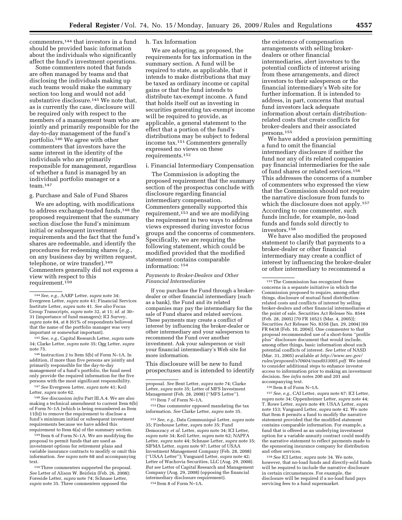commenters,144 that investors in a fund should be provided basic information about the individuals who significantly affect the fund's investment operations.

Some commenters noted that funds are often managed by teams and that disclosing the individuals making up such teams would make the summary section too long and would not add substantive disclosure.<sup>145</sup> We note that, as is currently the case, disclosure will be required only with respect to the members of a management team who are jointly and primarily responsible for the day-to-day management of the fund's portfolio.146 We agree with other commenters that investors have the same interest in the identity of the individuals who are primarily responsible for management, regardless of whether a fund is managed by an individual portfolio manager or a team.147

#### g. Purchase and Sale of Fund Shares

We are adopting, with modifications to address exchange-traded funds,148 the proposed requirement that the summary section disclose the fund's minimum initial or subsequent investment requirements and the fact that the fund's shares are redeemable, and identify the procedures for redeeming shares (*e.g.*, on any business day by written request, telephone, or wire transfer).149 Commenters generally did not express a view with respect to this requirement.150

145 *See, e.g.*, Capital Research Letter, *supra* note 34; Clarke Letter, *supra* note 35; Ogg Letter, *supra*  note 75.

146 Instruction 2 to Item 5(b) of Form N–1A. In addition, if more than five persons are jointly and primarily responsible for the day-to-day management of a fund's portfolio, the fund need only provide the required information for the five persons with the most significant responsibility.

147 *See* Evergreen Letter, *supra* note 41; Keil Letter, *supra* note 62.

148 *See* discussion *infra* Part III.A.4. We are also making a technical amendment to current Item 6(b) of Form N–1A (which is being renumbered as Item 11(b)) to remove the requirement to disclose a fund's minimum initial or subsequent investment requirements because we have added this requirement to Item 6(a) of the summary section.

149 Item 6 of Form N–1A. We are modifying the proposal to permit funds that are used as investment options for retirement plans and variable insurance contracts to modify or omit this information. *See supra* note 68 and accompanying text.

150 Three commenters supported the proposal. *See* Letter of Alison W. Beirlein (Feb. 26, 2008); Foreside Letter, *supra* note 74; Schnase Letter, *supra* note 35. Three commenters opposed the

# h. Tax Information

We are adopting, as proposed, the requirements for tax information in the summary section. A fund will be required to state, as applicable, that it intends to make distributions that may be taxed as ordinary income or capital gains or that the fund intends to distribute tax-exempt income. A fund that holds itself out as investing in securities generating tax-exempt income will be required to provide, as applicable, a general statement to the effect that a portion of the fund's distributions may be subject to federal income tax.151 Commenters generally expressed no views on these requirements.152

# i. Financial Intermediary Compensation

The Commission is adopting the proposed requirement that the summary section of the prospectus conclude with disclosure regarding financial intermediary compensation. Commenters generally supported this requirement,<sup>153</sup> and we are modifying the requirement in two ways to address views expressed during investor focus groups and the concerns of commenters. Specifically, we are requiring the following statement, which could be modified provided that the modified statement contains comparable information: 154

# *Payments to Broker-Dealers and Other Financial Intermediaries*

If you purchase the Fund through a brokerdealer or other financial intermediary (such as a bank), the Fund and its related companies may pay the intermediary for the sale of Fund shares and related services. These payments may create a conflict of interest by influencing the broker-dealer or other intermediary and your salesperson to recommend the Fund over another investment. Ask your salesperson or visit your financial intermediary's Web site for more information.

This disclosure will be new to fund prospectuses and is intended to identify

152 One commenter opposed mandating the tax information. *See* Clarke Letter, *supra* note 35.

153 *See, e.g.*, Data Communique´ Letter, *supra* note 35; Firehouse Letter, *supra* note 35; Fund Democracy *et al.* Letter, *supra* note 34; ICI Letter, *supra* note 34; Keil Letter, *supra* note 62; NAPFA Letter, *supra* note 44; Schnase Letter, *supra* note 35; SIFMA Letter, *supra* note 97; Letter of USAA Investment Management Company (Feb. 28, 2008) (''USAA Letter''); Vanguard Letter, *supra* note 42; Letter of Wachovia Securities, LLC (Aug. 29, 2008). *But see* Letter of Capital Research and Management Company (Aug. 29, 2008) (opposing the financial intermediary disclosure requirement). 154 Item 8 of Form N–1A.

the existence of compensation arrangements with selling brokerdealers or other financial intermediaries, alert investors to the potential conflicts of interest arising from these arrangements, and direct investors to their salesperson or the financial intermediary's Web site for further information. It is intended to address, in part, concerns that mutual fund investors lack adequate information about certain distributionrelated costs that create conflicts for broker-dealers and their associated persons.155

We have added a provision permitting a fund to omit the financial intermediary disclosure if neither the fund nor any of its related companies pay financial intermediaries for the sale of fund shares or related services.156 This addresses the concerns of a number of commenters who expressed the view that the Commission should not require the narrative disclosure from funds to which the disclosure does not apply.157 According to one commenter, such funds include, for example, no-load funds and funds sold directly to investors.158

We have also modified the proposed statement to clarify that payments to a broker-dealer or other financial intermediary may create a conflict of interest by influencing the broker-dealer or other intermediary to recommend a

156 Item 8 of Form N–1A.

157 *See, e.g.*, CAI Letter, *supra* note 67; ICI Letter, *supra* note 34; Oppenheimer Letter, *supra* note 44; T. Rowe Letter, *supra* note 49; USAA Letter, *supra*  note 153; Vanguard Letter, *supra* note 42. We note that Item 8 permits a fund to modify the narrative statement provided that the modified statement contains comparable information. For example, a fund that is offered as an underlying investment option for a variable annuity contract could modify the narrative statement to reflect payments made to the sponsoring insurance company for distribution and other services.

158 *See* ICI Letter, *supra* note 34. We note, however, that no-load funds and directly-sold funds will be required to include the narrative disclosure in certain circumstances. For example, the disclosure will be required if a no-load fund pays servicing fees to a fund supermarket.

<sup>144</sup> *See, e.g.*, AARP Letter, *supra* note 34; Evergreen Letter, *supra* note 41; Financial Services Institute Letter, *supra* note 41. *See also* Focus Group Transcripts, *supra* note 32, at 11; *id.* at 30– 31 (importance of fund managers); ICI Survey, *supra* note 84, at 8 (61% of respondents believed that the name of the portfolio manager was very important or somewhat important).

proposal. *See* Bent Letter, *supra* note 74; Clarke Letter, *supra* note 35; Letter of MFS Investment Management (Feb. 28, 2008) (''MFS Letter''). 151 Item 7 of Form N–1A.

<sup>155</sup> The Commission has recognized these concerns in a separate initiative in which the Commission proposed to require, among other things, disclosure of mutual fund distributionrelated costs and conflicts of interest by selling broker-dealers and other financial intermediaries at the point of sale. Securities Act Release No. 8544 (Feb. 28, 2005) [70 FR 10521 (Mar. 4, 2005)]; Securities Act Release No. 8358 (Jan. 29, 2004) [69 FR 6438 (Feb. 10, 2004)]. One commenter to that proposal recommended use of a short-form ''profile plus'' disclosure document that would include, among other things, basic information about such potential conflicts of interest. *See* Letter of NASD (Mar. 31, 2005) available at *http://www.sec.gov/ rules/proposed/s70604/nasd033005.pdf.* We intend to consider additional steps to enhance investor access to information prior to making an investment decision. See *infra* notes 200 and 201 and accompanying text.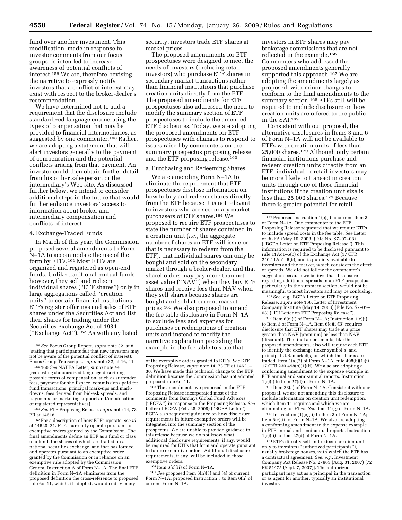fund over another investment. This modification, made in response to investor comments from our focus groups, is intended to increase awareness of potential conflicts of interest.159 We are, therefore, revising the narrative to expressly notify investors that a conflict of interest may exist with respect to the broker-dealer's recommendation.

We have determined not to add a requirement that the disclosure include standardized language enumerating the types of compensation that may be provided to financial intermediaries, as suggested by one commenter.<sup>160</sup> Rather, we are adopting a statement that will alert investors generally to the payment of compensation and the potential conflicts arising from that payment. An investor could then obtain further detail from his or her salesperson or the intermediary's Web site. As discussed further below, we intend to consider additional steps in the future that would further enhance investors' access to information about broker and intermediary compensation and conflicts of interest.

#### 4. Exchange-Traded Funds

In March of this year, the Commission proposed several amendments to Form N–1A to accommodate the use of the form by ETFs.161 Most ETFs are organized and registered as open-end funds. Unlike traditional mutual funds, however, they sell and redeem individual shares (''ETF shares'') only in large aggregations called ''creation units'' to certain financial institutions. ETFs register offerings and sales of ETF shares under the Securities Act and list their shares for trading under the Securities Exchange Act of 1934 (''Exchange Act'').162 As with any listed

161 *See* ETF Proposing Release, *supra* note 14, 73 FR at 14618.

162 For a description of how ETFs operate, *see id.*  at 14620–21. ETFs currently operate pursuant to exemptive orders granted by the Commission. The final amendments define an ETF as a fund or class of a fund, the shares of which are traded on a national securities exchange, and that has formed and operates pursuant to an exemptive order granted by the Commission or in reliance on an exemptive rule adopted by the Commission. General Instruction A of Form N–1A. The final ETF definition in Form N–1A eliminates from the proposed definition the cross-reference to proposed rule 6c–11, which, if adopted, would codify many

security, investors trade ETF shares at market prices.

The proposed amendments for ETF prospectuses were designed to meet the needs of investors (including retail investors) who purchase ETF shares in secondary market transactions rather than financial institutions that purchase creation units directly from the ETF. The proposed amendments for ETF prospectuses also addressed the need to modify the summary section of ETF prospectuses to include the amended ETF disclosures. Today, we are adopting the proposed amendments for ETF prospectuses with changes to respond to issues raised by commenters on the summary prospectus proposing release and the ETF proposing release.163

a. Purchasing and Redeeming Shares

We are amending Form N–1A to eliminate the requirement that ETF prospectuses disclose information on how to buy and redeem shares directly from the ETF because it is not relevant to investors who are secondary market purchasers of ETF shares.164 We proposed to require ETF prospectuses to state the number of shares contained in a creation unit (*i.e.*, the aggregate number of shares an ETF will issue or that is necessary to redeem from the ETF), that individual shares can only be bought and sold on the secondary market through a broker-dealer, and that shareholders may pay more than net asset value ("NAV") when they buy ETF shares and receive less than NAV when they sell shares because shares are bought and sold at current market prices.165 We also proposed to amend the fee table disclosure in Form N–1A to exclude fees and expenses for purchases or redemptions of creation units and instead to modify the narrative explanation preceding the example in the fee table to state that

163 The amendments we proposed in the ETF Proposing Release incorporated most of the comments from Barclays Global Fund Advisors (''BGFA'') in response to the Proposing Release. *See*  Letter of BGFA (Feb. 28, 2008) ("BGFA Letter"). BGFA also requested guidance on how disclosure requirements in future exemptive orders will be integrated into the summary section of the prospectus. We are unable to provide guidance in this release because we do not know what additional disclosure requirements, if any, would be required for ETFs that form and operate pursuant to future exemptive orders. Additional disclosure requirements, if any, will be included in those exemptive orders.

 $^{164}\rm{Item}$  6(c)(ii) of Form N–1A.

165 *See* proposed Item 6(h)(3) and (4) of current Form N–1A; proposed Instruction 3 to Item 6(h) of current Form N–1A.

investors in ETF shares may pay brokerage commissions that are not reflected in the example.166 Commenters who addressed the proposed amendments generally supported this approach.<sup>167</sup> We are adopting the amendments largely as proposed, with minor changes to conform to the final amendments to the summary section.168 ETFs still will be required to include disclosure on how creation units are offered to the public in the SAI.169

Consistent with our proposal, the alternative disclosures in Items 3 and 6 of Form N–1A will not be available to ETFs with creation units of less than 25,000 shares.170 Although only certain financial institutions purchase and redeem creation units directly from an ETF, individual or retail investors may be more likely to transact in creation units through one of these financial institutions if the creation unit size is less than 25,000 shares.171 Because there is greater potential for retail

167 See, *e.g.*, BGFA Letter on ETF Proposing Release, *supra* note 166, Letter of Investment Company Institute (May 19, 2008) (File No. S7–07– 08) (''ICI Letter on ETF Proposing Release'').

168 Item 6(c)(i) of Form N–1A; Instruction 1(e)(i) to Item 3 of Form N–1A. Item  $6(c)(i)(B)$  requires disclosure that ETF shares may trade at a price greater than NAV (premium) or less than NAV (discount). The final amendments, like the proposed amendments, also will require each ETF to identify the exchange ticker symbol(s) and principal U.S. market(s) on which the shares are traded. Item  $1(a)(2)$  of Form N-1A; rule  $498(b)(1)(ii)$ 17 CFR 230.498(b)(1)(ii). We also are adopting a conforming amendment to the expense example in ETF annual and semi-annual reports. Instruction 1(e)(i) to Item 27(d) of Form N–1A.

169 Item 23(a) of Form N–1A. Consistent with our proposal, we are not amending this disclosure to include information on creation unit redemption, which Item 11 requires and which we are eliminating for ETFs. *See* Item 11(g) of Form N–1A.

170 Instruction (1)(e)(ii) to Item 3 of Form N–1A; Item 6(c)(ii) of Form N–1A. We also are adopting a conforming amendment to the expense example in ETF annual and semi-annual reports. Instruction 1(e)(ii) to Item 27(d) of Form N–1A.

171 ETFs directly sell and redeem creation units only to investors (''authorized participants''), usually brokerage houses, with which the ETF has a contractual agreement. *See, e.g.*, Investment Company Act Release No. 27963 (Aug. 31, 2007) [72 FR 51475 (Sept. 7, 2007)]. The authorized participant may act as a principal in the transaction or as agent for another, typically an institutional investor.

<sup>159</sup> *See* Focus Group Report, *supra* note 32, at 8 (stating that participants felt that new investors may not be aware of the potential conflict of interest); Focus Group Transcripts, *supra* note 32, at 16, 41.

<sup>160 160</sup> *See* NAPFA Letter, *supra* note 44 (requesting standardized language describing possible forms of compensation, such as surrender fees, payment for shelf space, commissions paid for fund transactions, principal mark-ups and markdowns, fees derived from bid-ask spreads, and payments for marketing support and/or education of registered representatives).

of the exemptive orders granted to ETFs. *See* ETF Proposing Release, *supra* note 14, 73 FR at 14621– 30. We have made this technical change to the ETF definition because the Commission has not adopted proposed rule 6c–11.

<sup>166</sup> Proposed Instruction 1(e)(i) to current Item 3 of Form N–1A. One commenter to the ETF Proposing Release requested that we require ETFs to include spread costs in the fee table. *See* Letter of BGFA (May 16, 2008) (File No. S7–07–08) (''BGFA Letter on ETF Proposing Release''). This information is required to be disclosed pursuant to rule 11Ac1–5(b) of the Exchange Act [17 CFR 240.11Ac1–5(b)] and is publicly available to investors and the market, which considers the effect of spreads. We did not follow the commenter's suggestion because we believe that disclosure regarding additional spreads in an ETF prospectus, particularly in the summary section, would not be meaningful to most investors and may be confusing.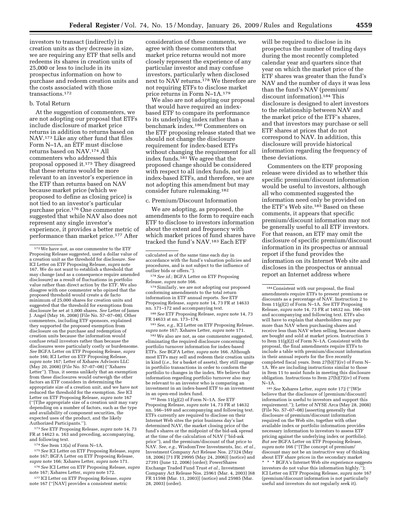investors to transact (indirectly) in creation units as they decrease in size, we are requiring any ETF that sells and redeems its shares in creation units of 25,000 or less to include in its prospectus information on how to purchase and redeem creation units and the costs associated with those transactions.172

# b. Total Return

At the suggestion of commenters, we are not adopting our proposal that ETFs include disclosure of market price returns in addition to returns based on NAV.173 Like any other fund that files Form N–1A, an ETF must disclose returns based on NAV.174 All commenters who addressed this proposal opposed it.175 They disagreed that these returns would be more relevant to an investor's experience in the ETF than returns based on NAV because market price (which we proposed to define as closing price) is not tied to an investor's particular purchase price.176 One commenter suggested that while NAV also does not represent any single investor's experience, it provides a better metric of performance than market price.177 After

173 *See* ETF Proposing Release, *supra* note 14, 73 FR at 14623 n. 163 and preceding, accompanying, and following text.

174 *See* Item 13(a) of Form N–1A.

175 *See* ICI Letter on ETF Proposing Release, *supra*  note 167; BGFA Letter on ETF Proposing Release, *supra* note 166; Xshares Letter, *supra* note 171.

176 *See* ICI Letter on ETF Proposing Release, *supra*  note 167; Xshares Letter, *supra* note 172.

177 ICI Letter on ETF Proposing Release, *supra*  note 167 (''[NAV] provides a consistent metric

consideration of these comments, we agree with these commenters that market price returns would not more closely represent the experience of any particular investor and may confuse investors, particularly when disclosed next to NAV returns.178 We therefore are not requiring ETFs to disclose market price returns in Form N–1A.179

We also are not adopting our proposal that would have required an indexbased ETF to compare its performance to its underlying index rather than a benchmark index.180 Commenters on the ETF proposing release stated that we should not change the disclosure requirement for index-based ETFs without changing the requirement for all index funds.181 We agree that the proposed change should be considered with respect to all index funds, not just index-based ETFs, and therefore, we are not adopting this amendment but may consider future rulemaking.182

# c. Premium/Discount Information

We are adopting, as proposed, the amendments to the form to require each ETF to disclose to investors information about the extent and frequency with which market prices of fund shares have tracked the fund's NAV.183 Each ETF

179 Similarly, we are not adopting our proposed conforming amendments to the total return information in ETF annual reports. *See* ETF Proposing Release, *supra* note 14, 73 FR at 14633 nn. 171–172 and accompanying text.

180 *See* ETF Proposing Release, *supra* note 14, 73 FR 14633 at nn. 173–174.

181 *See, e.g.*, ICI Letter on ETF Proposing Release, *supra* note 167; Xshares Letter, *supra* note 171.

182 We also are not, as one commenter suggested, eliminating the required disclosure concerning portfolio turnover information for index-based ETFs. *See* BGFA Letter, *supra* note 166. Although most ETFs may sell and redeem their creation units in kind (*i.e.*, for a basket of assets), they still engage in portfolio transactions in order to conform the portfolio to changes in the index. We believe that information regarding portfolio turnover also may be relevant to an investor who is comparing an investment in an index-based ETF to an investment in an open-end index fund.

183 Item 11(g)(2) of Form N–1A. *See* ETF Proposing Release, *supra* note 14, 73 FR at 14632 nn. 166–169 and accompanying and following text. ETFs currently are required to disclose on their Internet Web sites the prior business day's last determined NAV, the market closing price of the fund's shares or the midpoint of the bid-ask spread at the time of the calculation of NAV (''bid-ask price''), and the premium/discount of that price to NAV. *See, e.g.*, WisdomTree Investments, Inc. *et al.*, Investment Company Act Release Nos. 27324 (May 18, 2006) [71 FR 29995 (May 24, 2006)] (notice) and 27391 (June 12, 2006) (order); PowerShares Exchange Traded Fund Trust *et al.*, Investment Company Act Release Nos. 25961 (Mar. 4, 2003) [68 FR 11598 (Mar. 11, 2003)] (notice) and 25985 (Mar. 28, 2003) (order).

will be required to disclose in its prospectus the number of trading days during the most recently completed calendar year and quarters since that year on which the market price of the ETF shares was greater than the fund's NAV and the number of days it was less than the fund's NAV (premium/ discount information).184 This disclosure is designed to alert investors to the relationship between NAV and the market price of the ETF's shares, and that investors may purchase or sell ETF shares at prices that do not correspond to NAV. In addition, this disclosure will provide historical information regarding the frequency of these deviations.

Commenters on the ETF proposing release were divided as to whether this specific premium/discount information would be useful to investors, although all who commented suggested the information need only be provided on the ETF's Web site.185 Based on these comments, it appears that specific premium/discount information may not be generally useful to all ETF investors. For that reason, an ETF may omit the disclosure of specific premium/discount information in its prospectus or annual report if the fund provides the information on its Internet Web site and discloses in the prospectus or annual report an Internet address where

185 *See* Xshares Letter, *supra* note 172 (''[W]e believe that the disclosure of [premium/discount] information is useful to investors and support this requirement.''); Letter of NYSE Arca (May 28, 2008) (File No. S7–07–08) (asserting generally that disclosure of premium/discount information required on the Web site, together with other available index or portfolio information provides necessary information to investors to assess ETF pricing against the underlying index or portfolio). *But see* BGFA Letter on ETF Proposing Release, *supra* note 166 (''[T]he concept of premium/ discount may not be an instructive way of thinking about ETF share prices in the secondary market \* \* \* BGFA's Internet Web site experience suggests investors do not value this information highly." ICI Letter on ETF Proposing Release, *supra* note 167 (premium/discount information is not particularly useful and investors do not regularly seek it).

<sup>172</sup> We have not, as one commenter to the ETF Proposing Release suggested, used a dollar value of a creation unit as the threshold for disclosure. *See*  ICI Letter on ETF Proposing Release, *supra* note 167. We do not want to establish a threshold that may change (and as a consequence require amended disclosure) as a result of fluctuations in portfolio value rather than direct action by the ETF. We also disagree with one commenter who opined that the proposed threshold would create a de facto minimum of 25,000 shares for creation units and suggested that the threshold for exemptions from disclosure be set at 1,000 shares. *See* Letter of James J. Angel (May 16, 2008) (File No. S7–07–08). Other commenters, including ETF sponsors, explained they supported the proposed exemption from disclosure on the purchase and redemption of creation units because the information would confuse retail investors rather than because the disclosures were particularly costly or burdensome. *See* BGFA Letter on ETF Proposing Release, *supra*  note 166; ICI Letter on ETF Proposing Release, *supra* note 167; Letter of Xshares Advisors LLC (May 20, 2008) (File No. S7–07–08) (''Xshares Letter''). Thus, it seems unlikely that an exemption from these disclosures would outweigh the other factors an ETF considers in determining the appropriate size of a creation unit, and we have not reduced the threshold for the exemption. *See* ICI Letter on ETF Proposing Release, *supra* note 167 (''[T]he appropriate size of a creation unit may vary depending on a number of factors, such as the type and availability of component securities, the expected uses of the product, and the likely Authorized Participants.'').

calculated as of the same time each day in accordance with the fund's valuation policies and procedures, and is not subject to the influence of outlier bids or offers.'').

<sup>178</sup> *See id.*; BGFA Letter on ETF Proposing Release, *supra* note 166.

<sup>184</sup> Consistent with our proposal, the final amendments require ETFs to present premiums or discounts as a percentage of NAV. Instruction 2 to Item 11(g)(2) of Form N–1A. *See* ETF Proposing Release, *supra* note 14, 73 FR at 14632 nn. 166–169 and accompanying and following text. ETFs also will have to explain that shareholders may pay more than NAV when purchasing shares and receive less than NAV when selling, because shares are bought and sold at market prices. Instruction 3 to Item 11(g)(2) of Form N–1A. Consistent with the proposal, the final amendments require ETFs to include a table with premium/discount information in their annual reports for the five recently completed fiscal years. Item 27(b)(7)(iv) of Form N– 1A. We are including instructions similar to those in Item 11 to assist funds in meeting this disclosure obligation. Instructions to Item  $27(b)(7)(iv)$  of Form  $N-1A$ .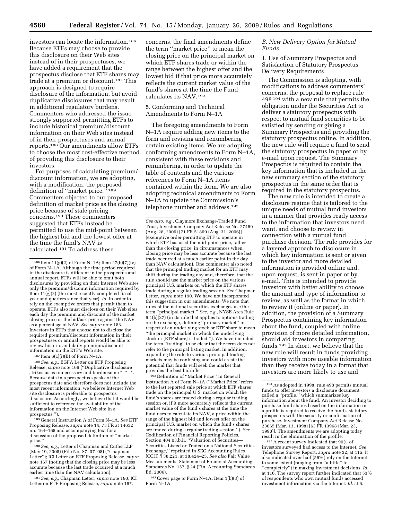investors can locate the information.186 Because ETFs may choose to provide this disclosure on their Web sites instead of in their prospectuses, we have added a requirement that the prospectus disclose that ETF shares may trade at a premium or discount.187 This approach is designed to require disclosure of the information, but avoid duplicative disclosures that may result in additional regulatory burdens. Commenters who addressed the issue strongly supported permitting ETFs to include historical premium/discount information on their Web sites instead of in their prospectuses and annual reports.188 Our amendments allow ETFs to choose the most cost-effective method of providing this disclosure to their investors.

For purposes of calculating premium/ discount information, we are adopting, with a modification, the proposed definition of "market price."<sup>189</sup> Commenters objected to our proposed definition of market price as the closing price because of stale pricing concerns.190 These commenters suggested that ETFs instead be permitted to use the mid-point between the highest bid and the lowest offer at the time the fund's NAV is calculated.191 To address these

186 Item 11(g)(2) of Form N–1A; Item 27(b)(7)(iv) of Form N–1A. Although the time period required in the disclosure is different in the prospectus and annual report, ETFs will be able to omit both disclosures by providing on their Internet Web sites only the premium/discount information required by Item  $11(g)(2)$  (the most recently completed fiscal year and quarters since that year). *Id*. In order to rely on the exemptive orders that permit them to operate, ETFs also must disclose on their Web sites each day the premium and discount of the market closing price or the bid/ask price against the NAV as a percentage of NAV. *See supra* note 183. Investors in ETFs that choose not to disclose the required premium/discount information in their prospectuses or annual reports would be able to review historic and daily premium/discount information on the ETF's Web site.

 $187$  Item 6(c)(i)(B) of Form N-1A.

188 *See, e.g.*, BGFA Letter on ETF Proposing Release, *supra* note 166 (''Duplicative disclosure strikes us as unnecessary and burdensome \* Because data in a prospectus speaks of the prospectus date and therefore does not include the most recent information, we believe Internet Web site disclosure is preferable to prospectus disclosure. Accordingly, we believe that it would be sufficient to reference the availability of the information on the Internet Web site in a prospectus.'').

189 General Instruction A of Form N–1A. *See* ETF Proposing Release, *supra* note 14, 73 FR at 14632 nn. 164–165 and accompanying text for a discussion of the proposed definition of ''market price.

190 *See, e.g.*, Letter of Chapman and Cutler LLP (May 19, 2008) (File No. S7–07–08) (''Chapman Letter''); ICI Letter on ETF Proposing Release, *supra*  note 167 (noting that the closing price may be less accurate because the last trade occurred at a much earlier time than the NAV calculation).

191 *See, e.g.*, Chapman Letter, *supra* note 190; ICI Letter on ETF Proposing Release, *supra* note 167.

concerns, the final amendments define the term ''market price'' to mean the closing price on the principal market on which ETF shares trade or within the range between the highest offer and the lowest bid if that price more accurately reflects the current market value of the fund's shares at the time the Fund calculates its NAV.192

# 5. Conforming and Technical Amendments to Form N–1A

The foregoing amendments to Form N–1A require adding new items to the form and revising and renumbering certain existing items. We are adopting conforming amendments to Form N–1A, consistent with these revisions and renumbering, in order to update the table of contents and the various references to Form N–1A items contained within the form. We are also adopting technical amendments to Form N–1A to update the Commission's telephone number and address.193

192 Definition of ''Market Price'' in General Instruction A of Form N–1A (''Market Price'' refers to the last reported sale price at which ETF shares trade on the principal U.S. market on which the fund's shares are traded during a regular trading session or, if it more accurately reflects the current market value of the fund's shares at the time the fund uses to calculate its NAV, a price within the range of the highest bid and lowest offer on the principal U.S. market on which the fund's shares are traded during a regular trading session.''). *See*  Codification of Financial Reporting Policies, Section 404.03.b.ii, ''Valuation of Securities— Securities Listed or Traded on a National Securities Exchange,'' reprinted in SEC Accounting Rules (CCH) ¶ 38,221, at 38.424–25. *See also* Fair Value Measurements, Statement of Financial Accounting Standards No. 157, § 24 (Fin. Accounting Standards Bd. 2006).

193 Cover page to Form N–1A; Item 1(b)(3) of Form N–1A.

# *B. New Delivery Option for Mutual Funds*

1. Use of Summary Prospectus and Satisfaction of Statutory Prospectus Delivery Requirements

The Commission is adopting, with modifications to address commenters' concerns, the proposal to replace rule 498 194 with a new rule that permits the obligation under the Securities Act to deliver a statutory prospectus with respect to mutual fund securities to be satisfied by sending or giving a Summary Prospectus and providing the statutory prospectus online. In addition, the new rule will require a fund to send the statutory prospectus in paper or by e-mail upon request. The Summary Prospectus is required to contain the key information that is included in the new summary section of the statutory prospectus in the same order that is required in the statutory prospectus.

The new rule is intended to create a disclosure regime that is tailored to the unique needs of mutual fund investors in a manner that provides ready access to the information that investors need, want, and choose to review in connection with a mutual fund purchase decision. The rule provides for a layered approach to disclosure in which key information is sent or given to the investor and more detailed information is provided online and, upon request, is sent in paper or by e-mail. This is intended to provide investors with better ability to choose the amount and type of information to review, as well as the format in which to review it (online or paper). In addition, the provision of a Summary Prospectus containing key information about the fund, coupled with online provision of more detailed information, should aid investors in comparing funds.195 In short, we believe that the new rule will result in funds providing investors with more useable information than they receive today in a format that investors are more likely to use and

195 A recent survey indicated that 90% of investors surveyed had access to the Internet. *See*  Telephone Survey Report, *supra* note 32, at 115. It also indicated over half (56%) rely on the Internet to some extent (ranging from ''a little'' to ''completely'') in making investment decisions. *Id*. at 116. The survey report further indicated that 53% of respondents who own mutual funds accessed investment information via the Internet. *Id*. at 6.

*See also, e.g.*, Claymore Exchange-Traded Fund Trust, Investment Company Act Release No. 27469 (Aug. 28, 2006) [71 FR 51869 (Aug. 31, 2006)] (exemptive order permitting ETF to operate in which ETF has used the mid-point price, rather than the closing price, in circumstances when closing price may be less accurate because the last trade occurred at a much earlier point in the day than NAV calculation). One commenter also noted that the principal trading market for an ETF may shift during the trading day and, therefore, that the rule should use the market price on the various principal U.S. markets on which the ETF shares trade during a regular trading session. *See* Chapman Letter, *supra* note 190. We have not incorporated this suggestion in our amendments. We note that rules of the national securities exchanges use the term ''principal market.'' *See, e.g.*, NYSE Arca Rule 6.1(b)(27) (in its rule that applies to options trading on the exchange, defining ''primary market'' in respect of an underlying stock or ETF share to mean ''the principal market in which the underlying stock or [ETF share] is traded.''). We have included the term ''trading'' to be clear that the term does not refer to the principal listing market. In addition, expanding the rule to various principal trading markets may be confusing and could create the potential that funds will seek the market that provides the best bid/offer.

<sup>194</sup> As adopted in 1998, rule 498 permits mutual funds to offer investors a disclosure document called a ''profile,'' which summarizes key information about the fund. An investor deciding to purchase fund shares based on the information in a profile is required to receive the fund's statutory prospectus with the security or confirmation of purchase. Investment Company Act Release No. 23065 (Mar. 13, 1998) [63 FR 13968 (Mar. 23, 1998)]. The amendments we are adopting today result in the elimination of the profile.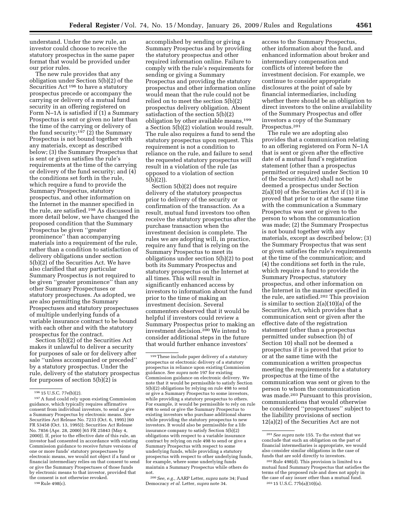understand. Under the new rule, an investor could choose to receive the statutory prospectus in the same paper format that would be provided under our prior rules.

The new rule provides that any obligation under Section 5(b)(2) of the Securities Act<sup>196</sup> to have a statutory prospectus precede or accompany the carrying or delivery of a mutual fund security in an offering registered on Form N–1A is satisfied if (1) a Summary Prospectus is sent or given no later than the time of the carrying or delivery of the fund security;<sup>197</sup> (2) the Summary Prospectus is not bound together with any materials, except as described below; (3) the Summary Prospectus that is sent or given satisfies the rule's requirements at the time of the carrying or delivery of the fund security; and (4) the conditions set forth in the rule, which require a fund to provide the Summary Prospectus, statutory prospectus, and other information on the Internet in the manner specified in the rule, are satisfied.198 As discussed in more detail below, we have changed the proposed condition that the Summary Prospectus be given ''greater prominence'' than accompanying materials into a requirement of the rule, rather than a condition to satisfaction of delivery obligations under section 5(b)(2) of the Securities Act. We have also clarified that any particular Summary Prospectus is not required to be given ''greater prominence'' than any other Summary Prospectuses or statutory prospectuses. As adopted, we are also permitting the Summary Prospectuses and statutory prospectuses of multiple underlying funds of a variable insurance contract to be bound with each other and with the statutory prospectus for the contract.

Section 5(b)(2) of the Securities Act makes it unlawful to deliver a security for purposes of sale or for delivery after sale ''unless accompanied or preceded'' by a statutory prospectus. Under the rule, delivery of the statutory prospectus for purposes of section 5(b)(2) is

198 Rule 498(c).

accomplished by sending or giving a Summary Prospectus and by providing the statutory prospectus and other required information online. Failure to comply with the rule's requirements for sending or giving a Summary Prospectus and providing the statutory prospectus and other information online would mean that the rule could not be relied on to meet the section 5(b)(2) prospectus delivery obligation. Absent satisfaction of the section 5(b)(2) obligation by other available means,<sup>199</sup> a Section 5(b)(2) violation would result. The rule also requires a fund to send the statutory prospectus upon request. This requirement is not a condition to reliance on the rule, and failure to send the requested statutory prospectus will result in a violation of the rule (as opposed to a violation of section 5(b)(2)).

Section 5(b)(2) does not require delivery of the statutory prospectus prior to delivery of the security or confirmation of the transaction. As a result, mutual fund investors too often receive the statutory prospectus after the purchase transaction when the investment decision is complete. The rules we are adopting will, in practice, require any fund that is relying on the Summary Prospectus to meet its obligations under section 5(b)(2) to post both its Summary Prospectus and statutory prospectus on the Internet at all times. This will result in significantly enhanced access by investors to information about the fund prior to the time of making an investment decision. Several commenters observed that it would be helpful if investors could review a Summary Prospectus prior to making an investment decision.200 We intend to consider additional steps in the future that would further enhance investors'

200 *See, e.g.*, AARP Letter, *supra* note 34; Fund Democracy *et al.* Letter, *supra* note 34.

access to the Summary Prospectus, other information about the fund, and enhanced information about broker and intermediary compensation and conflicts of interest before the investment decision. For example, we continue to consider appropriate disclosures at the point of sale by financial intermediaries, including whether there should be an obligation to direct investors to the online availability of the Summary Prospectus and offer investors a copy of the Summary Prospectus.201

The rule we are adopting also provides that a communication relating to an offering registered on Form N–1A that is sent or given after the effective date of a mutual fund's registration statement (other than a prospectus permitted or required under Section 10 of the Securities Act) shall not be deemed a prospectus under Section 2(a)(10) of the Securities Act if (1) it is proved that prior to or at the same time with the communication a Summary Prospectus was sent or given to the person to whom the communication was made; (2) the Summary Prospectus is not bound together with any materials, except as described below; (3) the Summary Prospectus that was sent or given satisfies the rule's requirements at the time of the communication; and (4) the conditions set forth in the rule, which require a fund to provide the Summary Prospectus, statutory prospectus, and other information on the Internet in the manner specified in the rule, are satisfied.202 This provision is similar to section 2(a)(10)(a) of the Securities Act, which provides that a communication sent or given after the effective date of the registration statement (other than a prospectus permitted under subsection (b) of Section 10) shall not be deemed a prospectus if it is proved that prior to or at the same time with the communication a written prospectus meeting the requirements for a statutory prospectus at the time of the communication was sent or given to the person to whom the communication was made.<sup>203</sup> Pursuant to this provision, communications that would otherwise be considered ''prospectuses'' subject to the liability provisions of section 12(a)(2) of the Securities Act are not

<sup>196 15</sup> U.S.C. 77e(b)(2).

<sup>197</sup> A fund could rely upon existing Commission guidance, which typically requires affirmative consent from individual investors, to send or give a Summary Prospectus by electronic means. *See*  Securities Act Release No. 7233 (Oct. 6, 1995) [60 FR 53458 (Oct. 13, 1995)]; Securities Act Release No. 7856 (Apr. 28, 2000) [65 FR 25843 (May 4, 2000)]. If, prior to the effective date of this rule, an investor had consented in accordance with existing Commission guidance to receive future versions of one or more funds' statutory prospectuses by electronic means, we would not object if a fund or financial intermediary relies on that consent to send or give the Summary Prospectuses of those funds by electronic means to that investor, provided that the consent is not otherwise revoked.

<sup>199</sup> These include paper delivery of a statutory prospectus or electronic delivery of a statutory prospectus in reliance upon existing Commission guidance. See *supra* note 197 for existing Commission guidance on electronic delivery. We note that it would be permissible to satisfy Section 5(b)(2) obligations by relying on rule 498 to send or give a Summary Prospectus to some investors, while providing a statutory prospectus to others. For example, it would be permissible to rely on rule 498 to send or give the Summary Prospectus to existing investors who purchase additional shares while providing the statutory prospectus to new investors. It would also be permissible for a life insurance company to satisfy Section 5(b)(2) obligations with respect to a variable insurance contract by relying on rule 498 to send or give a Summary Prospectus with respect to some underlying funds, while providing a statutory prospectus with respect to other underlying funds, for example, where some underlying funds maintain a Summary Prospectus while others do not.

<sup>201</sup> *See supra* note 155. To the extent that we conclude that such an obligation on the part of financial intermediaries is appropriate, we would also consider similar obligations in the case of funds that are sold directly to investors.

<sup>202</sup> Rule 498(d). This provision is limited to a mutual fund Summary Prospectus that satisfies the terms of the proposed rule and does not apply in the case of any issuer other than a mutual fund. 203 15 U.S.C. 77b(a)(10)(a).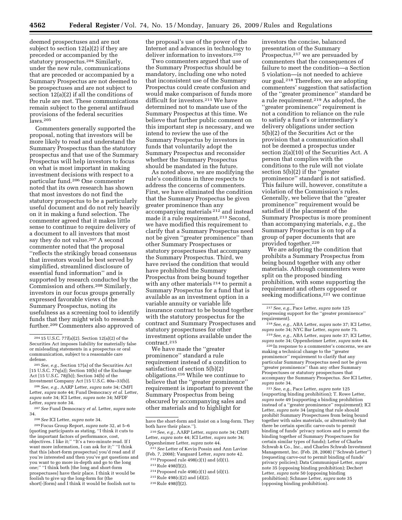deemed prospectuses and are not subject to section 12(a)(2) if they are preceded or accompanied by the statutory prospectus.204 Similarly, under the new rule, communications that are preceded or accompanied by a Summary Prospectus are not deemed to be prospectuses and are not subject to section 12(a)(2) if all the conditions of the rule are met. These communications remain subject to the general antifraud provisions of the federal securities laws.205

Commenters generally supported the proposal, noting that investors will be more likely to read and understand the Summary Prospectus than the statutory prospectus and that use of the Summary Prospectus will help investors to focus on what is most important in making investment decisions with respect to a particular fund.206 One commenter noted that its own research has shown that most investors do not find the statutory prospectus to be a particularly useful document and do not rely heavily on it in making a fund selection. The commenter agreed that it makes little sense to continue to require delivery of a document to all investors that most say they do not value.<sup>207</sup> A second commenter noted that the proposal ''reflects the strikingly broad consensus that investors would be best served by simplified, streamlined disclosure of essential fund information'' and is supported by research conducted by the Commission and others.208 Similarly, investors in our focus groups generally expressed favorable views of the Summary Prospectus, noting its usefulness as a screening tool to identify funds that they might wish to research further.209 Commenters also approved of

206 *See, e.g.*, AARP Letter, *supra* note 34; CMFI Letter, *supra* note 44; Fund Democracy *et al.* Letter, *supra* note 34; ICI Letter, *supra* note 34; MFDF Letter, *supra* note 34.

207 *See* Fund Democracy *et al.* Letter, *supra* note 34.

208 *See* ICI Letter, *supra* note 34.

209 Focus Group Report, *supra* note 32, at 5–6 (quoting participants as stating, ''I think it cuts to the important factors of performance, cost, objectives. I like it;'' ''It's a two-minute read. If I want more information, I can ask for it;" "I think that this [short-form prospectus] you'd read and if you're interested and then you've got questions and you want to go more in-depth and go to the long one;'' ''I think both [the long and short-form prospectuses] have their place. I think it would be foolish to give up the long-form for (the short[-]form) and I think it would be foolish not to

the proposal's use of the power of the Internet and advances in technology to deliver information to investors.<sup>210</sup>

Two commenters argued that use of the Summary Prospectus should be mandatory, including one who noted that inconsistent use of the Summary Prospectus could create confusion and would make comparison of funds more difficult for investors.211 We have determined not to mandate use of the Summary Prospectus at this time. We believe that further public comment on this important step is necessary, and we intend to review the use of the Summary Prospectus by investors in funds that voluntarily adopt the Summary Prospectus and reconsider whether the Summary Prospectus should be mandated in the future.

As noted above, we are modifying the rule's conditions in three respects to address the concerns of commenters. First, we have eliminated the condition that the Summary Prospectus be given greater prominence than any accompanying materials 212 and instead made it a rule requirement.213 Second, we have modified this requirement to clarify that a Summary Prospectus need not be given ''greater prominence'' than other Summary Prospectuses or statutory prospectuses that accompany the Summary Prospectus. Third, we have revised the condition that would have prohibited the Summary Prospectus from being bound together with any other materials <sup>214</sup> to permit a Summary Prospectus for a fund that is available as an investment option in a variable annuity or variable life insurance contract to be bound together with the statutory prospectus for the contract and Summary Prospectuses and statutory prospectuses for other investment options available under the contract.215

We have made the ''greater prominence'' standard a rule requirement instead of a condition to satisfaction of section 5(b)(2) obligations.216 While we continue to believe that the ''greater prominence'' requirement is important to prevent the Summary Prospectus from being obscured by accompanying sales and other materials and to highlight for

investors the concise, balanced presentation of the Summary Prospectus,<sup>217</sup> we are persuaded by commenters that the consequences of failure to meet the condition—a Section 5 violation—is not needed to achieve our goal.218 Therefore, we are adopting commenters' suggestion that satisfaction of the ''greater prominence'' standard be a rule requirement.219 As adopted, the ''greater prominence'' requirement is not a condition to reliance on the rule to satisfy a fund's or intermediary's delivery obligations under section 5(b)(2) of the Securities Act or the provision that a communication shall not be deemed a prospectus under section 2(a)(10) of the Securities Act. A person that complies with the conditions to the rule will not violate section 5(b)(2) if the ''greater prominence'' standard is not satisfied. This failure will, however, constitute a violation of the Commission's rules. Generally, we believe that the ''greater prominence'' requirement would be satisfied if the placement of the Summary Prospectus is more prominent than accompanying materials, *e.g.*, the Summary Prospectus is on top of a group of paper documents that are provided together.220

We are adopting the condition that prohibits a Summary Prospectus from being bound together with any other materials. Although commenters were split on the proposed binding prohibition, with some supporting the requirement and others opposed or seeking modifications,<sup>221</sup> we continue

<sup>220</sup> In response to a commenter's concerns, we are making a technical change to the ''greater prominence'' requirement to clarify that any particular Summary Prospectus need not be given 'greater prominence'' than any other Summary Prospectuses or statutory prospectuses that accompany the Summary Prospectus. *See* ICI Letter, *supra* note 34.

221 *See, e.g.*, Pace Letter, *supra* note 125 (supporting binding prohibition); T. Rowe Letter, *supra* note 49 (supporting a binding prohibition instead of a ''greater prominence'' requirement); ICI Letter, *supra* note 34 (arguing that rule should prohibit Summary Prospectuses from being bound together with sales materials, or alternatively that there be certain specific carve-outs to permit binding of funds' privacy notices and to permit the binding together of Summary Prospectuses for certain similar types of funds); Letter of Charles Schwab & Co., Inc., and Charles Schwab Investment Management, Inc. (Feb. 28, 2008) (''Schwab Letter'') (requesting carve-out to permit binding of funds' privacy policies); Data Communique´ Letter, *supra*  note 35 (opposing binding prohibition); Dechert Letter, *supra* note 50 (opposing binding prohibition); Schnase Letter, *supra* note 35 (opposing binding prohibition).

<sup>204 15</sup> U.S.C. 77*l*(a)(2). Section 12(a)(2) of the Securities Act imposes liability for materially false or misleading statements in a prospectus or oral communication, subject to a reasonable care defense.

<sup>205</sup> *See, e.g.*, Section 17(a) of the Securities Act [15 U.S.C. 77q(a)]; Section 10(b) of the Exchange Act [15 U.S.C. 78j(b)]; Section 34(b) of the Investment Company Act [15 U.S.C. 80a–33(b)].

have the short-form and insist on a long-form. They both have their place.'').

<sup>210</sup> *See, e.g.*, AARP Letter, *supra* note 34; CMFI Letter, *supra* note 44; ICI Letter, *supra* note 34; Oppenheimer Letter, *supra* note 44.

<sup>211</sup> *See* Letter of Kevin Possin and Ann Lavine (Feb. 7, 2008); Vanguard Letter, *supra* note 42.

 $^{212}\mathrm{Proposed}$  rule  $498(\mathrm{c})(1)$  and (d)(1). 213 Rule 498(f)(2).

<sup>&</sup>lt;sup>214</sup> Proposed rule  $498(c)(1)$  and  $(d)(1)$ .

<sup>215</sup> Rule 498(c)(2) and (d)(2).

<sup>216</sup> Rule 498(f)(2).

<sup>217</sup> *See, e.g.*, Pace Letter, *supra* note 125 (expressing support for the ''greater prominence'' requirement).

<sup>218</sup> *See, e.g.*, ABA Letter, *supra* note 37; ICI Letter, *supra* note 34; NYC Bar Letter, *supra* note 75.

<sup>219</sup> *See, e.g.*, ABA Letter, *supra* note 37; ICI Letter, *supra* note 34; Oppenheimer Letter, *supra* note 44.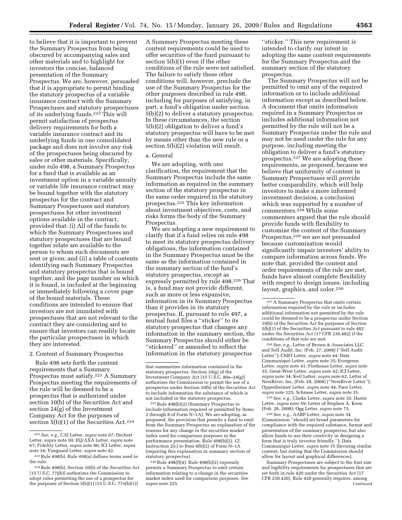to believe that it is important to prevent the Summary Prospectus from being obscured by accompanying sales and other materials and to highlight for investors the concise, balanced presentation of the Summary Prospectus. We are, however, persuaded that it is appropriate to permit binding the statutory prospectus of a variable insurance contract with the Summary Prospectuses and statutory prospectuses of its underlying funds.222 This will permit satisfaction of prospectus delivery requirements for both a variable insurance contract and its underlying funds in one consolidated package and does not involve any risk of the prospectuses being obscured by sales or other materials. Specifically, under rule 498, a Summary Prospectus for a fund that is available as an investment option in a variable annuity or variable life insurance contract may be bound together with the statutory prospectus for the contract and Summary Prospectuses and statutory prospectuses for other investment options available in the contract, provided that: (i) All of the funds to which the Summary Prospectuses and statutory prospectuses that are bound together relate are available to the person to whom such documents are sent or given; and (ii) a table of contents identifying each Summary Prospectus and statutory prospectus that is bound together, and the page number on which it is found, is included at the beginning or immediately following a cover page of the bound materials. These conditions are intended to ensure that investors are not inundated with prospectuses that are not relevant to the contract they are considering and to ensure that investors can readily locate the particular prospectuses in which they are interested.

# 2. Content of Summary Prospectus

Rule 498 sets forth the content requirements that a Summary Prospectus must satisfy.223 A Summary Prospectus meeting the requirements of the rule will be deemed to be a prospectus that is authorized under section 10(b) of the Securities Act and section 24(g) of the Investment Company Act for the purposes of section 5(b)(1) of the Securities Act.<sup>224</sup>

A Summary Prospectus meeting these content requirements could be used to offer securities of the fund pursuant to section 5(b)(1) even if the other conditions of the rule were not satisfied. The failure to satisfy these other conditions will, however, preclude the use of the Summary Prospectus for the other purposes described in rule 498, including for purposes of satisfying, in part, a fund's obligation under section 5(b)(2) to deliver a statutory prospectus. In these circumstances, the section 5(b)(2) obligation to deliver a fund's statutory prospectus will have to be met by means other than the new rule or a section 5(b)(2) violation will result.

# a. General

We are adopting, with one clarification, the requirement that the Summary Prospectus include the same information as required in the summary section of the statutory prospectus in the same order required in the statutory prospectus.225 This key information about investment objectives, costs, and risks forms the body of the Summary Prospectus.

We are adopting a new requirement to clarify that if a fund relies on rule 498 to meet its statutory prospectus delivery obligations, the information contained in the Summary Prospectus must be the same as the information contained in the summary section of the fund's statutory prospectus, except as expressly permitted by rule 498.226 That is, a fund may not provide different, such as more or less expansive, information in its Summary Prospectus than it provides in its statutory prospectus. If, pursuant to rule 497, a mutual fund files a ''sticker'' to its statutory prospectus that changes any information in the summary section, the Summary Prospectus should either be ''stickered'' or amended to reflect the information in the statutory prospectus

225 Rule 498(b)(2) (Summary Prospectus to include information required or permitted by Items 2 through 8 of Form N–1A). We are adopting, as proposed, the provision that permits a fund to omit from the Summary Prospectus an explanation of the reasons for any change in the securities market index used for comparison purposes in the performance presentation. Rule 498(b)(2). *Cf.*  Instruction 2(c) to Item 4(b)(2) of Form N–1A (requiring this explanation in summary section of statutory prospectus).

226 Rule 498(f)(4). Rule 498(b)(2) expressly permits a Summary Prospectus to omit certain information relating to a change in the securities market index used for comparison purposes. *See supra* note 225.

''sticker.'' This new requirement is intended to clarify our intent in adopting the same content requirements for the Summary Prospectus and the summary section of the statutory prospectus.

The Summary Prospectus will not be permitted to omit any of the required information or to include additional information except as described below. A document that omits information required in a Summary Prospectus or includes additional information not permitted by the rule will not be a Summary Prospectus under the rule and may not be used under the rule for any purpose, including meeting the obligation to deliver a fund's statutory prospectus.227 We are adopting these requirements, as proposed, because we believe that uniformity of content in Summary Prospectuses will provide better comparability, which will help investors to make a more informed investment decision, a conclusion which was supported by a number of commenters.228 While some commenters argued that the rule should provide funds with flexibility to customize the content of the Summary Prospectus,<sup>229</sup> we are not persuaded because customization would significantly impair investors' ability to compare information across funds. We note that, provided the content and order requirements of the rule are met, funds have almost complete flexibility with respect to design issues, including layout, graphics, and color.<sup>230</sup>

228 *See, e.g.*, Letter of Brown & Associates LLC and Self Audit, Inc. (Feb. 27, 2008) (''Self Audit Letter''); CMFI Letter, *supra* note 44; Data Communique´ Letter, *supra* note 35; Evergreen Letter, *supra* note 41; Firehouse Letter, *supra* note 35; Great-West Letter, *supra* note 42; ICI Letter, *supra* note 34; Keil Letter, *supra* note 62; Letter of NewRiver, Inc. (Feb. 28, 2008) (''NewRiver Letter''); Oppenheimer Letter, *supra* note 44; Pace Letter, *supra* note 125; Schnase Letter, *supra* note 35.

229 *See, e.g.*, Clarke Letter, *supra* note 35; Hastie Letter, *supra* note 59; Letter of Stephen A. Keen (Feb. 28, 2008); Ogg Letter, *supra* note 75.

230 *See, e.g.*, AARP Letter, *supra* note 34 (Commission ''should set broad parameters for compliance with the required substance, format and presentation of the summary prospectus, but also allow funds to use their creativity in designing a form that is truly investor friendly.''); Data Communique´ Letter, *supra* note 35 (favoring similar content, but stating that the Commission should allow for layout and graphical differences).

Summary Prospectuses are subject to the font size and legibility requirements for prospectuses that are set forth in rule 420 under the Securities Act [17 CFR 230.420]. Rule 420 generally requires, among Continued

<sup>222</sup> *See, e.g.*, CAI Letter, *supra* note 67; Dechert Letter, *supra* note 50; EQ/AXA Letter, *supra* note 67; Fidelity Letter, *supra* note 86; ICI Letter, *supra*  note 34; Vanguard Letter, *supra* note 42.

<sup>223</sup> Rule 498(b). Rule 498(a) defines terms used in the rule.

<sup>224</sup> Rule 498(b). Section 10(b) of the Securities Act [15 U.S.C. 77j(b)] authorizes the Commission to adopt rules permitting the use of a prospectus for the purposes of Section  $5(b)(1)$  [15 U.S.C. 77 $e(b)(1)$ ]

that summarizes information contained in the statutory prospectus. Section 24(g) of the Investment Company Act [15 U.S.C. 80a–24(g)] authorizes the Commission to permit the use of a prospectus under Section 10(b) of the Securities Act to include information the substance of which is not included in the statutory prospectus.

<sup>227</sup> A Summary Prospectus that omits certain information required by the rule or includes additional information not permitted by the rule could be deemed to be a prospectus under Section 10(b) of the Securities Act for purposes of Section 5(b)(1) of the Securities Act pursuant to rule 482 under the Securities Act [17 CFR 230.482] if the conditions of that rule are met.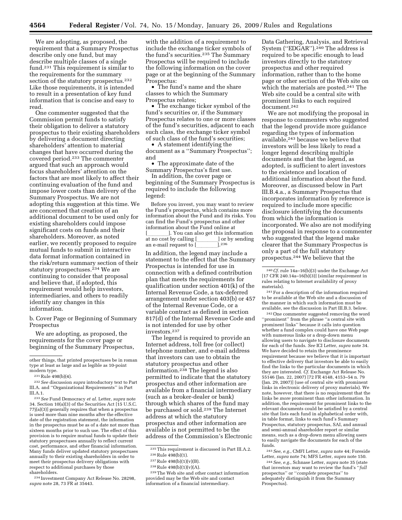We are adopting, as proposed, the requirement that a Summary Prospectus describe only one fund, but may describe multiple classes of a single fund.231 This requirement is similar to the requirements for the summary section of the statutory prospectus.<sup>232</sup> Like those requirements, it is intended to result in a presentation of key fund information that is concise and easy to read.

One commenter suggested that the Commission permit funds to satisfy their obligation to deliver a statutory prospectus to their existing shareholders by delivering a document directing shareholders' attention to material changes that have occurred during the covered period.233 The commenter argued that such an approach would focus shareholders' attention on the factors that are most likely to affect their continuing evaluation of the fund and impose lower costs than delivery of the Summary Prospectus. We are not adopting this suggestion at this time. We are concerned that creation of an additional document to be used only for existing shareholders could impose significant costs on funds and their shareholders. Moreover, as noted earlier, we recently proposed to require mutual funds to submit in interactive data format information contained in the risk/return summary section of their statutory prospectuses.<sup>234</sup> We are continuing to consider that proposal and believe that, if adopted, this requirement would help investors, intermediaries, and others to readily identify any changes in this information.

b. Cover Page or Beginning of Summary Prospectus

We are adopting, as proposed, the requirements for the cover page or beginning of the Summary Prospectus,

with the addition of a requirement to include the exchange ticker symbols of the fund's securities.235 The Summary Prospectus will be required to include the following information on the cover page or at the beginning of the Summary Prospectus:

• The fund's name and the share classes to which the Summary Prospectus relates;

• The exchange ticker symbol of the fund's securities or, if the Summary Prospectus relates to one or more classes of the fund's securities, adjacent to each such class, the exchange ticker symbol of such class of the fund's securities;

• A statement identifying the document as a ''Summary Prospectus''; and

• The approximate date of the Summary Prospectus's first use.

In addition, the cover page or beginning of the Summary Prospectus is required to include the following legend:

Before you invest, you may want to review the Fund's prospectus, which contains more information about the Fund and its risks. You can find the Fund's prospectus and other information about the Fund online at [iv ]. You can also get this information<br>t by calling [iv ] or by sending at no cost by calling  $\lbrack \frac{\hspace{1cm}}{2} \rbrack$  or an e-mail request to  $\lbrack \frac{\hspace{1cm}}{2} \rbrack$ an e-mail request to [

In addition, the legend may include a statement to the effect that the Summary Prospectus is intended for use in connection with a defined contribution plan that meets the requirements for qualification under section 401(k) of the Internal Revenue Code, a tax-deferred arrangement under section 403(b) or 457 of the Internal Revenue Code, or a variable contract as defined in section 817(d) of the Internal Revenue Code and is not intended for use by other investors.237

The legend is required to provide an Internet address, toll free (or collect) telephone number, and e-mail address that investors can use to obtain the statutory prospectus and other information.238 The legend is also permitted to indicate that the statutory prospectus and other information are available from a financial intermediary (such as a broker-dealer or bank) through which shares of the fund may be purchased or sold.239 The Internet address at which the statutory prospectus and other information are available is not permitted to be the address of the Commission's Electronic Data Gathering, Analysis, and Retrieval System (''EDGAR'').240 The address is required to be specific enough to lead investors directly to the statutory prospectus and other required information, rather than to the home page or other section of the Web site on which the materials are posted.241 The Web site could be a central site with prominent links to each required document.242

We are not modifying the proposal in response to commenters who suggested that the legend provide more guidance regarding the types of information available,243 because we believe that investors will be less likely to read a longer legend describing multiple documents and that the legend, as adopted, is sufficient to alert investors to the existence and location of additional information about the fund. Moreover, as discussed below in Part III.B.4.a., a Summary Prospectus that incorporates information by reference is required to include more specific disclosure identifying the documents from which the information is incorporated. We also are not modifying the proposal in response to a commenter who suggested that the legend make clearer that the Summary Prospectus is only a part of the full statutory prospectus.244 We believe that the

241 For a description of the information required to be available at the Web site and a discussion of the manner in which such information must be available, see the discussion in Part III.B.3. below.

242 One commenter suggested removing the word ''prominent'' from the phrase ''a central site with prominent links'' because it calls into question whether a fund complex could have one Web page with numerous links or a drop-down menu allowing users to navigate to disclosure documents for each of the funds. *See* ICI Letter, *supra* note 34. We have decided to retain the prominence requirement because we believe that it is important to effective delivery that investors be able to easily find the links to the particular documents in which they are interested. *Cf.* Exchange Act Release No. 55146 (Jan. 22, 2007) [72 FR 4148, 4153–54 n. 79 (Jan. 29, 2007)] (use of central site with prominent links in electronic delivery of proxy materials). We note, however, that there is no requirement that the links be *more* prominent than other information. In addition, the requirement for prominent links to the relevant documents could be satisfied by a central site that lists each fund in alphabetical order with, in table format, links to each fund's Summary Prospectus, statutory prospectus, SAI, and annual and semi-annual shareholder report or similar means, such as a drop-down menu allowing users to easily navigate the documents for each of the funds.

244 *See, e.g.*, Schnase Letter, *supra* note 35 (state that investors may want to review the fund's ''*full*  prospectus'' or ''*complete* prospectus'' to adequately distinguish it from the Summary Prospectus).

other things, that printed prospectuses be in roman type at least as large and as legible as 10-point modern type.

<sup>231</sup> Rule 498(b)(4).

<sup>232</sup> *See* discussion *supra* introductory text to Part III.A. and ''Organizational Requirements'' in Part III.A.1.

<sup>233</sup> *See* Fund Democracy *et al.* Letter, *supra* note 34. Section 10(a)(3) of the Securities Act [15 U.S.C. 77j(a)(3)] generally requires that when a prospectus is used more than nine months after the effective date of the registration statement, the information in the prospectus must be as of a date not more than sixteen months prior to such use. The effect of this provision is to require mutual funds to update their statutory prospectuses annually to reflect current cost, performance, and other financial information. Many funds deliver updated statutory prospectuses annually to their existing shareholders in order to meet their prospectus delivery obligations with respect to additional purchases by those shareholders.

<sup>234</sup> Investment Company Act Release No. 28298, *supra* note 28, 73 FR at 35443.

<sup>235</sup> This requirement is discussed in Part III.A.2.

<sup>236</sup> Rule 498(b)(1).

 $237$  Rule 498(b)(1)(v)(B).

<sup>238</sup> Rule 498(b)(1)(v)(A).

<sup>239</sup> The Web site and other contact information provided may be the Web site and contact information of a financial intermediary.

<sup>240</sup> *Cf.* rule 14a–16(b)(3) under the Exchange Act [17 CFR 240.14a–16(b)(3)] (similar requirement in rules relating to Internet availability of proxy materials).

<sup>243</sup> *See, e.g.*, CMFI Letter, *supra* note 44; Foreside Letter, *supra* note 74; MFS Letter, *supra* note 150.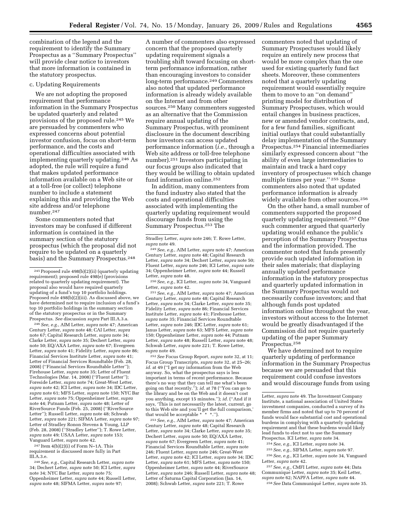combination of the legend and the requirement to identify the Summary Prospectus as a ''Summary Prospectus'' will provide clear notice to investors that more information is contained in the statutory prospectus.

#### c. Updating Requirements

We are not adopting the proposed requirement that performance information in the Summary Prospectus be updated quarterly and related provisions of the proposed rule.245 We are persuaded by commenters who expressed concerns about potential investor confusion, focus on short-term performance, and the costs and operational difficulties associated with implementing quarterly updating.246 As adopted, the rule will require a fund that makes updated performance information available on a Web site or at a toll-free (or collect) telephone number to include a statement explaining this and providing the Web site address and/or telephone number.247

Some commenters noted that investors may be confused if different information is contained in the summary section of the statutory prospectus (which the proposal did not require to be updated on a quarterly basis) and the Summary Prospectus.248

246 *See, e.g.*, AIM Letter, *supra* note 47; American Century Letter, *supra* note 48; CAI Letter, *supra*  note 67; Capital Research Letter, *supra* note 34; Clarke Letter, *supra* note 35; Dechert Letter, *supra*  note 50; EQ/AXA Letter, *supra* note 67; Evergreen Letter, *supra* note 41; Fidelity Letter, *supra* note 86; Financial Services Institute Letter, *supra* note 41; Letter of Financial Services Roundtable (Feb. 28, 2008) (''Financial Services Roundtable Letter''); Firehouse Letter, *supra* note 35; Letter of Fluent Technologies (Mar. 14, 2008) (''Fluent Letter''); Foreside Letter, *supra* note 74; Great-West Letter, *supra* note 42; ICI Letter, *supra* note 34; IDC Letter, *supra* note 61; MFS Letter, *supra* note 150; NYC Bar Letter, *supra* note 75; Oppenheimer Letter, *supra*  note 44; Putnam Letter, *supra* note 48; Letter of RiverSource Funds (Feb. 25, 2008) (''RiverSource Letter''); Russell Letter, *supra* note 48; Schwab Letter, *supra* note 221; SIFMA Letter, *supra* note 97; Letter of Stradley Ronon Stevens & Young, LLP (Feb. 28, 2008) (''Stradley Letter''); T. Rowe Letter, *supra* note 49; USAA Letter, *supra* note 153; Vanguard Letter, *supra* note 42.

 $247$  Item  $4(b)(2)(i)$  of Form N-1A. This requirement is discussed more fully in Part III.A.3.e.

248 *See, e.g.*, Capital Research Letter, *supra* note 34; Dechert Letter, *supra* note 50; ICI Letter, *supra*  note 34; NYC Bar Letter, *supra* note 75; Oppenheimer Letter, *supra* note 44; Russell Letter, *supra* note 48; SIFMA Letter, *supra* note 97;

A number of commenters also expressed concern that the proposed quarterly updating requirement signals a troubling shift toward focusing on shortterm performance information, rather than encouraging investors to consider long-term performance.<sup>249</sup> Commenters also noted that updated performance information is already widely available on the Internet and from other sources.250 Many commenters suggested as an alternative that the Commission require annual updating of the Summary Prospectus, with prominent disclosure in the document describing how investors can access updated performance information (*i.e.*, through a Web site address or toll-free telephone number).251 Investors participating in our focus groups also indicated that they would be willing to obtain updated fund information online.<sup>252</sup>

In addition, many commenters from the fund industry also stated that the costs and operational difficulties associated with implementing the quarterly updating requirement would discourage funds from using the Summary Prospectus.253 The

250 *See, e.g.*, ICI Letter, *supra* note 34, Vanguard Letter, *supra* note 42.

251 *See, e.g.*, AIM Letter, *supra* note 47; American Century Letter, *supra* note 48; Capital Research Letter, *supra* note 34; Clarke Letter, *supra* note 35; Fidelity Letter, *supra* note 86; Financial Services Institute Letter, *supra* note 41; Firehouse Letter, *supra* note 35; Financial Services Roundtable Letter, *supra* note 246; IDC Letter, *supra* note 61; Janus Letter, *supra* note 63; MFS Letter, *supra* note 150; Oppenheimer Letter, *supra* note 44; Putnam Letter, *supra* note 48; Russell Letter, *supra* note 48; Schwab Letter, *supra* note 221; T. Rowe Letter, *supra* note 49.

252 *See* Focus Group Report, *supra* note 32, at 11; Focus Group Transcripts, *supra* note 32, at 25–26; *id.* at 49 (''I get my information from the Web anyway. So, what the prospectus says is less important in terms of recent performance. Because there's no way that they can tell me what's been going on that recently.''); *id.* at 78 (''You can go to the library and be on the Web and it doesn't cost you anything, except 15 minutes.''); *id.* (''And if it says, 'This is not necessarily the latest, current, go to this Web site and you'll get the full comparison,' that would be acceptable \* \* \*.'').

253 *See, e.g.*, AIM Letter, *supra* note 47; American Century Letter, *supra* note 48; Capital Research Letter, *supra* note 34; Clarke Letter, *supra* note 35; Dechert Letter, *supra* note 50; EQ/AXA Letter, *supra* note 67; Evergreen Letter, *supra* note 41; Financial Services Roundtable Letter, *supra* note 246; Fluent Letter, *supra* note 246; Great-West Letter, *supra* note 42; ICI Letter, *supra* note 34; IDC Letter, *supra* note 61; MFS Letter, *supra* note 150; Oppenheimer Letter, *supra* note 44; RiverSource Letter, *supra* note 246; Russell Letter, *supra* note 48; Letter of Saturna Capital Corporation (Jan. 14, 2008); Schwab Letter, *supra* note 221; T. Rowe

commenters noted that updating of Summary Prospectuses would likely require an entirely new process that would be more complex than the one used for existing quarterly fund fact sheets. Moreover, these commenters noted that a quarterly updating requirement would essentially require them to move to an ''on demand'' printing model for distribution of Summary Prospectuses, which would entail changes in business practices, new or amended vendor contracts, and, for a few fund families, significant initial outlays that could substantially delay implementation of the Summary Prospectus.254 Financial intermediaries similarly expressed concern about ''the ability of even large intermediaries to maintain and track a hard copy inventory of prospectuses which change multiple times per year.'' 255 Some commenters also noted that updated performance information is already widely available from other sources.256

On the other hand, a small number of commenters supported the proposed quarterly updating requirement.257 One such commenter argued that quarterly updating would enhance the public's perception of the Summary Prospectus and the information provided. The commenter noted that funds presently provide such updated information in their sales materials; that displaying annually updated performance information in the statutory prospectus and quarterly updated information in the Summary Prospectus would not necessarily confuse investors; and that although funds post updated information online throughout the year, investors without access to the Internet would be greatly disadvantaged if the Commission did not require quarterly updating of the paper Summary Prospectus.258

We have determined not to require quarterly updating of performance information in the Summary Prospectus because we are persuaded that this requirement could confuse investors and would discourage funds from using

257 *See, e.g.*, CMFI Letter, *supra* note 44; Data Communique´ Letter, *supra* note 35; Keil Letter, *supra* note 62; NAPFA Letter, *supra* note 44. 258 *See* Data Communique´ Letter, *supra* note 35.

<sup>245</sup> Proposed rule 498(b)(2)(ii) (quarterly updating requirement); proposed rule 498(e) (provisions related to quarterly updating requirement). The proposal also would have required quarterly updating of a fund's top 10 portfolio holdings. Proposed rule 498(b)(2)(iii). As discussed above, we have determined not to require inclusion of a fund's top 10 portfolio holdings in the summary section of the statutory prospectus or in the Summary Prospectus. *See* discussion *supra* Part III.A.3.a.

Stradley Letter, *supra* note 246; T. Rowe Letter, *supra* note 49.

<sup>249</sup> *See, e.g.*, AIM Letter, *supra* note 47; American Century Letter, *supra* note 48; Capital Research Letter, *supra* note 34; Dechert Letter, *supra* note 50; Fluent Letter, *supra* note 246; ICI Letter, *supra* note 34; Oppenheimer Letter, *supra* note 44; Russell Letter, *supra* note 48.

Letter, *supra* note 49. The Investment Company Institute, a national association of United States investment companies, conducted a survey of its member firms and noted that up to 70 percent of funds would face substantial cost and operational burdens in complying with a quarterly updating requirement and that these burdens would likely lead funds to elect not to use the Summary Prospectus. ICI Letter, *supra* note 34.

<sup>254</sup> *See, e.g.*, ICI Letter, *supra* note 34.

<sup>255</sup> *See, e.g.*, SIFMA Letter, *supra* note 97.

<sup>256</sup> *See, e.g.*, ICI Letter, *supra* note 34, Vanguard Letter, *supra* note 42.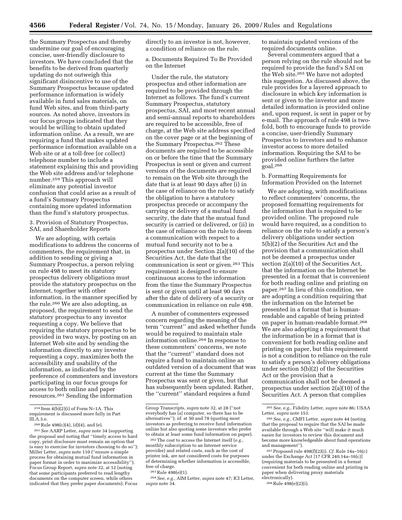the Summary Prospectus and thereby undermine our goal of encouraging concise, user-friendly disclosure to investors. We have concluded that the benefits to be derived from quarterly updating do not outweigh this significant disincentive to use of the Summary Prospectus because updated performance information is widely available in fund sales materials, on fund Web sites, and from third-party sources. As noted above, investors in our focus groups indicated that they would be willing to obtain updated information online. As a result, we are requiring a fund that makes updated performance information available on a Web site or at a toll-free (or collect) telephone number to include a statement explaining this and providing the Web site address and/or telephone number.259 This approach will eliminate any potential investor confusion that could arise as a result of a fund's Summary Prospectus containing more updated information than the fund's statutory prospectus.

3. Provision of Statutory Prospectus, SAI, and Shareholder Reports

We are adopting, with certain modifications to address the concerns of commenters, the requirement that, in addition to sending or giving a Summary Prospectus, a person relying on rule 498 to meet its statutory prospectus delivery obligations must provide the statutory prospectus on the Internet, together with other information, in the manner specified by the rule.260 We are also adopting, as proposed, the requirement to send the statutory prospectus to any investor requesting a copy. We believe that requiring the statutory prospectus to be provided in two ways, by posting on an Internet Web site and by sending the information directly to any investor requesting a copy, maximizes both the accessibility and usability of the information, as indicated by the preference of commenters and investors participating in our focus groups for access to both online and paper resources.261 Sending the information

directly to an investor is not, however, a condition of reliance on the rule.

a. Documents Required To Be Provided on the Internet

Under the rule, the statutory prospectus and other information are required to be provided through the Internet as follows. The fund's current Summary Prospectus, statutory prospectus, SAI, and most recent annual and semi-annual reports to shareholders are required to be accessible, free of charge, at the Web site address specified on the cover page or at the beginning of the Summary Prospectus.262 These documents are required to be accessible on or before the time that the Summary Prospectus is sent or given and current versions of the documents are required to remain on the Web site through the date that is at least 90 days after (i) in the case of reliance on the rule to satisfy the obligation to have a statutory prospectus precede or accompany the carrying or delivery of a mutual fund security, the date that the mutual fund security is carried or delivered, or (ii) in the case of reliance on the rule to deem a communication with respect to a mutual fund security not to be a prospectus under Section 2(a)(10) of the Securities Act, the date that the communication is sent or given.263 This requirement is designed to ensure continuous access to the information from the time the Summary Prospectus is sent or given until at least 90 days after the date of delivery of a security or communication in reliance on rule 498.

A number of commenters expressed concern regarding the meaning of the term ''current'' and asked whether funds would be required to maintain stale information online.264 In response to these commenters' concerns, we note that the ''current'' standard does not require a fund to maintain online an outdated version of a document that was current at the time the Summary Prospectus was sent or given, but that has subsequently been updated. Rather, the ''current'' standard requires a fund

to maintain updated versions of the required documents online.

Several commenters argued that a person relying on the rule should not be required to provide the fund's SAI on the Web site.265 We have not adopted this suggestion. As discussed above, the rule provides for a layered approach to disclosure in which key information is sent or given to the investor and more detailed information is provided online and, upon request, is sent in paper or by e-mail. The approach of rule 498 is twofold, both to encourage funds to provide a concise, user-friendly Summary Prospectus to investors and to enhance investor access to more detailed information. Requiring the SAI to be provided online furthers the latter goal.266

# b. Formatting Requirements for Information Provided on the Internet

We are adopting, with modifications to reflect commenters' concerns, the proposed formatting requirements for the information that is required to be provided online. The proposed rule would have required, as a condition to reliance on the rule to satisfy a person's delivery obligations under section 5(b)(2) of the Securities Act and the provision that a communication shall not be deemed a prospectus under section 2(a)(10) of the Securities Act, that the information on the Internet be presented in a format that is convenient for both reading online and printing on paper.267 In lieu of this condition, we are adopting a condition requiring that the information on the Internet be presented in a format that is humanreadable and capable of being printed on paper in human-readable format.268 We are also adopting a requirement that the information be in a format that is convenient for both reading online and printing on paper, but this requirement is not a condition to reliance on the rule to satisfy a person's delivery obligations under section 5(b)(2) of the Securities Act or the provision that a communication shall not be deemed a prospectus under section 2(a)(10) of the Securities Act. A person that complies

268 Rule 498(e)(2)(i).

<sup>259</sup> Item 4(b)(2)(i) of Form N–1A. This requirement is discussed more fully in Part III.A.3.e.

 $260$  Rule  $498(c)(4)$ , (d)(4), and (e).

<sup>261</sup> *See* AARP Letter, *supra* note 34 (supporting the proposal and noting that ''timely access to hard copy, print disclosure must remain an option that is easy to exercise for investors choosing to do so''); Miller Letter, *supra* note 110 (''ensure a simple process for obtaining mutual fund information in paper format in order to maximize accessibility''); Focus Group Report, *supra* note 32, at 12 (noting that some participants preferred to read lengthy documents on the computer screen, while others indicated that they prefer paper documents); Focus

Group Transcripts, *supra* note 32, at 28 (''not everybody has [a] computer, so there has to be alternatives''); *id.* at 50 and 78 (quoting most investors as preferring to receive fund information online but also quoting some investors who prefer to obtain at least some fund information on paper).

<sup>262</sup> The cost to access the Internet itself (*e.g.*, monthly subscription to an Internet service provider) and related costs, such as the cost of printer ink, are not considered costs for purposes of determining whether information is accessible, free of charge.

<sup>263</sup> Rule 498(e)(1).

<sup>264</sup> *See, e.g.*, AIM Letter, *supra* note 47; ICI Letter, *supra* note 34.

<sup>265</sup> *See, e.g.*, Fidelity Letter, *supra* note 86; USAA Letter, *supra* note 153.

<sup>266</sup> *See, e.g.*, CMFI Letter, *supra* note 44 (noting that the proposal to require that the SAI be made available through a Web site ''will make it much easier for investors to review this document and become more knowledgeable about fund operations and management'').

<sup>267</sup> Proposed rule 498(f)(2)(i). *Cf.* Rule 14a–16(c) under the Exchange Act [17 CFR 240.14a–16(c)] (requiring materials to be presented in a format convenient for both reading online and printing in paper when delivering proxy materials electronically).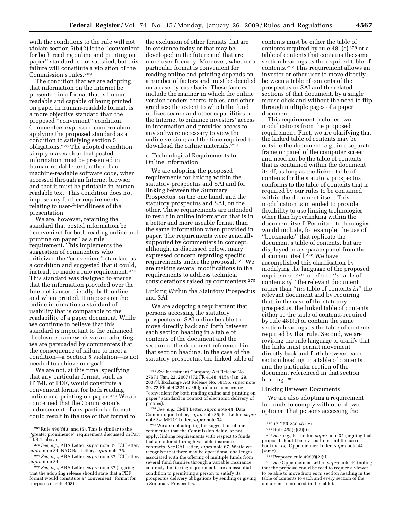with the conditions to the rule will not violate section 5(b)(2) if the ''convenient for both reading online and printing on paper'' standard is not satisfied, but this failure will constitute a violation of the Commission's rules.269

The condition that we are adopting, that information on the Internet be presented in a format that is humanreadable and capable of being printed on paper in human-readable format, is a more objective standard than the proposed ''convenient'' condition. Commenters expressed concern about applying the proposed standard as a condition to satisfying section 5 obligations.270 The adopted condition simply makes clear that posted information must be presented in human-readable text, rather than machine-readable software code, when accessed through an Internet browser and that it must be printable in humanreadable text. This condition does not impose any further requirements relating to user-friendliness of the presentation.

We are, however, retaining the standard that posted information be ''convenient for both reading online and printing on paper'' as a rule requirement. This implements the suggestion of commenters who criticized the ''convenient'' standard as a condition and suggested that it could, instead, be made a rule requirement.271 This standard was designed to ensure that the information provided over the Internet is user-friendly, both online and when printed. It imposes on the online information a standard of usability that is comparable to the readability of a paper document. While we continue to believe that this standard is important to the enhanced disclosure framework we are adopting, we are persuaded by commenters that the consequence of failure to meet a condition—a Section 5 violation—is not needed to achieve our goal.

We are not, at this time, specifying that any particular format, such as HTML or PDF, would constitute a convenient format for both reading online and printing on paper.272 We are concerned that the Commission's endorsement of any particular format could result in the use of that format to

the exclusion of other formats that are in existence today or that may be developed in the future and that are more user-friendly. Moreover, whether a particular format is convenient for reading online and printing depends on a number of factors and must be decided on a case-by-case basis. These factors include the manner in which the online version renders charts, tables, and other graphics; the extent to which the fund utilizes search and other capabilities of the Internet to enhance investors' access to information and provides access to any software necessary to view the online version; and the time required to download the online materials.<sup>273</sup>

c. Technological Requirements for Online Information

We are adopting the proposed requirements for linking within the statutory prospectus and SAI and for linking between the Summary Prospectus, on the one hand, and the statutory prospectus and SAI, on the other. These requirements are intended to result in online information that is in a better and more useable format than the same information when provided in paper. The requirements were generally supported by commenters in concept, although, as discussed below, many expressed concern regarding specific requirements under the proposal.274 We are making several modifications to the requirements to address technical considerations raised by commenters.275

Linking Within the Statutory Prospectus and SAI

We are adopting a requirement that persons accessing the statutory prospectus or SAI online be able to move directly back and forth between each section heading in a table of contents of the document and the section of the document referenced in that section heading. In the case of the statutory prospectus, the linked table of

274 *See, e.g.*, CMFI Letter, *supra* note 44; Data Communique´ Letter, *supra* note 35; ICI Letter, *supra*  note 34; MFDF Letter, *supra* note 34.

275 We are not adopting the suggestion of one commenter that the Commission delay, or not apply, linking requirements with respect to funds that are offered through variable insurance contracts. *See* CAI Letter, *supra* note 67. While we recognize that there may be operational challenges associated with the offering of multiple funds from several fund families through a variable insurance contract, the linking requirements are an essential condition to permitting a person to satisfy its prospectus delivery obligations by sending or giving a Summary Prospectus.

contents must be either the table of contents required by rule 481(c) 276 or a table of contents that contains the same section headings as the required table of contents.277 This requirement allows an investor or other user to move directly between a table of contents of the prospectus or SAI and the related sections of that document, by a single mouse click and without the need to flip through multiple pages of a paper document.

This requirement includes two modifications from the proposed requirement. First, we are clarifying that the linked table of contents may be outside the document, *e.g.*, in a separate frame or panel of the computer screen and need not be the table of contents that is contained within the document itself, as long as the linked table of contents for the statutory prospectus conforms to the table of contents that is required by our rules to be contained within the document itself. This modification is intended to provide flexibility to use linking technologies other than hyperlinking within the document itself. Permitted technologies would include, for example, the use of ''bookmarks'' that replicate the document's table of contents, but are displayed in a separate panel from the document itself.278 We have accomplished this clarification by modifying the language of the proposed requirement 279 to refer to ''*a* table of contents *of* '' the relevant document rather than ''*the* table of contents *in*'' the relevant document and by requiring that, in the case of the statutory prospectus, the linked table of contents either be the table of contents required by rule 481(c) or contain the same section headings as the table of contents required by that rule. Second, we are revising the rule language to clarify that the links must permit movement directly back and forth between each section heading in a table of contents and the particular section of the document referenced in that section heading.280

# Linking Between Documents

We are also adopting a requirement for funds to comply with one of two options: That persons accessing the

 $^{269}\rm{Rule}$  498(f)(3) and (5). This is similar to the ''greater prominence'' requirement discussed in Part III.B.1. above.

<sup>270</sup> *See, e.g.*, ABA Letter, *supra* note 37; ICI Letter, *supra* note 34; NYC Bar Letter, *supra* note 75.

<sup>271</sup> *See, e.g.*, ABA Letter, *supra* note 37; ICI Letter, *supra* note 34.

<sup>272</sup> *See, e.g.*, ABA Letter, *supra* note 37 (arguing that the adopting release should state that a PDF format would constitute a ''convenient'' format for purposes of rule 498).

<sup>273</sup> *See* Investment Company Act Release No. 27671 (Jan. 22, 2007) [72 FR 4148, 4154 (Jan. 29, 2007)]; Exchange Act Release No. 56135, *supra* note 29, 72 FR at 42224 n. 35 (guidance concerning ''convenient for both reading online and printing on paper'' standard in context of electronic delivery of proxies).

<sup>276 17</sup> CFR 230.481(c). 277 Rule 498(e)(2)(ii). 278 *See, e.g.*, ICI Letter, *supra* note 34 (arguing that proposal should be revised to permit the use of bookmarks); Oppenheimer Letter, *supra* note 44 (same).

<sup>279</sup> Proposed rule 498(f)(2)(ii).

<sup>280</sup> *See* Oppenheimer Letter, *supra* note 44 (noting that the proposal could be read to require a viewer to be able to move from *each* section heading in the table of contents to each and every section of the document referenced in the table).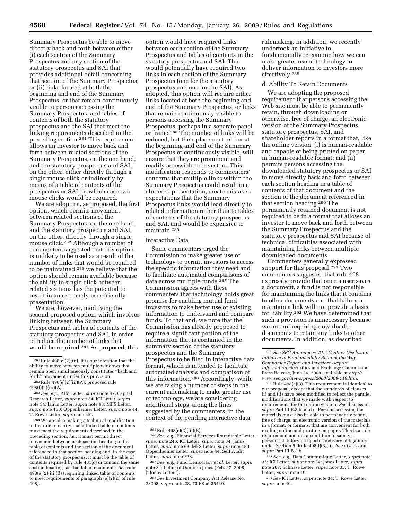Summary Prospectus be able to move directly back and forth between either (i) each section of the Summary Prospectus and any section of the statutory prospectus and SAI that provides additional detail concerning that section of the Summary Prospectus; or (ii) links located at both the beginning and end of the Summary Prospectus, or that remain continuously visible to persons accessing the Summary Prospectus, and tables of contents of both the statutory prospectus and the SAI that meet the linking requirements described in the preceding section.281 This requirement allows an investor to move back and forth between related sections of the Summary Prospectus, on the one hand, and the statutory prospectus and SAI, on the other, either directly through a single mouse click or indirectly by means of a table of contents of the prospectus or SAI, in which case two mouse clicks would be required.

We are adopting, as proposed, the first option, which permits movement between related sections of the Summary Prospectus, on the one hand, and the statutory prospectus and SAI, on the other, directly through a single mouse click.282 Although a number of commenters suggested that this option is unlikely to be used as a result of the number of links that would be required to be maintained,283 we believe that the option should remain available because the ability to single-click between related sections has the potential to result in an extremely user-friendly presentation.

We are, however, modifying the second proposed option, which involves linking between the Summary Prospectus and tables of contents of the statutory prospectus and SAI, in order to reduce the number of links that would be required.284 As proposed, this

284 We are also making a technical modification to the rule to clarify that a linked table of contents must meet the requirements described in the preceding section, *i.e.*, it must permit direct movement between each section heading in the table of contents and the section of the document referenced in that section heading and, in the case of the statutory prospectus, it must be the table of contents required by rule 481(c) or contain the same section headings as that table of contents. *See* rule 498(e)(2)(iii)(B) (requiring linked table of contents to meet requirements of paragraph (e)(2)(ii) of rule 498).

option would have required links between each section of the Summary Prospectus and tables of contents in the statutory prospectus and SAI. This would potentially have required two links in each section of the Summary Prospectus (one for the statutory prospectus and one for the SAI). As adopted, this option will require either links located at both the beginning and end of the Summary Prospectus, or links that remain continuously visible to persons accessing the Summary Prospectus, perhaps in a separate panel or frame.285 The number of links will be reduced, but their placement, either at the beginning and end of the Summary Prospectus or continuously visible, will ensure that they are prominent and readily accessible to investors. This modification responds to commenters' concerns that multiple links within the Summary Prospectus could result in a cluttered presentation, create mistaken expectations that the Summary Prospectus links would lead directly to related information rather than to tables of contents of the statutory prospectus and SAI, and would be expensive to maintain.286

#### Interactive Data

Some commenters urged the Commission to make greater use of technology to permit investors to access the specific information they need and to facilitate automated comparisons of data across multiple funds.<sup>287</sup> The Commission agrees with these commenters that technology holds great promise for enabling mutual fund investors to make better use of existing information to understand and compare funds. To that end, we note that the Commission has already proposed to require a significant portion of the information that is contained in the summary section of the statutory prospectus and the Summary Prospectus to be filed in interactive data format, which is intended to facilitate automated analysis and comparison of this information.288 Accordingly, while we are taking a number of steps in the current rulemaking to make greater use of technology, we are considering additional steps, along the lines suggested by the commenters, in the context of the pending interactive data

rulemaking. In addition, we recently undertook an initiative to fundamentally reexamine how we can make greater use of technology to deliver information to investors more effectively.289

#### d. Ability To Retain Documents

We are adopting the proposed requirement that persons accessing the Web site must be able to permanently retain, through downloading or otherwise, free of charge, an electronic version of the Summary Prospectus, statutory prospectus, SAI, and shareholder reports in a format that, like the online version, (i) is human-readable and capable of being printed on paper in human-readable format; and (ii) permits persons accessing the downloaded statutory prospectus or SAI to move directly back and forth between each section heading in a table of contents of that document and the section of the document referenced in that section heading.290 The permanently retained document is not required to be in a format that allows an investor to move back and forth between the Summary Prospectus and the statutory prospectus and SAI because of technical difficulties associated with maintaining links between multiple downloaded documents.

Commenters generally expressed support for this proposal.<sup>291</sup> Two commenters suggested that rule 498 expressly provide that once a user saves a document, a fund is not responsible for maintaining the links that it contains to other documents and that failure to maintain a link will not provide a basis for liability.292 We have determined that such a provision is unnecessary because we are not requiring downloaded documents to retain any links to other documents. In addition, as described

290 Rule 498(e)(3). This requirement is identical to our proposal, except that the standards of clause (i) and (ii) have been modified to reflect the parallel modifications that we made with respect to requirements for the online version. *See* discussion *supra* Part III.B.3.b. and c. Persons accessing the materials must also be able to permanently retain, free of charge, an electronic version of the materials in a format, or formats, that are convenient for both reading online and printing on paper. This is a rule requirement and not a condition to satisfy a person's statutory prospectus delivery obligations under Section 5. Rule 498(f)(3)(ii). *See* discussion *supra* Part III.B.3.b.

291 *See, e.g.*, Data Communique´ Letter, *supra* note 35; ICI Letter, *supra* note 34; Jones Letter, *supra*  note 287; Schnase Letter, *supra* note 35; T. Rowe Letter, *supra* note 49.

292 *See* ICI Letter, *supra* note 34; T. Rowe Letter, *supra* note 49.

 $281$  Rule  $498(e)(2)(iii)$ . It is our intention that the ability to move between multiple windows that remain open simultaneously constitutes ''back and forth'' movement under this provision.

<sup>282</sup> Rule 498(e)(2)(iii)(A); proposed rule  $498(f)(2)(iii)(A).$ 

<sup>283</sup> *See, e.g.*, AIM Letter, *supra* note 47; Capital Research Letter, *supra* note 34; ICI Letter, *supra*  note 34; Janus Letter, *supra* note 63; MFS Letter, *supra* note 150; Oppenheimer Letter, *supra* note 44; T. Rowe Letter, *supra* note 49.

<sup>285</sup> Rule 498(e)(2)(iii)(B). 286 *See, e.g.*, Financial Services Roundtable Letter, *supra* note 246; ICI Letter, *supra* note 34; Janus Letter, *supra* note 63; MFS Letter, *supra* note 150; Oppenheimer Letter, *supra* note 44; Self Audit

Letter, *supra* note 228. 287 *See, e.g.*, Fund Democracy *et al.* Letter, *supra*  note 34; Letter of Dominic Jones (Feb. 27, 2008)

<sup>&</sup>lt;sup>288</sup> See Investment Company Act Release No. 28298, *supra* note 28, 73 FR at 35449.

<sup>289</sup> *See SEC Announces '21st Century Disclosure' Initiative to Fundamentally Rethink the Way Companies Report and Investors Acquire Information*, Securities and Exchange Commission Press Release, June 24, 2008, available at *http:// www.sec.gov/news/press/2008/2008-119.htm*.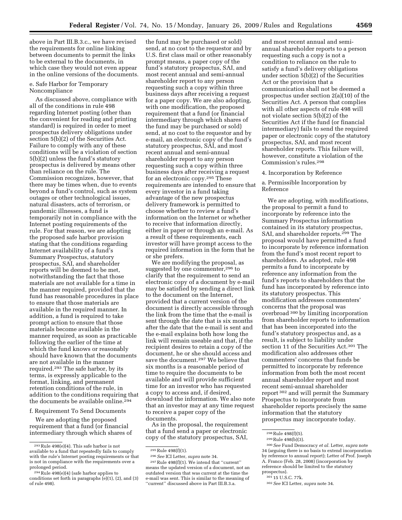above in Part III.B.3.c., we have revised the requirements for online linking between documents to permit the links to be external to the documents, in which case they would not even appear in the online versions of the documents.

# e. Safe Harbor for Temporary Noncompliance

As discussed above, compliance with all of the conditions in rule 498 regarding Internet posting (other than the convenient for reading and printing standard) is required in order to meet prospectus delivery obligations under section 5(b)(2) of the Securities Act. Failure to comply with any of these conditions will be a violation of section 5(b)(2) unless the fund's statutory prospectus is delivered by means other than reliance on the rule. The Commission recognizes, however, that there may be times when, due to events beyond a fund's control, such as system outages or other technological issues, natural disasters, acts of terrorism, or pandemic illnesses, a fund is temporarily not in compliance with the Internet posting requirements of the rule. For that reason, we are adopting the proposed safe harbor provision stating that the conditions regarding Internet availability of a fund's Summary Prospectus, statutory prospectus, SAI, and shareholder reports will be deemed to be met, notwithstanding the fact that those materials are not available for a time in the manner required, provided that the fund has reasonable procedures in place to ensure that those materials are available in the required manner. In addition, a fund is required to take prompt action to ensure that those materials become available in the manner required, as soon as practicable following the earlier of the time at which the fund knows or reasonably should have known that the documents are not available in the manner required.293 The safe harbor, by its terms, is expressly applicable to the format, linking, and permanent retention conditions of the rule, in addition to the conditions requiring that the documents be available online.<sup>294</sup>

# f. Requirement To Send Documents

We are adopting the proposed requirement that a fund (or financial intermediary through which shares of

the fund may be purchased or sold) send, at no cost to the requestor and by U.S. first class mail or other reasonably prompt means, a paper copy of the fund's statutory prospectus, SAI, and most recent annual and semi-annual shareholder report to any person requesting such a copy within three business days after receiving a request for a paper copy. We are also adopting, with one modification, the proposed requirement that a fund (or financial intermediary through which shares of the fund may be purchased or sold) send, at no cost to the requestor and by e-mail, an electronic copy of the fund's statutory prospectus, SAI, and most recent annual and semi-annual shareholder report to any person requesting such a copy within three business days after receiving a request for an electronic copy.295 These requirements are intended to ensure that every investor in a fund taking advantage of the new prospectus delivery framework is permitted to choose whether to review a fund's information on the Internet or whether to receive that information directly, either in paper or through an e-mail. As a result of these requirements, each investor will have prompt access to the required information in the form that he or she prefers.

We are modifying the proposal, as suggested by one commenter,296 to clarify that the requirement to send an electronic copy of a document by e-mail may be satisfied by sending a direct link to the document on the Internet, provided that a current version of the document is directly accessible through the link from the time that the e-mail is sent through the date that is six months after the date that the e-mail is sent and the e-mail explains both how long the link will remain useable and that, if the recipient desires to retain a copy of the document, he or she should access and save the document.297 We believe that six months is a reasonable period of time to require the documents to be available and will provide sufficient time for an investor who has requested a copy to access and, if desired, download the information. We also note that an investor may at any time request to receive a paper copy of the documents.

As in the proposal, the requirement that a fund send a paper or electronic copy of the statutory prospectus, SAI,

and most recent annual and semiannual shareholder reports to a person requesting such a copy is not a condition to reliance on the rule to satisfy a fund's delivery obligations under section 5(b)(2) of the Securities Act or the provision that a communication shall not be deemed a prospectus under section 2(a)(10) of the Securities Act. A person that complies with all other aspects of rule 498 will not violate section 5(b)(2) of the Securities Act if the fund (or financial intermediary) fails to send the required paper or electronic copy of the statutory prospectus, SAI, and most recent shareholder reports. This failure will, however, constitute a violation of the Commission's rules.298

#### 4. Incorporation by Reference

# a. Permissible Incorporation by Reference

We are adopting, with modifications, the proposal to permit a fund to incorporate by reference into the Summary Prospectus information contained in its statutory prospectus, SAI, and shareholder reports.299 The proposal would have permitted a fund to incorporate by reference information from the fund's most recent report to shareholders. As adopted, rule 498 permits a fund to incorporate by reference any information from the fund's reports to shareholders that the fund has incorporated by reference into its statutory prospectus. This modification addresses commenters' concerns that the proposal was overbroad 300 by limiting incorporation from shareholder reports to information that has been incorporated into the fund's statutory prospectus and, as a result, is subject to liability under section 11 of the Securities Act.301 The modification also addresses other commenters' concerns that funds be permitted to incorporate by reference information from both the most recent annual shareholder report and most recent semi-annual shareholder report 302 and will permit the Summary Prospectus to incorporate from shareholder reports precisely the same information that the statutory prospectus may incorporate today.

<sup>293</sup> Rule 498(e)(4). This safe harbor is not available to a fund that repeatedly fails to comply with the rule's Internet posting requirements or that is not in compliance with the requirements over a prolonged period.

<sup>294</sup> Rule 498(e)(4) (safe harbor applies to conditions set forth in paragraphs (e)(1), (2), and (3) of rule 498).

<sup>295</sup> Rule 498(f)(1).

<sup>296</sup> *See* ICI Letter, *supra* note 34.

<sup>297</sup> Rule 498(f)(1). We intend that ''current'' means the updated version of a document, not an outdated version that was current at the time the e-mail was sent. This is similar to the meaning of ''current'' discussed above in Part III.B.3.a.

<sup>298</sup> Rule 498(f)(5).

<sup>299</sup> Rule 498(b)(3).

<sup>300</sup> *See* Fund Democracy *et al.* Letter, *supra* note 34 (arguing there is no basis to extend incorporation by reference to annual report); Letter of Prof. Joseph A. Franco (Feb. 28, 2008) (incorporation by reference should be limited to the statutory prospectus).

<sup>301 15</sup> U.S.C. 77k.

<sup>302</sup> *See* ICI Letter, *supra* note 34.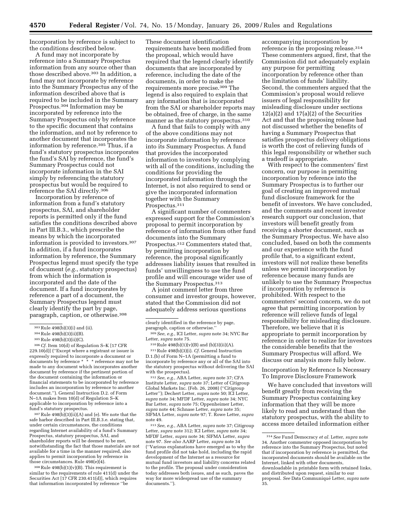Incorporation by reference is subject to the conditions described below.

A fund may not incorporate by reference into a Summary Prospectus information from any source other than those described above.<sup>303</sup> In addition, a fund may not incorporate by reference into the Summary Prospectus any of the information described above that is required to be included in the Summary Prospectus.304 Information may be incorporated by reference into the Summary Prospectus only by reference to the specific document that contains the information, and not by reference to another document that incorporates the information by reference.305 Thus, if a fund's statutory prospectus incorporates the fund's SAI by reference, the fund's Summary Prospectus could not incorporate information in the SAI simply by referencing the statutory prospectus but would be required to reference the SAI directly.<sup>306</sup>

Incorporation by reference of information from a fund's statutory prospectus, SAI, and shareholder reports is permitted only if the fund satisfies the conditions described above in Part III.B.3., which prescribe the means by which the incorporated information is provided to investors.307 In addition, if a fund incorporates information by reference, the Summary Prospectus legend must specify the type of document (*e.g.*, statutory prospectus) from which the information is incorporated and the date of the document. If a fund incorporates by reference a part of a document, the Summary Prospectus legend must clearly identify the part by page, paragraph, caption, or otherwise.308

306 *Cf.* Item 10(d) of Regulation S–K [17 CFR 229.10(d)] (''Except where a registrant or issuer is expressly required to incorporate a document or documents by reference \* \* \* reference may not be made to any document which incorporates another document by reference if the pertinent portion of the document containing the information or financial statements to be incorporated by reference includes an incorporation by reference to another document.''). General Instruction D.2. of Form N–1A makes Item 10(d) of Regulation S–K applicable to incorporation by reference into a fund's statutory prospectus.

 $307$  Rule  $498(b)(3)(ii)(A)$  and (e). We note that the safe harbor described in Part III.B.3.e. stating that, under certain circumstances, the conditions regarding Internet availability of a fund's Summary Prospectus, statutory prospectus, SAI, and shareholder reports will be deemed to be met, notwithstanding the fact that those materials are not available for a time in the manner required, also applies to permit incorporation by reference in those circumstances. Rule 498(e)(4).

308 Rule 498(b)(1)(v)(B). This requirement is similar to the requirements of rule 411(d) under the Securities Act [17 CFR 230.411(d)], which requires that information incorporated by reference ''be

These document identification requirements have been modified from the proposal, which would have required that the legend clearly identify documents that are incorporated by reference, including the date of the documents, in order to make the requirements more precise.309 The legend is also required to explain that any information that is incorporated from the SAI or shareholder reports may be obtained, free of charge, in the same manner as the statutory prospectus.310

A fund that fails to comply with any of the above conditions may not incorporate information by reference into its Summary Prospectus. A fund that provides the incorporated information to investors by complying with all of the conditions, including the conditions for providing the incorporated information through the Internet, is not also required to send or give the incorporated information together with the Summary Prospectus.311

A significant number of commenters expressed support for the Commission's proposal to permit incorporation by reference of information from other fund documents into the Summary Prospectus.312 Commenters stated that, by permitting incorporation by reference, the proposal significantly addresses liability issues that resulted in funds' unwillingness to use the fund profile and will encourage wider use of the Summary Prospectus.313

A joint comment letter from three consumer and investor groups, however, stated that the Commission did not adequately address serious questions

311 Rule 498(b)(3)(i). *Cf.* General Instruction D.1.(b) of Form N–1A (permitting a fund to incorporate by reference any or all of the SAI into the statutory prospectus without delivering the SAI with the prospectus).

312 *See, e.g.*, ABA Letter, *supra* note 37; CFA Institute Letter, *supra* note 37; Letter of Citigroup Global Markets Inc. (Feb. 26, 2008) (''Citigroup Letter''); Dechert Letter, *supra* note 50; ICI Letter, *supra* note 34; MFDF Letter, *supra* note 34; NYC Bar Letter, *supra* note 75; Oppenheimer Letter, *supra* note 44; Schnase Letter, *supra* note 35; SIFMA Letter, *supra* note 97; T. Rowe Letter, *supra*  note 49.

313 *See, e.g.*, ABA Letter, *supra* note 37; Citigroup Letter, *supra* note 312; ICI Letter, *supra* note 34; MFDF Letter, *supra* note 34; SIFMA Letter, *supra*  note 97. *See also* AARP Letter, *supra* note 34 (''Various explanations have emerged as to why the fund profile did not take hold, including the rapid development of the Internet as a resource for mutual fund investors and liability concerns related to the profile. The proposal under consideration today addresses both issues, and as such, paves the way for more widespread use of the summary documents.'').

accompanying incorporation by reference in the proposing release.314 These commenters argued, first, that the Commission did not adequately explain any purpose for permitting incorporation by reference other than the limitation of funds' liability. Second, the commenters argued that the Commission's proposal would relieve issuers of legal responsibility for misleading disclosure under sections 12(a)(2) and 17(a)(2) of the Securities Act and that the proposing release had not discussed whether the benefits of having a Summary Prospectus that satisfies prospectus delivery obligations is worth the cost of relieving funds of this legal responsibility or whether such a tradeoff is appropriate.

With respect to the commenters' first concern, our purpose in permitting incorporation by reference into the Summary Prospectus is to further our goal of creating an improved mutual fund disclosure framework for the benefit of investors. We have concluded, and the comments and recent investor research support our conclusion, that investors will benefit greatly from receiving a shorter document, such as the Summary Prospectus. We have also concluded, based on both the comments and our experience with the fund profile that, to a significant extent, investors will not realize these benefits unless we permit incorporation by reference because many funds are unlikely to use the Summary Prospectus if incorporation by reference is prohibited. With respect to the commenters' second concern, we do not agree that permitting incorporation by reference will relieve funds of legal responsibility for misleading disclosure. Therefore, we believe that it is appropriate to permit incorporation by reference in order to realize for investors the considerable benefits that the Summary Prospectus will afford. We discuss our analysis more fully below.

Incorporation by Reference Is Necessary To Improve Disclosure Framework

We have concluded that investors will benefit greatly from receiving the Summary Prospectus containing key information that they will be more likely to read and understand than the statutory prospectus, with the ability to access more detailed information either

<sup>303</sup> Rule 498(b)(3)(i) and (ii).

<sup>304</sup> Rule 498(b)(3)(ii)(B).

<sup>305</sup> Rule 498(b)(3)(ii)(C).

clearly identified in the reference by page, paragraph, caption or otherwise.''

<sup>309</sup> *See, e.g.*, ICI Letter, *supra* note 34; NYC Bar Letter, *supra* note 75.

 $310$  Rule  $498(b)(1)(v)(B)$  and  $(b)(3)(ii)(A)$ .

<sup>314</sup> *See* Fund Democracy *et al.* Letter, *supra* note 34. Another commenter opposed incorporation by reference into the Summary Prospectus, but noted that if incorporation by reference is permitted, the incorporated documents should be available on the Internet, linked with other documents, downloadable in printable form with retained links, and distributed upon request, similar to our proposal. *See* Data Communique´ Letter, *supra* note 35.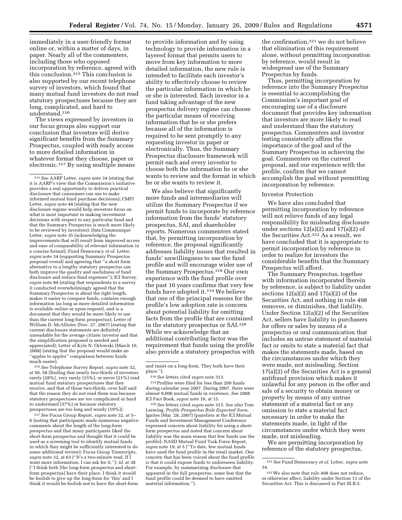The views expressed by investors in our focus groups also support our conclusion that investors will derive significant benefits from the Summary Prospectus, coupled with ready access to more detailed information in whatever format they choose, paper or electronic.317 By using multiple means

316 *See* Telephone Survey Report, *supra* note 32, at 56, 58 (finding that nearly two-thirds of investors rarely (28%), very rarely (15%), or never (21%) read mutual fund statutory prospectuses that they receive, and that of those two-thirds, over half said that the reason they do not read them was because statutory prospectuses are too complicated or hard to understand (37%) or because statutory prospectuses are too long and wordy (19%)).

317 *See* Focus Group Report, *supra* note 32, at 5– 6 (noting that participants made numerous negative comments about the length of the long-form prospectus and that many participants liked the short-form prospectus and thought that it could be used as a screening tool to identify mutual funds in which they might be sufficiently interested to do some additional review); Focus Group Transcripts, *supra* note 32, at 63 (''It's a two-minute read. If I want more information, I can ask for it.''); *id.* at 38 (''I think both [the long-form prospectus and shortform prospectus] have their place. I think it would be foolish to give up the long-form for 'this' and I think it would be foolish not to have the short-form

to provide information and by using technology to provide information in a layered format that permits users to move from key information to more detailed information, the new rule is intended to facilitate each investor's ability to effectively choose to review the particular information in which he or she is interested. Each investor in a fund taking advantage of the new prospectus delivery regime can choose the particular means of receiving information that he or she prefers because all of the information is required to be sent promptly to any requesting investor in paper or electronically. Thus, the Summary Prospectus disclosure framework will permit each and every investor to choose both the information he or she wants to review and the format in which he or she wants to review it.

We also believe that significantly more funds and intermediaries will utilize the Summary Prospectus if we permit funds to incorporate by reference information from the funds' statutory prospectus, SAI, and shareholder reports. Numerous commenters stated that, by permitting incorporation by reference, the proposal significantly addresses liability issues that resulted in funds' unwillingness to use the fund profile and will encourage wider use of the Summary Prospectus.318 Our own experience with the fund profile over the past 10 years confirms that very few funds have adopted it.319 We believe that one of the principal reasons for the profile's low adoption rate is concern about potential liability for omitting facts from the profile that are contained in the statutory prospectus or SAI.320 While we acknowledge that an additional contributing factor was the requirement that funds using the profile also provide a statutory prospectus with

319 Profiles were filed for less than 200 funds during calendar year 2007. During 2007, there were almost 9,000 mutual funds in existence. *See* 2008 ICI Fact Book, *supra* note 16, at 15.

320 *See* letters cited *supra* note 313. *See also* Tom Leswing, *Profile Prospectus Rule Expected Soon,*  Ignites (Mar. 28, 2007) (panelists at the ICI Mutual Funds and Investment Management Conference expressed concern about liability for using a shortform prospectus and noted that concern about liability was the main reason that few funds use the profile); NASD Mutual Fund Task Force Report, *supra* note 19, at 5 (''To date, few mutual funds have used the fund profile in the retail market. One concern that has been voiced about the fund profile is that it could expose funds to unforeseen liability. For example, by summarizing disclosure that appeared in the full prospectus, some fear that the fund profile could be deemed to have omitted material information.'').

the confirmation,321 we do not believe that elimination of this requirement alone, without permitting incorporation by reference, would result in widespread use of the Summary Prospectus by funds.

Thus, permitting incorporation by reference into the Summary Prospectus is essential to accomplishing the Commission's important goal of encouraging use of a disclosure document that provides key information that investors are more likely to read and understand than the statutory prospectus. Commenters and investor testing consistently affirm the importance of the goal and of the Summary Prospectus in achieving the goal. Commenters on the current proposal, and our experience with the profile, confirm that we cannot accomplish the goal without permitting incorporation by reference.

#### Investor Protection

We have also concluded that permitting incorporation by reference will not relieve funds of any legal responsibility for misleading disclosure under sections  $12(a)(2)$  and  $17(a)(2)$  of the Securities Act.322 As a result, we have concluded that it is appropriate to permit incorporation by reference in order to realize for investors the considerable benefits that the Summary Prospectus will afford.

The Summary Prospectus, together with information incorporated therein by reference, is subject to liability under sections  $12(a)(2)$  and  $17(a)(2)$  of the Securities Act, and nothing in rule 498 removes, or diminishes, that liability. Under Section 12(a)(2) of the Securities Act, sellers have liability to purchasers for offers or sales by means of a prospectus or oral communication that includes an untrue statement of material fact or omits to state a material fact that makes the statements made, based on the circumstances under which they were made, not misleading. Section 17(a)(2) of the Securities Act is a general antifraud provision which makes it unlawful for any person in the offer and sale of a security to obtain money or property by means of any untrue statement of a material fact or any omission to state a material fact necessary in order to make the statements made, in light of the circumstances under which they were made, not misleading.

We are permitting incorporation by reference of the statutory prospectus,

immediately in a user-friendly format online or, within a matter of days, in paper. Nearly all of the commenters, including those who opposed incorporation by reference, agreed with this conclusion.315 This conclusion is also supported by our recent telephone survey of investors, which found that many mutual fund investors do not read statutory prospectuses because they are long, complicated, and hard to understand. $\rm ^{316}$ 

<sup>315</sup> *See* AARP Letter, *supra* note 34 (stating that it is AARP's view that the Commission's initiative provides a real opportunity to deliver practical disclosure that consumers can use to make informed mutual fund purchase decisions); CMFI Letter, *supra* note 44 (stating that the new disclosure regime would help investors focus on what is most important in making investment decisions with respect to any particular fund and that the Summary Prospectus is much more likely to be reviewed by investors); Data Communique´ Letter, *supra* note 35 (acknowledging the improvements that will result from improved access and ease of comparability of relevant information in a concise format); Fund Democracy *et al.* Letter, *supra* note 34 (supporting Summary Prospectus proposal overall and agreeing that ''a short form alternative to a lengthy statutory prospectus can both improve the quality and usefulness of fund disclosure and reduce fund expenses''); ICI Survey, *supra* note 84 (stating that respondents to a survey it conducted overwhelmingly agreed that the Summary Prospectus is about the right length, makes it easier to compare funds, contains enough information (as long as more detailed information is available online or upon request), and is a document that they would be more likely to use than the current long-form prospectus); Letter of William D. McAllister (Nov. 27, 2007) (stating that current disclosure statements are definitely unreadable for the average citizen investor and that the simplification proposed is needed and appreciated); Letter of Kyle N. Orlowski (March 10, 2008) (stating that the proposal would make an ''apples to apples'' comparison between funds much easier).

and insist on a long-form. They both have their place.'').

<sup>318</sup> *See* letters cited *supra* note 313.

<sup>321</sup> *See* Fund Democracy *et al.* Letter, *supra* note 34.

<sup>322</sup> We also note that rule 498 does not reduce, or otherwise affect, liability under Section 11 of the Securities Act. This is discussed in Part III.B.5.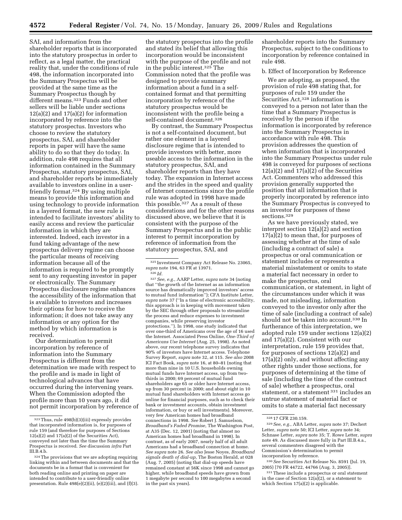SAI, and information from the shareholder reports that is incorporated into the statutory prospectus in order to reflect, as a legal matter, the practical reality that, under the conditions of rule 498, the information incorporated into the Summary Prospectus will be provided at the same time as the Summary Prospectus though by different means.323 Funds and other sellers will be liable under sections  $12(a)(2)$  and  $17(a)(2)$  for information incorporated by reference into the statutory prospectus. Investors who choose to review the statutory prospectus, SAI, and shareholder reports in paper will have the same ability to do so that they do today. In addition, rule 498 requires that all information contained in the Summary Prospectus, statutory prospectus, SAI, and shareholder reports be immediately available to investors online in a userfriendly format.324 By using multiple means to provide this information and using technology to provide information in a layered format, the new rule is intended to facilitate investors' ability to easily access and review the particular information in which they are interested. Indeed, each investor in a fund taking advantage of the new prospectus delivery regime can choose the particular means of receiving information because all of the information is required to be promptly sent to any requesting investor in paper or electronically. The Summary Prospectus disclosure regime enhances the accessibility of the information that is available to investors and increases their options for how to receive the information; it does not take away any information or any option for the method by which information is received.

Our determination to permit incorporation by reference of information into the Summary Prospectus is different from the determination we made with respect to the profile and is made in light of technological advances that have occurred during the intervening years. When the Commission adopted the profile more than 10 years ago, it did not permit incorporation by reference of

the statutory prospectus into the profile and stated its belief that allowing this incorporation would be inconsistent with the purpose of the profile and not in the public interest.325 The Commission noted that the profile was designed to provide summary information about a fund in a selfcontained format and that permitting incorporation by reference of the statutory prospectus would be inconsistent with the profile being a self-contained document.326

By contrast, the Summary Prospectus is not a self-contained document, but rather one element in a layered disclosure regime that is intended to provide investors with better, more useable access to the information in the statutory prospectus, SAI, and shareholder reports than they have today. The expansion in Internet access and the strides in the speed and quality of Internet connections since the profile rule was adopted in 1998 have made this possible.327 As a result of these considerations and for the other reasons discussed above, we believe that it is consistent with the purpose of the Summary Prospectus and in the public interest to permit incorporation by reference of information from the statutory prospectus, SAI, and

327 *See, e.g.*, AARP Letter, *supra* note 34 (noting that ''the growth of the Internet as an information source has dramatically improved investors' access to mutual fund information''); CFA Institute Letter, *supra* note 37 (''In a time of electronic accessibility, this approach is in keeping with movement taken by the SEC through other proposals to streamline the process and reduce expenses to investment companies, while preserving investor protections.''). In 1998, one study indicated that over one-third of Americans over the age of 16 used the Internet. Associated Press Online, *One-Third of Americans Use Internet* (Aug. 25, 1998). As noted above, our recent telephone survey indicates that 90% of investors have Internet access. Telephone Survey Report, *supra* note 32, at 115. *See also* 2008 ICI Fact Book, *supra* note 16, at 80–81 (noting that more than nine in 10 U.S. households owning mutual funds have Internet access, up from twothirds in 2000; 69 percent of mutual fund shareholders age 65 or older have Internet access, up from 30 percent in 2000; and about eight in 10 mutual fund shareholders with Internet access go online for financial purposes, such as to check their bank or investment accounts, obtain investment information, or buy or sell investments). Moreover, very few American homes had broadband connections in 1998. *See* Robert J. Samuelson, *Broadband's Faded Promise,* The Washington Post, at A35 (Dec. 12, 2001) (noting that almost no American homes had broadband in 1998). In contrast, as of early 2007, nearly half of all adult Americans had a broadband connection at home. *See supra* note 26. *See also* Jesse Noyes, *Broadband signals death of dial-up,* The Boston Herald, at 028 (Aug. 7, 2005) (noting that dial-up speeds have remained constant at 56K since 1998 and cannot go higher, while broadband speeds have grown from 1 megabyte per second to 100 megabytes a second in the past six years).

shareholder reports into the Summary Prospectus, subject to the conditions to incorporation by reference contained in rule 498.

b. Effect of Incorporation by Reference

We are adopting, as proposed, the provision of rule 498 stating that, for purposes of rule 159 under the Securities Act,<sup>328</sup> information is conveyed to a person not later than the time that a Summary Prospectus is received by the person if the information is incorporated by reference into the Summary Prospectus in accordance with rule 498. This provision addresses the question of when information that is incorporated into the Summary Prospectus under rule 498 is conveyed for purposes of sections 12(a)(2) and 17(a)(2) of the Securities Act. Commenters who addressed this provision generally supported the position that all information that is properly incorporated by reference into the Summary Prospectus is conveyed to an investor for purposes of these sections.329

As we have previously stated, we interpret section 12(a)(2) and section 17(a)(2) to mean that, for purposes of assessing whether at the time of sale (including a contract of sale) a prospectus or oral communication or statement includes or represents a material misstatement or omits to state a material fact necessary in order to make the prospectus, oral communication, or statement, in light of the circumstances under which it was made, not misleading, information conveyed to the investor only after the time of sale (including a contract of sale) should not be taken into account.330 In furtherance of this interpretation, we adopted rule 159 under sections 12(a)(2) and 17(a)(2). Consistent with our interpretation, rule 159 provides that, for purposes of sections 12(a)(2) and 17(a)(2) only, and without affecting any other rights under those sections, for purposes of determining at the time of sale (including the time of the contract of sale) whether a prospectus, oral statement, or a statement 331 includes an untrue statement of material fact or omits to state a material fact necessary

<sup>323</sup> Thus, rule 498(b)(3)(iii) expressly provides that incorporated information is, for purposes of rule 159 (and therefore for purposes of Sections 12(a)(2) and 17(a)(2) of the Securities Act), conveyed not later than the time the Summary Prospectus is received. *See* discussion *infra* Part III.B.4.b.

<sup>324</sup> The provisions that we are adopting requiring linking within and between documents and that the documents be in a format that is convenient for both reading online and printing on paper are intended to contribute to a user-friendly online presentation. Rule 498(e)(2)(ii), (e)(2)(iii), and (f)(3).

<sup>325</sup> Investment Company Act Release No. 23065, *supra* note 194, 63 FR at 13971. 326 *Id.* 

<sup>328 17</sup> CFR 230.159.

<sup>329</sup> *See, e.g.*, ABA Letter, *supra* note 37; Dechert Letter, *supra* note 50; ICI Letter, *supra* note 34; Schnase Letter, *supra* note 35; T. Rowe Letter, *supra*  note 49. As discussed more fully in Part III.B.4.a., several commenters disagreed with the Commission's determination to permit incorporation by reference.

<sup>330</sup> *See* Securities Act Release No. 8591 (Jul. 19, 2005) [70 FR 44722, 44766 (Aug. 3, 2005)].

<sup>331</sup> These include a prospectus or oral statement in the case of Section  $12(a)(2)$ , or a statement to which Section 17(a)(2) is applicable.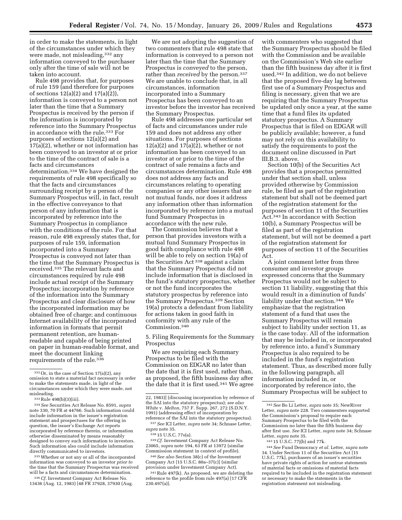in order to make the statements, in light of the circumstances under which they were made, not misleading,332 any information conveyed to the purchaser only after the time of sale will not be taken into account.

Rule 498 provides that, for purposes of rule 159 (and therefore for purposes of sections 12(a)(2) and 17(a)(2)), information is conveyed to a person not later than the time that a Summary Prospectus is received by the person if the information is incorporated by reference into the Summary Prospectus in accordance with the rule.333 For purposes of sections 12(a)(2) and 17(a)(2), whether or not information has been conveyed to an investor at or prior to the time of the contract of sale is a facts and circumstances determination.334 We have designed the requirements of rule 498 specifically so that the facts and circumstances surrounding receipt by a person of the Summary Prospectus will, in fact, result in the effective conveyance to that person of any information that is incorporated by reference into the Summary Prospectus in compliance with the conditions of the rule. For that reason, rule 498 expressly states that, for purposes of rule 159, information incorporated into a Summary Prospectus is conveyed not later than the time that the Summary Prospectus is received.335 The relevant facts and circumstances required by rule 498 include actual receipt of the Summary Prospectus; incorporation by reference of the information into the Summary Prospectus and clear disclosure of how the incorporated information may be obtained free of charge; and continuous Internet availability of the incorporated information in formats that permit permanent retention, are humanreadable and capable of being printed on paper in human-readable format, and meet the document linking requirements of the rule.336

335 Whether or not any or all of the incorporated information was conveyed to an investor *prior to*  the time that the Summary Prospectus was received will be a facts and circumstances determination.

336 *Cf.* Investment Company Act Release No. 13436 (Aug. 12, 1983) [48 FR 37928, 37930 (Aug.

We are not adopting the suggestion of two commenters that rule 498 state that information is conveyed to a person not later than the time that the Summary Prospectus is *conveyed* to the person, rather than *received* by the person.<sup>337</sup> We are unable to conclude that, in all circumstances, information incorporated into a Summary Prospectus has been conveyed to an investor before the investor has received the Summary Prospectus.

Rule 498 addresses one particular set of facts and circumstances under rule 159 and does not address any other situations. For purposes of sections  $12(a)(2)$  and  $17(a)(2)$ , whether or not information has been conveyed to an investor at or prior to the time of the contract of sale remains a facts and circumstances determination. Rule 498 does not address any facts and circumstances relating to operating companies or any other issuers that are not mutual funds, nor does it address any information other than information incorporated by reference into a mutual fund Summary Prospectus in accordance with the new rule.

The Commission believes that a person that provides investors with a mutual fund Summary Prospectus in good faith compliance with rule 498 will be able to rely on section 19(a) of the Securities Act<sup>338</sup> against a claim that the Summary Prospectus did not include information that is disclosed in the fund's statutory prospectus, whether or not the fund incorporates the statutory prospectus by reference into the Summary Prospectus.339 Section 19(a) protects a defendant from liability for actions taken in good faith in conformity with any rule of the Commission.340

5. Filing Requirements for the Summary Prospectus

We are requiring each Summary Prospectus to be filed with the Commission on EDGAR no later than the date that it is first used, rather than, as proposed, the fifth business day after the date that it is first used.341 We agree

339 *Cf.* Investment Company Act Release No. 23065, *supra* note 194, 63 FR at 13972 (similar Commission statement in context of profile).

340 *See also* Section 38(c) of the Investment Company Act [15 U.S.C. 80a–37(c)] (similar provision under Investment Company Act).

341 Rule 497(k). As proposed, we are deleting the reference to the profile from rule 497(a) [17 CFR 230.497(a)].

with commenters who suggested that the Summary Prospectus should be filed with the Commission and be available on the Commission's Web site earlier than the fifth business day after it is first used.342 In addition, we do not believe that the proposed five-day lag between first use of a Summary Prospectus and filing is necessary, given that we are requiring that the Summary Prospectus be updated only once a year, at the same time that a fund files its updated statutory prospectus. A Summary Prospectus that is filed on EDGAR will be publicly available; however, a fund may not rely on this availability to satisfy the requirements to post the document online discussed in Part III.B.3. above.

Section 10(b) of the Securities Act provides that a prospectus permitted under that section shall, unless provided otherwise by Commission rule, be filed as part of the registration statement but shall not be deemed part of the registration statement for the purposes of section 11 of the Securities Act.343 In accordance with Section 10(b), a Summary Prospectus will be filed as part of the registration statement, but will not be deemed a part of the registration statement for purposes of section 11 of the Securities Act.

A joint comment letter from three consumer and investor groups expressed concerns that the Summary Prospectus would not be subject to section 11 liability, suggesting that this would result in a diminution of funds' liability under that section.344 We emphasize that the registration statement of a fund that uses the Summary Prospectus will remain subject to liability under section 11, as is the case today. All of the information that may be included in, or incorporated by reference into, a fund's Summary Prospectus is also required to be included in the fund's registration statement. Thus, as described more fully in the following paragraph, all information included in, or incorporated by reference into, the Summary Prospectus will be subject to

<sup>332</sup> Or, in the case of Section 17(a)(2), any omission to state a material fact necessary in order to make the statements made, in light of the circumstances under which they were made, not

misleading. 333 Rule 498(b)(3)(iii). 334 *See* Securities Act Release No. 8591, *supra*  note 330, 70 FR at 44766. Such information could include information in the issuer's registration statement and prospectuses for the offering in question, the issuer's Exchange Act reports incorporated by reference therein, or information otherwise disseminated by means reasonably designed to convey such information to investors. Such information also could include information directly communicated to investors.

<sup>22, 1983)] (</sup>discussing incorporation by reference of the SAI into the statutory prospectus); *see also White* v. *Melton*, 757 F. Supp. 267, 272 (S.D.N.Y. 1991) (addressing effect of incorporation by<br>reference of the SAI into the statutory prospectus). 337 See ICI Letter, *supra* note 34; Schnase Letter, *supra* note 35.

<sup>338 15</sup> U.S.C. 77s(a).

<sup>342</sup> *See* Bo Li Letter, *supra* note 35; NewRiver Letter, *supra* note 228. Two commenters supported the Commission's proposal to require each Summary Prospectus to be filed with the Commission no later than the fifth business day after first use. *See* ICI Letter, *supra* note 34; Schnase Letter, *supra* note 35.

<sup>343 15</sup> U.S.C. 77j(b) and 77k. 344 *See* Fund Democracy *et al.* Letter, *supra* note 34. Under Section 11 of the Securities Act [15 U.S.C. 77k], purchasers of an issuer's securities have private rights of action for untrue statements of material facts or omissions of material facts required to be included in the registration statement or necessary to make the statements in the registration statement not misleading.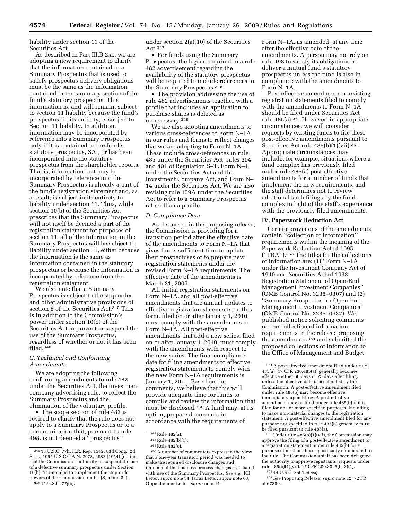liability under section 11 of the Securities Act.

As described in Part III.B.2.a., we are adopting a new requirement to clarify that the information contained in a Summary Prospectus that is used to satisfy prospectus delivery obligations must be the same as the information contained in the summary section of the fund's statutory prospectus. This information is, and will remain, subject to section 11 liability because the fund's prospectus, in its entirety, is subject to Section 11 liability. In addition, information may be incorporated by reference into a Summary Prospectus only if it is contained in the fund's statutory prospectus, SAI, or has been incorporated into the statutory prospectus from the shareholder reports. That is, information that may be incorporated by reference into the Summary Prospectus is already a part of the fund's registration statement and, as a result, is subject in its entirety to liability under section 11. Thus, while section 10(b) of the Securities Act prescribes that the Summary Prospectus will not itself be deemed a part of the registration statement for purposes of section 11, all of the information in the Summary Prospectus will be subject to liability under section 11, either because the information is the same as information contained in the statutory prospectus or because the information is incorporated by reference from the registration statement.

We also note that a Summary Prospectus is subject to the stop order and other administrative provisions of section 8 of the Securities Act.345 This is in addition to the Commission's power under section 10(b) of the Securities Act to prevent or suspend the use of the Summary Prospectus, regardless of whether or not it has been filed.346

# *C. Technical and Conforming Amendments*

We are adopting the following conforming amendments to rule 482 under the Securities Act, the investment company advertising rule, to reflect the Summary Prospectus and the elimination of the voluntary profile.

• The scope section of rule 482 is revised to clarify that the rule does not apply to a Summary Prospectus or to a communication that, pursuant to rule 498, is not deemed a ''prospectus''

346 15 U.S.C. 77j(b).

under section 2(a)(10) of the Securities Act.347

• For funds using the Summary Prospectus, the legend required in a rule 482 advertisement regarding the availability of the statutory prospectus will be required to include references to the Summary Prospectus.348

• The provision addressing the use of rule 482 advertisements together with a profile that includes an application to purchase shares is deleted as unnecessary.349

We are also adopting amendments to various cross-references to Form N–1A in our rules and forms to reflect changes that we are adopting to Form N–1A. These include cross-references in rule 485 under the Securities Act, rules 304 and 401 of Regulation S–T, Form N–4 under the Securities Act and the Investment Company Act, and Form N– 14 under the Securities Act. We are also revising rule 159A under the Securities Act to refer to a Summary Prospectus rather than a profile.

# *D. Compliance Date*

As discussed in the proposing release, the Commission is providing for a transition period after the effective date of the amendments to Form N–1A that gives funds sufficient time to update their prospectuses or to prepare new registration statements under the revised Form N–1A requirements. The effective date of the amendments is March 31, 2009.

All initial registration statements on Form N–1A, and all post-effective amendments that are annual updates to effective registration statements on this form, filed on or after January 1, 2010, must comply with the amendments to Form N–1A. All post-effective amendments that add a new series, filed on or after January 1, 2010, must comply with the amendments with respect to the new series. The final compliance date for filing amendments to effective registration statements to comply with the new Form N–1A requirements is January 1, 2011. Based on the comments, we believe that this will provide adequate time for funds to compile and review the information that must be disclosed.350 A fund may, at its option, prepare documents in accordance with the requirements of

Form N–1A, as amended, at any time after the effective date of the amendments. A person may not rely on rule 498 to satisfy its obligations to deliver a mutual fund's statutory prospectus unless the fund is also in compliance with the amendments to Form N–1A.

Post-effective amendments to existing registration statements filed to comply with the amendments to Form N–1A should be filed under Securities Act rule 485(a).351 However, in appropriate circumstances, we will consider requests by existing funds to file these post-effective amendments pursuant to Securities Act rule 485(b)(1)(vii).352 Appropriate circumstances may include, for example, situations where a fund complex has previously filed under rule 485(a) post-effective amendments for a number of funds that implement the new requirements, and the staff determines not to review additional such filings by the fund complex in light of the staff's experience with the previously filed amendments.

# **IV. Paperwork Reduction Act**

Certain provisions of the amendments contain ''collection of information'' requirements within the meaning of the Paperwork Reduction Act of 1995 (''PRA'').353 The titles for the collections of information are: (1) ''Form N–1A under the Investment Company Act of 1940 and Securities Act of 1933, Registration Statement of Open-End Management Investment Companies'' (OMB Control No. 3235–0307) and (2) ''Summary Prospectus for Open-End Management Investment Companies'' (OMB Control No. 3235–0637). We published notice soliciting comments on the collection of information requirements in the release proposing the amendments 354 and submitted the proposed collections of information to the Office of Management and Budget

352 Under rule 485(b)(1)(vii), the Commission may approve the filing of a post-effective amendment to a registration statement under rule 485(b) for a purpose other than those specifically enumerated in the rule. The Commission's staff has been delegated the authority to approve registrants' requests under rule 485(b)(1)(vii). 17 CFR 200.30–5(b–3)(1).

353 44 U.S.C. 3501 *et seq.* 

354 *See* Proposing Release, *supra* note 12, 72 FR at 67809.

<sup>345 15</sup> U.S.C. 77h; H.R. Rep. 1542, 83d Cong., 2d Sess., 1954 U.S.C.C.A.N. 2973, 2982 (1954) (noting that the Commission's authority to suspend the use of a defective summary prospectus under Section 10(b) ''is intended to supplement the stop-order powers of the Commission under [S]ection 8'').

<sup>347</sup> Rule 482(a).

<sup>348</sup> Rule 482(b)(1).

<sup>349</sup> Rule 482(c).

<sup>350</sup> A number of commenters expressed the view that a one-year transition period was needed to make the required disclosure changes and implement the business process changes associated with use of the Summary Prospectus. *See e.g.*, ICI Letter, *supra* note 34; Janus Letter, *supra* note 63; Oppenheimer Letter, *supra* note 44.

<sup>351</sup> A post-effective amendment filed under rule  $485(a)$  [17 CFR 230.485(a)] generally becomes effective either 60 days or 75 days after filing, unless the effective date is accelerated by the Commission. A post-effective amendment filed under rule 485(b) may become effective immediately upon filing. A post-effective amendment may be filed under rule 485(b) if it is filed for one or more specified purposes, including to make non-material changes to the registration statement. A post-effective amendment filed for any purpose not specified in rule 485(b) generally must be filed pursuant to rule 485(a).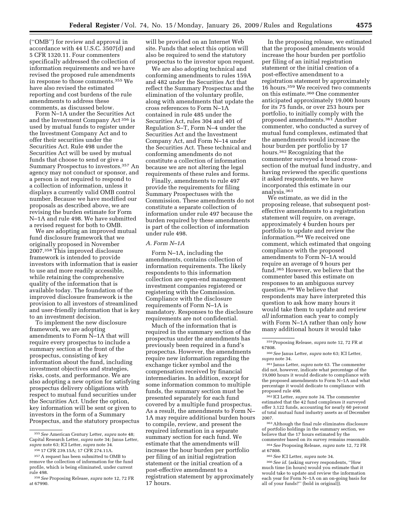(''OMB'') for review and approval in accordance with 44 U.S.C. 3507(d) and 5 CFR 1320.11. Four commenters specifically addressed the collection of information requirements and we have revised the proposed rule amendments in response to those comments.355 We have also revised the estimated reporting and cost burdens of the rule amendments to address these comments, as discussed below.

Form N–1A under the Securities Act and the Investment Company Act 356 is used by mutual funds to register under the Investment Company Act and to offer their securities under the Securities Act. Rule 498 under the Securities Act will be used by mutual funds that choose to send or give a Summary Prospectus to investors.357 An agency may not conduct or sponsor, and a person is not required to respond to a collection of information, unless it displays a currently valid OMB control number. Because we have modified our proposals as described above, we are revising the burden estimate for Form N–1A and rule 498. We have submitted a revised request for both to OMB.

We are adopting an improved mutual fund disclosure framework that we originally proposed in November 2007.358 This improved disclosure framework is intended to provide investors with information that is easier to use and more readily accessible, while retaining the comprehensive quality of the information that is available today. The foundation of the improved disclosure framework is the provision to all investors of streamlined and user-friendly information that is key to an investment decision.

To implement the new disclosure framework, we are adopting amendments to Form N–1A that will require every prospectus to include a summary section at the front of the prospectus, consisting of key information about the fund, including investment objectives and strategies, risks, costs, and performance. We are also adopting a new option for satisfying prospectus delivery obligations with respect to mutual fund securities under the Securities Act. Under the option, key information will be sent or given to investors in the form of a Summary Prospectus, and the statutory prospectus will be provided on an Internet Web site. Funds that select this option will also be required to send the statutory prospectus to the investor upon request.

We are also adopting technical and conforming amendments to rules 159A and 482 under the Securities Act that reflect the Summary Prospectus and the elimination of the voluntary profile, along with amendments that update the cross references to Form N–1A contained in rule 485 under the Securities Act, rules 304 and 401 of Regulation S–T, Form N–4 under the Securities Act and the Investment Company Act, and Form N–14 under the Securities Act. These technical and conforming amendments do not constitute a collection of information because we are not altering the legal requirements of these rules and forms.

Finally, amendments to rule 497 provide the requirements for filing Summary Prospectuses with the Commission. These amendments do not constitute a separate collection of information under rule 497 because the burden required by these amendments is part of the collection of information under rule 498.

#### *A. Form N–1A*

Form N–1A, including the amendments, contains collection of information requirements. The likely respondents to this information collection are open-end management investment companies registered or registering with the Commission. Compliance with the disclosure requirements of Form N–1A is mandatory. Responses to the disclosure requirements are not confidential.

Much of the information that is required in the summary section of the prospectus under the amendments has previously been required in a fund's prospectus. However, the amendments require new information regarding the exchange ticker symbol and the compensation received by financial intermediaries. In addition, except for some information common to multiple funds, the summary section must be presented separately for each fund covered by a multiple fund prospectus. As a result, the amendments to Form N– 1A may require additional burden hours to compile, review, and present the required information in a separate summary section for each fund. We estimate that the amendments will increase the hour burden per portfolio per filing of an initial registration statement or the initial creation of a post-effective amendment to a registration statement by approximately 17 hours.

In the proposing release, we estimated that the proposed amendments would increase the hour burden per portfolio per filing of an initial registration statement or the initial creation of a post-effective amendment to a registration statement by approximately 16 hours.359 We received two comments on this estimate.360 One commenter anticipated approximately 19,000 hours for its 75 funds, or over 253 hours per portfolio, to initially comply with the proposed amendments.361 Another commenter, who conducted a survey of mutual fund complexes, estimated that the amendments would increase the hour burden per portfolio by 17 hours.362 Recognizing that the commenter surveyed a broad crosssection of the mutual fund industry, and having reviewed the specific questions it asked respondents, we have incorporated this estimate in our analysis.363

We estimate, as we did in the proposing release, that subsequent posteffective amendments to a registration statement will require, on average, approximately 4 burden hours per portfolio to update and review the information.364 We received one comment, which estimated that ongoing compliance with the proposed amendments to Form N–1A would require an average of 9 hours per fund.365 However, we believe that the commenter based this estimate on responses to an ambiguous survey question.366 We believe that respondents may have interpreted this question to ask how many hours it would take them to update and review *all* information each year to comply with Form N–1A rather than only how many additional hours it would take

362 ICI Letter, *supra* note 34. The commenter estimated that the 42 fund complexes it surveyed offer 3,122 funds, accounting for nearly 60 percent of total mutual fund industry assets as of December 2007.

363 Although the final rule eliminates disclosure of portfolio holdings in the summary section, we believe that the 17 hours estimated by the commenter based on its survey remains reasonable.

364 *See* Proposing Release, *supra* note 12, 72 FR at 67808.

365 *See* ICI Letter, *supra* note 34.

<sup>355</sup> *See* American Century Letter, *supra* note 48; Capital Research Letter, *supra* note 34; Janus Letter, *supra* note 63; ICI Letter, *supra* note 34.

<sup>356 17</sup> CFR 239.15A; 17 CFR 274.11A.

 $\rm ^{357}A$  request has been submitted to OMB to remove the collection of information for the fund profile, which is being eliminated, under current rule 498.

<sup>358</sup> *See* Proposing Release, *supra* note 12, 72 FR at 67990.

<sup>359</sup> Proposing Release, *supra* note 12, 72 FR at 67808.

<sup>360</sup> *See* Janus Letter, *supra* note 63; ICI Letter, *supra* note 34.

<sup>361</sup> Janus Letter, *supra* note 63. The commenter did not, however, indicate what percentage of the 19,000 hours it would dedicate to compliance with the proposed amendments to Form N–1A and what percentage it would dedicate to compliance with proposed rule 498.

<sup>366</sup> *See id*. (asking survey respondents, ''How much time (in hours) would you estimate that it would take to update and review the information each year for Form N–1A on an on-going basis for all of your funds?'' (bold in original)).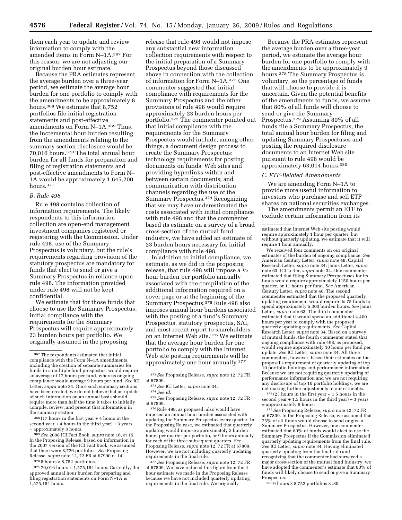them each year to update and review information to comply with the amended items in Form N–1A.367 For this reason, we are not adjusting our original burden hour estimate.

Because the PRA estimates represent the average burden over a three-year period, we estimate the average hour burden for one portfolio to comply with the amendments to be approximately 8 hours.368 We estimate that 8,752 portfolios file initial registration statements and post-effective amendments on Form N–1A.369 Thus, the incremental hour burden resulting from the amendments relating to the summary section disclosure would be 70,016 hours.370 The total annual hour burden for all funds for preparation and filing of registration statements and post-effective amendments to Form N– 1A would be approximately 1,645,200 hours.371

#### *B. Rule 498*

Rule 498 contains collection of information requirements. The likely respondents to this information collection are open-end management investment companies registered or registering with the Commission. Under rule 498, use of the Summary Prospectus is voluntary, but the rule's requirements regarding provision of the statutory prospectus are mandatory for funds that elect to send or give a Summary Prospectus in reliance upon rule 498. The information provided under rule 498 will not be kept confidential.

We estimate that for those funds that choose to use the Summary Prospectus, initial compliance with the requirements for the Summary Prospectus will require approximately 23 burden hours per portfolio. We originally assumed in the proposing

368 (17 hours in the first year + 4 hours in the second year  $+4$  hours in the third year)  $+3$  years = approximately 8 hours.

369 *See* 2008 ICI Fact Book, *supra* note 16, at 15. In the Proposing Release, based on information in the 2007 version of the ICI Fact Book, we assumed that there were 8,726 portfolios. *See* Proposing Release, *supra* note 12, 72 FR at 67990 n. 14.

 $^{370}\,8$  hours  $\times\,8,752$  portfolios.

371 70,016 hours + 1,575,184 hours. Currently, the approved annual hour burden for preparing and filing registration statements on Form N–1A is 1,575,184 hours.

release that rule 498 would not impose any substantial new information collection requirements with respect to the initial preparation of a Summary Prospectus beyond those discussed above in connection with the collection of information for Form N–1A.372 One commenter suggested that initial compliance with requirements for the Summary Prospectus and the other provisions of rule 498 would require approximately 23 burden hours per portfolio.373 The commenter pointed out that initial compliance with the requirements for the Summary Prospectus would include, among other things, a document design process to create the Summary Prospectus; technology requirements for posting documents on funds' Web sites and providing hyperlinks within and between certain documents; and communication with distribution channels regarding the use of the Summary Prospectus.374 Recognizing that we may have underestimated the costs associated with initial compliance with rule 498 and that the commenter based its estimate on a survey of a broad cross-section of the mutual fund industry, we have added an estimate of 23 burden hours necessary for initial compliance with rule 498.

In addition to initial compliance, we estimate, as we did in the proposing release, that rule 498 will impose a 1⁄2 hour burden per portfolio annually associated with the compilation of the additional information required on a cover page or at the beginning of the Summary Prospectus.375 Rule 498 also imposes annual hour burdens associated with the posting of a fund's Summary Prospectus, statutory prospectus, SAI, and most recent report to shareholders on an Internet Web site.376 We estimate that the average hour burden for one portfolio to comply with the Internet Web site posting requirements will be approximately one hour annually.377

375 *See* Proposing Release, *supra* note 12, 72 FR at 67809.

376 Rule 498, as proposed, also would have imposed an annual hour burden associated with updating the Summary Prospectus every quarter. In the Proposing Release, we estimated that quarterly updating would impose approximately 3 burden hours per quarter per portfolio, or 9 hours annually for each of the three subsequent quarters. *See*  Proposing Release, *supra* note 12, 72 FR at 67809. However, we are not including quarterly updating requirements in the final rule.

377 *See* Proposing Release, *supra* note 12, 72 FR at 67809. We have reduced this figure from the 4 hour estimate we made in the Proposing Release because we have not included quarterly updating requirements in the final rule. We originally

Because the PRA estimates represent the average burden over a three-year period, we estimate the average hour burden for one portfolio to comply with the amendments to be approximately 9 hours.378 The Summary Prospectus is voluntary, so the percentage of funds that will choose to provide it is uncertain. Given the potential benefits of the amendments to funds, we assume that 80% of all funds will choose to send or give the Summary Prospectus.379 Assuming 80% of all funds file a Summary Prospectus, the total annual hour burden for filing and updating Summary Prospectuses and posting the required disclosure documents to an Internet Web site pursuant to rule 498 would be approximately 63,014 hours.380

#### *C. ETF-Related Amendments*

We are amending Form N–1A to provide more useful information to investors who purchase and sell ETF shares on national securities exchanges.

The amendments permit an ETF to exclude certain information from its

estimated that Internet Web site posting would require approximately 1 hour per quarter, but without quarterly updating, we estimate that it will require 1 hour annually.

We received four comments on our original estimates of the burden of ongoing compliance. *See*  American Century Letter, *supra* note 48; Capital Research Letter, *supra* note 34; Janus Letter, *supra*  note 63; ICI Letter, *supra* note 34. One commenter estimated that filing Summary Prospectuses for its funds would require approximately 1150 hours per quarter, or 11 hours per fund. *See* American Century Letter, *supra* note 48. The second commenter estimated that the proposed quarterly updating requirement would require its 75 funds to spend approximately 5,300 burden hours. *See* Janus Letter, *supra* note 63. The third commenter estimated that it would spend an additional 4,400 hours per year to comply with the proposed quarterly updating requirements. *See* Capital Research Letter, *supra* note 34. Based on a survey of mutual funds, the fourth commenter stated that ongoing compliance with rule 498, as proposed, would require approximately 10 hours per fund per update. *See* ICI Letter, *supra* note 34. All three commenters, however, based their estimates on the proposal's requirement of quarterly updating of top 10 portfolio holdings and performance information. Because we are not requiring quarterly updating of performance information and we are not requiring any disclosure of top 10 portfolio holdings, we are not making further adjustments to our estimates.

 $^{\rm 378}(23$  hours in the first year + 1.5 hours in the second year  $+ 1.5$  hours in the third year)  $+ 3$  years = approximately 9 hours. 379 *See* Proposing Release, *supra* note 12, 72 FR

at 67809. In the Proposing Release, we assumed that 75% of all funds would choose to send or give a Summary Prospectus. However, one commenter estimated that 80% of funds would elect to use the Summary Prospectus if the Commission eliminated quarterly updating requirements from the final rule. *See* ICI Letter, *supra* note 34. Having eliminated quarterly updating from the final rule and recognizing that the commenter had surveyed a major cross-section of the mutual fund industry, we have adopted the commenter's estimate that 80% of funds will likely choose to send or give a Summary Prospectus.

 $3809$  hours  $\times 8,752$  portfolios  $\times .80$ .

<sup>367</sup> The respondents estimated that initial compliance with the Form N–1A amendments, including the creation of separate summaries for funds in a multiple fund prospectus, would require an average of 17 hours per fund, whereas ongoing compliance would average 9 hours per fund. *See* ICI Letter, *supra* note 34. Once such summary sections have been created, we do not believe that an update of such information on an annual basis should require more than half the time it takes to initially compile, review, and present that information in the summary section.

<sup>372</sup> *See* Proposing Release, *supra* note 12, 72 FR at 67809.

<sup>373</sup> *See* ICI Letter, *supra* note 34.

<sup>374</sup> *See id*.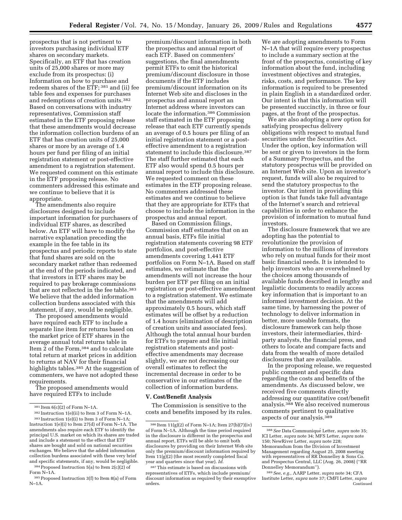prospectus that is not pertinent to investors purchasing individual ETF shares on secondary markets. Specifically, an ETF that has creation units of 25,000 shares or more may exclude from its prospectus: (i) Information on how to purchase and redeem shares of the ETF; 381 and (ii) fee table fees and expenses for purchases and redemptions of creation units.382 Based on conversations with industry representatives, Commission staff estimated in the ETF proposing release that these amendments would decrease the information collection burdens of an ETF that has creation units of 25,000 shares or more by an average of 1.4 hours per fund per filing of an initial registration statement or post-effective amendment to a registration statement. We requested comment on this estimate in the ETF proposing release. No commenters addressed this estimate and we continue to believe that it is appropriate.

The amendments also require disclosures designed to include important information for purchasers of individual ETF shares, as described below. An ETF will have to modify the narrative explanation preceding the example in the fee table in its prospectus and periodic reports to state that fund shares are sold on the secondary market rather than redeemed at the end of the periods indicated, and that investors in ETF shares may be required to pay brokerage commissions that are not reflected in the fee table.<sup>383</sup> We believe that the added information collection burdens associated with this statement, if any, would be negligible.

The proposed amendments would have required each ETF to include a separate line item for returns based on the market price of ETF shares in the average annual total returns table in Item 2 of the Form,384 and to calculate total return at market prices in addition to returns at NAV for their financial highlights tables.385 At the suggestion of commenters, we have not adopted these requirements.

The proposed amendments would have required ETFs to include

Form N–1A.

385 Proposed Instruction 3(f) to Item 8(a) of Form N–1A.

premium/discount information in both the prospectus and annual report of each ETF. Based on commenters' suggestions, the final amendments permit ETFs to omit the historical premium/discount disclosure in those documents if the ETF includes premium/discount information on its Internet Web site and discloses in the prospectus and annual report an Internet address where investors can locate the information.386 Commission staff estimated in the ETF proposing release that each ETF currently spends an average of 0.5 hours per filing of an initial registration statement or a posteffective amendment to a registration statement to include this disclosure.387 The staff further estimated that each ETF also would spend 0.5 hours per annual report to include this disclosure. We requested comment on these estimates in the ETF proposing release. No commenters addressed these estimates and we continue to believe that they are appropriate for ETFs that choose to include the information in the prospectus and annual report.

Based on Commission filings, Commission staff estimates that on an annual basis, ETFs file initial registration statements covering 98 ETF portfolios, and post-effective amendments covering 1,441 ETF portfolios on Form N–1A. Based on staff estimates, we estimate that the amendments will not increase the hour burden per ETF per filing on an initial registration or post-effective amendment to a registration statement. We estimate that the amendments will add approximately 0.5 hours, which staff estimates will be offset by a reduction of 1.4 hours (elimination of description of creation units and associated fees). Although the total annual hour burden for ETFs to prepare and file initial registration statements and posteffective amendments may decrease slightly, we are not decreasing our overall estimates to reflect the incremental decrease in order to be conservative in our estimates of the collection of information burdens.

#### **V. Cost/Benefit Analysis**

The Commission is sensitive to the costs and benefits imposed by its rules.

We are adopting amendments to Form N–1A that will require every prospectus to include a summary section at the front of the prospectus, consisting of key information about the fund, including investment objectives and strategies, risks, costs, and performance. The key information is required to be presented in plain English in a standardized order. Our intent is that this information will be presented succinctly, in three or four pages, at the front of the prospectus.

We are also adopting a new option for satisfying prospectus delivery obligations with respect to mutual fund securities under the Securities Act. Under the option, key information will be sent or given to investors in the form of a Summary Prospectus, and the statutory prospectus will be provided on an Internet Web site. Upon an investor's request, funds will also be required to send the statutory prospectus to the investor. Our intent in providing this option is that funds take full advantage of the Internet's search and retrieval capabilities in order to enhance the provision of information to mutual fund investors.

The disclosure framework that we are adopting has the potential to revolutionize the provision of information to the millions of investors who rely on mutual funds for their most basic financial needs. It is intended to help investors who are overwhelmed by the choices among thousands of available funds described in lengthy and legalistic documents to readily access key information that is important to an informed investment decision. At the same time, by harnessing the power of technology to deliver information in better, more useable formats, the disclosure framework can help those investors, their intermediaries, thirdparty analysts, the financial press, and others to locate and compare facts and data from the wealth of more detailed disclosures that are available.

In the proposing release, we requested public comment and specific data regarding the costs and benefits of the amendments. As discussed below, we received five comments directly addressing our quantitative cost/benefit analysis.388 We also received numerous comments pertinent to qualitative aspects of our analysis.389

<sup>381</sup> Item 6(c)(2) of Form N–1A.

<sup>382</sup> Instruction 1(e)(ii) to Item 3 of Form N–1A. 383 Instruction 1(e)(i) to Item 3 of Form N–1A; Instruction 1(e)(i) to Item 27(d) of Form N–1A. The amendments also require each ETF to identify the principal U.S. market on which its shares are traded and include a statement to the effect that ETF shares are bought and sold on national securities exchanges. We believe that the added information collection burdens associated with these very brief and specific statements, if any, would be negligible. 384 Proposed Instruction 5(a) to Item 2(c)(2) of

<sup>386</sup> Item 11(g)(2) of Form N–1A; Item 27(b)(7)(iv) of Form N–1A. Although the time period required in the disclosure is different in the prospectus and annual report, ETFs will be able to omit both disclosures by providing on their Internet Web site only the premium/discount information required by Item 11(g)(2) (the most recently completed fiscal year and quarters since that year). *Id*.

<sup>387</sup> This estimate is based on discussions with representatives of ETFs, which include premium/ discount information as required by their exemptive orders.

<sup>388</sup> *See* Data Communique´ Letter, *supra* note 35; ICI Letter, *supra* note 34; MFS Letter, *supra* note 150; NewRiver Letter, *supra* note 228; Memorandum from the Division of Investment Management regarding August 25, 2008 meeting with representatives of RR Donnelley & Sons Co. and Prospectus Central, LLC (Aug. 26, 2008) (''RR Donnelley Memorandum'').

<sup>389</sup> *See, e.g.*, AARP Letter, *supra* note 34; CFA Institute Letter, *supra* note 37; CMFI Letter, *supra*  Continued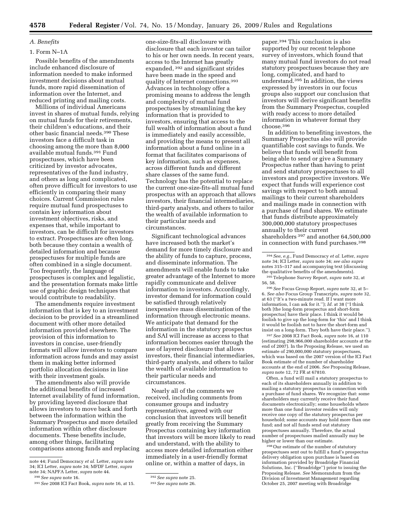# *A. Benefits*  1. Form N–1A

Possible benefits of the amendments include enhanced disclosure of

information needed to make informed investment decisions about mutual funds, more rapid dissemination of information over the Internet, and reduced printing and mailing costs.

Millions of individual Americans invest in shares of mutual funds, relying on mutual funds for their retirements, their children's educations, and their other basic financial needs.390 These investors face a difficult task in choosing among the more than 8,000 available mutual funds.391 Fund prospectuses, which have been criticized by investor advocates, representatives of the fund industry, and others as long and complicated, often prove difficult for investors to use efficiently in comparing their many choices. Current Commission rules require mutual fund prospectuses to contain key information about investment objectives, risks, and expenses that, while important to investors, can be difficult for investors to extract. Prospectuses are often long, both because they contain a wealth of detailed information and because prospectuses for multiple funds are often combined in a single document. Too frequently, the language of prospectuses is complex and legalistic, and the presentation formats make little use of graphic design techniques that would contribute to readability.

The amendments require investment information that is key to an investment decision to be provided in a streamlined document with other more detailed information provided elsewhere. The provision of this information to investors in concise, user-friendly formats will allow investors to compare information across funds and may assist them in making better informed portfolio allocation decisions in line with their investment goals.

The amendments also will provide the additional benefits of increased Internet availability of fund information, by providing layered disclosure that allows investors to move back and forth between the information within the Summary Prospectus and more detailed information within other disclosure documents. These benefits include, among other things, facilitating comparisons among funds and replacing

one-size-fits-all disclosure with disclosure that each investor can tailor to his or her own needs. In recent years, access to the Internet has greatly expanded, 392 and significant strides have been made in the speed and quality of Internet connections.393 Advances in technology offer a promising means to address the length and complexity of mutual fund prospectuses by streamlining the key information that is provided to investors, ensuring that access to the full wealth of information about a fund is immediately and easily accessible, and providing the means to present all information about a fund online in a format that facilitates comparisons of key information, such as expenses, across different funds and different share classes of the same fund. Technology has the potential to replace the current one-size-fits-all mutual fund prospectus with an approach that allows investors, their financial intermediaries, third-party analysts, and others to tailor the wealth of available information to their particular needs and circumstances.

Significant technological advances have increased both the market's demand for more timely disclosure and the ability of funds to capture, process, and disseminate information. The amendments will enable funds to take greater advantage of the Internet to more rapidly communicate and deliver information to investors. Accordingly, investor demand for information could be satisfied through relatively inexpensive mass dissemination of the information through electronic means. We anticipate that demand for the information in the statutory prospectus and SAI will increase as access to that information becomes easier through the use of layered disclosure that allows investors, their financial intermediaries, third-party analysts, and others to tailor the wealth of available information to their particular needs and circumstances.

Nearly all of the comments we received, including comments from consumer groups and industry representatives, agreed with our conclusion that investors will benefit greatly from receiving the Summary Prospectus containing key information that investors will be more likely to read and understand, with the ability to access more detailed information either immediately in a user-friendly format online or, within a matter of days, in

paper.394 This conclusion is also supported by our recent telephone survey of investors, which found that many mutual fund investors do not read statutory prospectuses because they are long, complicated, and hard to understand.395 In addition, the views expressed by investors in our focus groups also support our conclusion that investors will derive significant benefits from the Summary Prospectus, coupled with ready access to more detailed information in whatever format they choose.396

In addition to benefiting investors, the Summary Prospectus also will provide quantifiable cost savings to funds. We believe that funds will benefit from being able to send or give a Summary Prospectus rather than having to print and send statutory prospectuses to all investors and prospective investors. We expect that funds will experience cost savings with respect to both annual mailings to their current shareholders and mailings made in connection with a purchase of fund shares. We estimate that funds distribute approximately 300,000,000 statutory prospectuses annually to their current shareholders 397 and another 64,500,000 in connection with fund purchases.398

396 *See* Focus Group Report, *supra* note 32, at 5– 6. *See also* Focus Group Transcripts, *supra* note 32, at 63 (''It's a two-minute read. If I want more information, I can ask for it.''); *Id.* at 38 (''I think both [the long-form prospectus and short-form prospectus] have their place. I think it would be foolish to give up the long-form for 'this' and I think it would be foolish not to have the short-form and insist on a long-form. They both have their place.'').

397 *See* 2008 ICI Fact Book, *supra* note 16, at 110 (estimating 298,966,000 shareholder accounts at the end of 2007). In the Proposing Release, we used an estimate of 290,000,000 statutory prospectuses, which was based on the 2007 version of the ICI Fact Book estimate of the number of shareholder accounts at the end of 2006. *See* Proposing Release, *supra* note 12, 72 FR at 67810.

Often, a fund will mail a statutory prospectus to each of its shareholders annually in addition to mailing a statutory prospectus in connection with a purchase of fund shares. We recognize that: some shareholders may currently receive their fund documents electronically; some households where more than one fund investor resides will only receive one copy of the statutory prospectus per household; some accounts may hold more than one fund; and not all funds send out statutory prospectuses annually. Therefore, the actual number of prospectuses mailed annually may be higher or lower than our estimate.

398 Our estimate of the number of statutory prospectuses sent out to fulfill a fund's prospectus delivery obligation upon purchase is based on information provided by Broadridge Financial Solutions, Inc. (''Broadridge'') prior to issuing the Proposing Release. *See* Memorandum from the Division of Investment Management regarding October 25, 2007 meeting with Broadridge

note 44; Fund Democracy *et al.* Letter, *supra* note 34; ICI Letter, *supra* note 34; MFDF Letter, *supra*  note 34; NAPFA Letter, *supra* note 44.

<sup>390</sup> *See supra* note 16.

<sup>391</sup> *See* 2008 ICI Fact Book, *supra* note 16, at 15.

<sup>392</sup> *See supra* note 25.

<sup>393</sup> *See supra* note 26.

<sup>394</sup> *See, e.g.*, Fund Democracy *et al.* Letter, *supra*  note 34; ICI Letter, *supra* note 34; *see also supra*  notes 315–317 and accompanying text (discussing the qualitative benefits of the amendments).

<sup>395</sup> Telephone Survey Report, *supra* note 32, at 56, 58.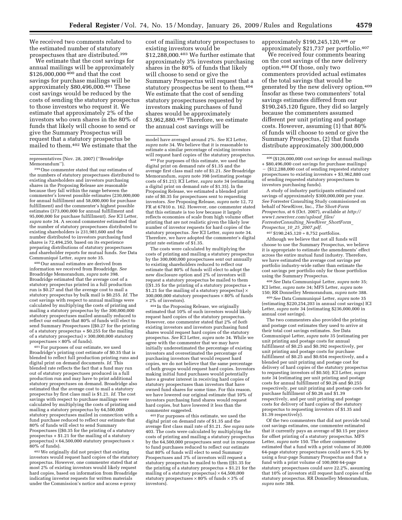We received two comments related to the estimated number of statutory prospectuses that are distributed.399

We estimate that the cost savings for annual mailings will be approximately \$126,000,000 400 and that the cost savings for purchase mailings will be approximately \$80,496,000.<sup>401</sup> These cost savings would be reduced by the costs of sending the statutory prospectus to those investors who request it. We estimate that approximately 2% of the investors who own shares in the 80% of funds that likely will choose to send or give the Summary Prospectus will request that a statutory prospectus be mailed to them.402 We estimate that the

399 One commenter stated that our estimates of the numbers of statutory prospectuses distributed to existing shareholders and investors purchasing shares in the Proposing Release are reasonable because they fall within the range between the commenter's lowest possible estimates (230,000,000 for annual fulfillment and 58,000,000 for purchase fulfillment) and the commenter's highest possible estimates (373,000,000 for annual fulfillment and 95,000,000 for purchase fulfillment). *See* ICI Letter, *supra* note 34. A second commenter estimated that the number of statutory prospectuses distributed to existing shareholders is 231,981,600 and the number distributed to investors purchasing fund shares is 72,494,250, based on its experience preparing distributions of statutory prospectuses and shareholder reports for mutual funds. *See* Data Communique´ Letter, *supra* note 35.

400 Our annual estimates are derived from information we received from Broadridge. *See*  Broadridge Memorandum, *supra* note 398. Broadridge estimated that the average cost of a statutory prospectus printed in a full production run is \$0.27 and that the average cost to mail a statutory prospectus by bulk mail is \$0.255. *Id.* The cost savings with respect to annual mailings were calculated by multiplying the costs of printing and mailing a statutory prospectus by the 300,000,000 statutory prospectuses mailed annually reduced to reflect our estimate that 80% of funds will elect to send Summary Prospectuses ((\$0.27 for the printing of a statutory prospectus  $+$  \$0.255 for the mailing of a statutory prospectus)  $\times$  300,000,000 statutory prospectuses  $\times\,80\%$  of funds).

401 For purposes of our estimate, we used Broadridge's printing cost estimate of \$0.35 that is blended to reflect full production printing runs and digital print on demand documents. *Id.* This blended rate reflects the fact that a fund may run out of statutory prospectuses produced in a full production run and may have to print additional statutory prospectuses on demand. Broadridge also estimated that the average cost to mail a statutory prospectus by first class mail is \$1.21. *Id.* The cost savings with respect to purchase mailings were calculated by multiplying the costs of printing and mailing a statutory prospectus by 64,500,000 statutory prospectuses mailed in connection with a fund purchase reduced to reflect our estimate that 80% of funds will elect to send Summary Prospectuses ((\$0.35 for the printing of a statutory prospectus + \$1.21 for the mailing of a statutory prospectus)  $\times$  64,500,000 statutory prospectuses  $\times$ 80% of funds).

402 We originally did not project that existing investors would request hard copies of the statutory prospectus. However, one commenter stated that at most 2% of existing investors would likely request hard copies, based on information from Broadridge indicating investor requests for written materials under the Commission's notice and access e-proxy

cost of mailing statutory prospectuses to existing investors would be \$12,288,000.403 We further estimate that approximately 3% investors purchasing shares in the 80% of funds that likely will choose to send or give the Summary Prospectus will request that a statutory prospectus be sent to them.404 We estimate that the cost of sending statutory prospectuses requested by investors making purchases of fund shares would be approximately \$3,962,880.405 Therefore, we estimate the annual cost savings will be

model have averaged around 2%. *See* ICI Letter, *supra* note 34. We believe that it is reasonable to estimate a similar percentage of existing investors will request hard copies of the statutory prospectus. 403 For purposes of this estimate, we used the

digital print on demand rate of \$1.35 and the average first class mail rate of \$1.21. *See* Broadridge Memorandum, *supra* note 398 (estimating postage costs of \$1.21); ICI Letter, *supra* note 34 (estimating a digital print on demand rate of \$1.35). In the Proposing Release, we estimated a blended print rate of \$0.35 for prospectuses sent to requesting investors. *See* Proposing Release, *supra* note 12, 72 FR at 67810 n. 162. However, one commenter stated that this estimate is too low because it largely reflects economies of scale from high volume offset printing that are not realistic given the likely low number of investor requests for hard copies of the statutory prospectus. *See* ICI Letter, *supra* note 34. Therefore, we have adopted the commenter's digital print rate estimate of \$1.35.

The costs were calculated by multiplying the costs of printing and mailing a statutory prospectus by the 300,000,000 prospectuses sent out annually to existing shareholders reduced to reflect our estimate that 80% of funds will elect to adopt the new disclosure option and 2% of investors will request a statutory prospectus be mailed to them ((\$1.35 for the printing of a statutory prospectus + \$1.21 for the mailing of a statutory prospectus)  $\times$ 300,000,000 statutory prospectuses  $\times$  80% of funds  $\times$  2% of investors).

404 In the Proposing Release, we originally estimated that 10% of such investors would likely request hard copies of the statutory prospectus. However, one commenter stated that 2% of *both*  existing investors and investors purchasing fund shares would request hard copies of the statutory prospectus. *See* ICI Letter, *supra* note 34. While we agree with the commenter that we may have initially underestimated the percentage of existing investors and overestimated the percentage of purchasing investors that would request hard copies, we do not believe that the same percentage of both groups would request hard copies. Investors making initial fund purchases would potentially have a greater interest in receiving hard copies of statutory prospectuses than investors that have owned fund shares for some time. For this reason, we have lowered our original estimate that 10% of investors purchasing fund shares would request hard copies, but have lowered it less than the commenter suggested.

405 For purposes of this estimate, we used the digital print on demand rate of \$1.35 and the average first class mail rate of \$1.21. *See supra* note 403. The costs were calculated by multiplying the costs of printing and mailing a statutory prospectus by the 64,500,000 prospectuses sent out in response to fund purchases reduced to reflect our estimate that 80% of funds will elect to send Summary Prospectuses and 3% of investors will request a statutory prospectus be mailed to them ((\$1.35 for the printing of a statutory prospectus  $+$  \$1.21 for the mailing of a statutory prospectus)  $\times$  64,500,000 statutory prospectuses  $\times 80\%$  of funds  $\times 3\%$  of investors).

approximately \$190,245,120,406 or approximately \$21,737 per portfolio.407

We received four comments bearing on the cost savings of the new delivery option.408 Of those, only two commenters provided actual estimates of the total savings that would be generated by the new delivery option.409 Insofar as these two commenters' total savings estimates differed from our \$190,245,120 figure, they did so largely because the commenters assumed different per unit printing and postage costs. However, assuming (1) that 80% of funds will choose to send or give the Summary Prospectus, (2) that funds distribute approximately 300,000,000

A study of industry participants estimated cost savings of approximately \$300,000,000 per year. *See* Forrester Consulting Study commissioned on behalf of NewRiver, Inc., *The Short-Form Prospectus*, at 6 (Oct. 2007), available at *http:// www1.newriver.com/upload*\_*files/ ForresterConsulting*\_*NewRiver*\_*ShortForm*\_ *Prospectus*\_*10*\_*25*\_*2007.pdf.* 

407 \$190,245,120 ÷ 8,752 portfolios.

Although we believe that not all funds will choose to use the Summary Prospectus, we believe it is appropriate to estimate the amendments' effect across the entire mutual fund industry. Therefore, we have estimated the average cost savings per portfolio industry-wide rather than estimate the cost savings per portfolio only for those portfolios using the Summary Prospectus.

408 *See* Data Communique´ Letter, *supra* note 35; ICI letter, *supra* note 34; MFS Letter, *supra* note 150; RR Donnelley Memorandum, *supra* note 388.

409 *See* Data Communique´ Letter, *supra* note 35 (estimating \$220,254,203 in annual cost savings) ICI Letter, *supra* note 34 (estimating \$236,000,000 in annual cost savings).

The two commenters also provided the printing and postage cost estimates they used to arrive at their total cost savings estimates. *See* Data Communique´ Letter, *supra* note 35 (estimating per unit printing and postage costs for annual fulfillment of \$0.25 and \$0.392 respectively, per unit printing and postage costs for purchase fulfillment of \$0.25 and \$0.654 respectively, and a blended per unit printing and postage cost for delivery of hard copies of the statutory prospectus to requesting investors of \$0.50); ICI Letter, *supra*  note 34 (estimating per unit printing and postage costs for annual fulfillment of \$0.26 and \$0.255 respectively, per unit printing and postage costs for purchase fulfillment of \$0.26 and \$1.39 respectively, and per unit printing and postage costs for delivery of hard copies of the statutory prospectus to requesting investors of \$1.35 and  $$1.39$  respectively).

Of the two commenters that did not provide total cost savings estimates, one commenter estimated that it currently pays an average of \$0.15 per piece for offset printing of a statutory prospectus. MFS Letter, *supra* note 150. The other commenter estimated that a fund with a print volume of 30,000 64-page statutory prospectuses could save 6.3% by using a four-page Summary Prospectus and that a fund with a print volume of 100,000 64-page statutory prospectuses could save 22.2%, assuming that 10% of investors still request hard copies of the statutory prospectus. RR Donnelley Memorandum, *supra* note 388.

representatives (Nov. 28, 2007) (''Broadridge Memorandum'').

<sup>406 (\$126,000,000</sup> cost savings for annual mailings + \$80,496,000 cost savings for purchase mailings)  $-$  (\$12,288,000 cost of sending requested statutory prospectuses to existing investors + \$3,962,880 cost of sending requested statutory prospectuses to investors purchasing funds).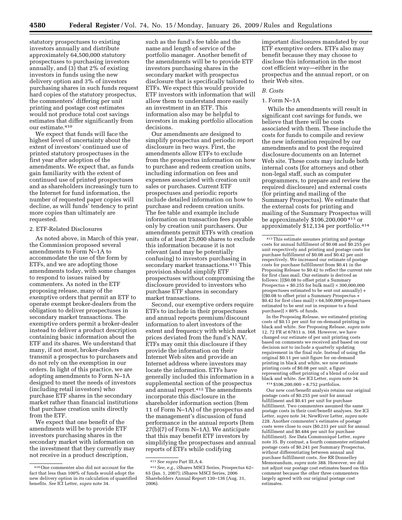**4580 Federal Register** / Vol. 74, No. 15 / Monday, January 26, 2009 / Rules and Regulations

statutory prospectuses to existing investors annually and distribute approximately 64,500,000 statutory prospectuses to purchasing investors annually, and (3) that 2% of existing investors in funds using the new delivery option and 3% of investors purchasing shares in such funds request hard copies of the statutory prospectus, the commenters' differing per unit printing and postage cost estimates would not produce total cost savings estimates that differ significantly from our estimate.410

We expect that funds will face the highest level of uncertainty about the extent of investors' continued use of printed statutory prospectuses in the first year after adoption of the amendments. We expect that, as funds gain familiarity with the extent of continued use of printed prospectuses and as shareholders increasingly turn to the Internet for fund information, the number of requested paper copies will decline, as will funds' tendency to print more copies than ultimately are requested.

# 2. ETF-Related Disclosures

As noted above, in March of this year, the Commission proposed several amendments to Form N–1A to accommodate the use of the form by ETFs, and we are adopting those amendments today, with some changes to respond to issues raised by commenters. As noted in the ETF proposing release, many of the exemptive orders that permit an ETF to operate exempt broker-dealers from the obligation to deliver prospectuses in secondary market transactions. The exemptive orders permit a broker-dealer instead to deliver a product description containing basic information about the ETF and its shares. We understand that many, if not most, broker-dealers transmit a prospectus to purchasers and do not rely on the exemption in our orders. In light of this practice, we are adopting amendments to Form N–1A designed to meet the needs of investors (including retail investors) who purchase ETF shares in the secondary market rather than financial institutions that purchase creation units directly from the ETF

We expect that one benefit of the amendments will be to provide ETF investors purchasing shares in the secondary market with information on the investment that they currently may not receive in a product description,

such as the fund's fee table and the name and length of service of the portfolio manager. Another benefit of the amendments will be to provide ETF investors purchasing shares in the secondary market with prospectus disclosure that is specifically tailored to ETFs. We expect this would provide ETF investors with information that will allow them to understand more easily an investment in an ETF. This information also may be helpful to investors in making portfolio allocation decisions.

Our amendments are designed to simplify prospectus and periodic report disclosure in two ways. First, the amendments allow ETFs to exclude from the prospectus information on how to purchase and redeem creation units, including information on fees and expenses associated with creation unit sales or purchases. Current ETF prospectuses and periodic reports include detailed information on how to purchase and redeem creation units. The fee table and example include information on transaction fees payable only by creation unit purchasers. Our amendments permit ETFs with creation units of at least 25,000 shares to exclude this information because it is not relevant (and may be potentially confusing) to investors purchasing in secondary market transactions.411 This provision should simplify ETF prospectuses without compromising the disclosure provided to investors who purchase ETF shares in secondary market transactions.

Second, our exemptive orders require ETFs to include in their prospectuses and annual reports premium/discount information to alert investors of the extent and frequency with which market prices deviated from the fund's NAV. ETFs may omit this disclosure if they provide the information on their Internet Web sites and provide an Internet address where investors may locate the information. ETFs have generally included this information in a supplemental section of the prospectus and annual report.412 The amendments incorporate this disclosure in the shareholder information section (Item 11 of Form N–1A) of the prospectus and the management's discussion of fund performance in the annual reports (Item 27(b)(7) of Form N–1A). We anticipate that this may benefit ETF investors by simplifying the prospectuses and annual reports of ETFs while codifying

important disclosures mandated by our ETF exemptive orders. ETFs also may benefit because they may choose to disclose this information in the most cost efficient way—either in the prospectus and the annual report, or on their Web sites.

# *B. Costs*

# 1. Form N–1A

While the amendments will result in significant cost savings for funds, we believe that there will be costs associated with them. These include the costs for funds to compile and review the new information required by our amendments and to post the required disclosure documents on an Internet Web site. These costs may include both internal costs (for attorneys and other non-legal staff, such as computer programmers, to prepare and review the required disclosure) and external costs (for printing and mailing of the Summary Prospectus). We estimate that the external costs for printing and mailing of the Summary Prospectus will be approximately \$106,200,000 413 or approximately \$12,134 per portfolio.414

In the Proposing Release, we estimated printing costs of \$0.11 per unit for on-demand printing in black and white. *See* Proposing Release, *supra* note 12, 72 FR at 67811 n. 168. However, we have changed our estimate of per unit printing costs based on comments we received and based on our decision not to include a quarterly updating requirement in the final rule. Instead of using the original \$0.11 per unit figure for on-demand printing in black and white, we now estimate printing costs of \$0.08 per unit, a figure representing offset printing of a blend of color and black and white. *See* ICI Letter, *supra* note 34. 414 \$106,200,000 ÷ 8,752 portfolios.

Our new cost/benefit analysis retains our original postage costs of \$0.255 per unit for annual fulfillment and \$0.41 per unit for purchase fulfillment. Two commenters assumed the same postage costs in their cost/benefit analyses. *See* ICI Letter, *supra* note 34; NewRiver Letter, *supra* note 228. Another commenter's estimates of postage costs were close to ours (\$0.233 per unit for annual fulfillment and \$0.484 per unit for purchase fulfillment). *See* Data Communique´ Letter, *supra*  note 35. By contrast, a fourth commenter estimated postage costs of \$0.241 per Summary Prospectus, without differentiating between annual and purchase fulfillment costs. *See* RR Donnelley Memorandum, *supra* note 388. However, we did not adjust our postage cost estimates based on this comment because the other three commenters largely agreed with our original postage cost estimates.

<sup>410</sup> One commenter also did not account for the fact that less than 100% of funds would adopt the new delivery option in its calculation of quantified benefits. *See* ICI Letter, *supra* note 34.

<sup>411</sup> *See supra* Part III.A.4.

<sup>412</sup> *See, e.g.*, iShares MSCI Series, Prospectus 62– 65 (Jan. 1, 2007); iShares MSCI Series, 2006 Shareholders Annual Report 130–136 (Aug. 31, 2006).

<sup>413</sup> This estimate assumes printing and postage costs for annual fulfillment of \$0.08 and \$0.255 per unit respectively and printing and postage costs for purchase fulfillment of \$0.08 and \$0.42 per unit respectively. We increased our estimate of postage costs for purchase fulfillment from \$0.41 in the Proposing Release to \$0.42 to reflect the current rate for first class mail. Our estimate is derived as follows: [((\$0.08 to offset print a Summary Prospectus +  $$0.255$  for bulk mail)  $\times\,300,000,000$ prospectuses estimated to be sent out annually) + ((\$0.08 to offset print a Summary Prospectus + \$0.42 for first class mail)  $\times$  64,500,000 prospectuses estimated to be sent out in response to a fund purchase)]  $\times$  80% of funds.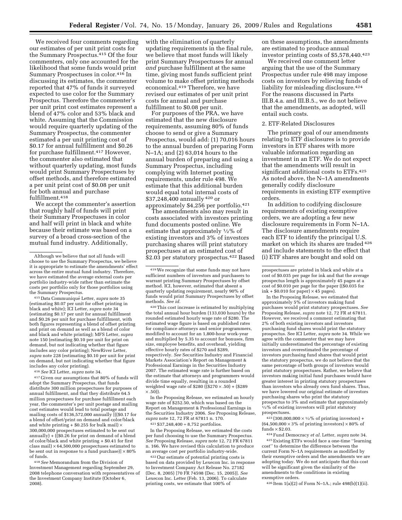We received four comments regarding our estimates of per unit print costs for the Summary Prospectus.415 Of the four commenters, only one accounted for the likelihood that some funds would print Summary Prospectuses in color.416 In discussing its estimates, the commenter reported that 47% of funds it surveyed expected to use color for the Summary Prospectus. Therefore the commenter's per unit print cost estimates represent a blend of 47% color and 53% black and white. Assuming that the Commission would require quarterly updating of the Summary Prospectus, the commenter estimated a per unit printing cost of \$0.17 for annual fulfillment and \$0.26 for purchase fulfillment.417 However, the commenter also estimated that without quarterly updating, most funds would print Summary Prospectuses by offset methods, and therefore estimated a per unit print cost of \$0.08 per unit for both annual and purchase fulfillment.418

We accept the commenter's assertion that roughly half of funds will print their Summary Prospectuses in color and half will print in black and white because their estimate was based on a survey of a broad cross-section of the mutual fund industry. Additionally,

415 Data Communique´ Letter, *supra* note 35 (estimating \$0.07 per unit for offset printing in black and white); ICI Letter, *supra* note 34 (estimating \$0.17 per unit for annual fulfillment and \$0.26 per unit for purchase fulfillment, with both figures representing a blend of offset printing and print on demand as well as a blend of color and black and white printing); MFS Letter, *supra*  note 150 (estimating \$0.10 per unit for print on demand, but not indicating whether that figure includes any color printing); NewRiver Letter, *supra* note 228 (estimating \$0.10 per unit for print on demand, but not indicating whether that figure includes any color printing).

416 *See* ICI Letter, *supra* note 34.

417 Given our assumptions that 80% of funds will adopt the Summary Prospectus, that funds distribute 300 million prospectuses for purposes of annual fulfillment, and that they distribute 64.5 million prospectuses for purchase fulfillment each year, the commenter's per unit postage and mailing cost estimates would lead to total postage and mailing costs of  $$136,572,000$  annually  $[($0.17$  for a blend of offset/print on demand and color/black and white printing + \$0.255 for bulk mail)  $\times$ 300,000,000 prospectuses estimated to be sent out annually) + ((\$0.26 for print on demand of a blend of color/black and white printing + \$0.41 for first class mail)  $\times$  64,500,000 prospectuses estimated to be sent out in response to a fund purchase)]  $\times\,80\%$ of funds.

418 *See* Memorandum from the Division of Investment Management regarding September 29, 2008 telephone conversation with representatives of the Investment Company Institute (October 6, 2008).

with the elimination of quarterly updating requirements in the final rule, we believe that most funds will likely print Summary Prospectuses for annual *and* purchase fulfillment at the same time, giving most funds sufficient print volume to make offset printing methods economical.419 Therefore, we have revised our estimates of per unit print costs for annual and purchase fulfillment to \$0.08 per unit.

For purposes of the PRA, we have estimated that the new disclosure requirements, assuming 80% of funds choose to send or give a Summary Prospectus, would add: (1) 70,016 hours to the annual burden of preparing Form N–1A; and (2) 63,014 hours to the annual burden of preparing and using a Summary Prospectus, including complying with Internet posting requirements, under rule 498. We estimate that this additional burden would equal total internal costs of \$37,248,400 annually 420 or approximately \$4,256 per portfolio.421

The amendments also may result in costs associated with investors printing fund documents posted online. We estimate that approximately 1⁄2% of existing investors and 3% of investors purchasing shares will print statutory prospectuses at an estimated cost of \$2.03 per statutory prospectus.422 Based

420 This cost increase is estimated by multiplying the total annual hour burden (133,030 hours) by the rounded estimated hourly wage rate of \$280. The estimated wage figure is based on published rates for compliance attorneys and senior programmers, modified to account for an 1,800-hour work-year and multiplied by 5.35 to account for bonuses, firm size, employee benefits, and overhead, yielding effective hourly rates of \$270 and \$289, respectively. *See* Securities Industry and Financial Markets Association's Report on Management & Professional Earnings in the Securities Industry 2007. The estimated wage rate is further based on the estimate that attorneys and programmers would divide time equally, resulting in a rounded weighted wage rate of \$280 ((\$270 × .50) + (\$289  $\times$  .50)).

In the Proposing Release, we estimated an hourly wage rate of \$252.50, which was based on the Report on Management & Professional Earnings in the Securities Industry 2006. *See* Proposing Release, *supra* note 12, 72 FR at 67811 n. 170.

421 \$37,248,400 ÷ 8,752 portfolios.

In the Proposing Release, we estimated the costs per fund choosing to use the Summary Prospectus. *See* Proposing Release, *supra* note 12, 72 FR 67811 n. 166. We have revised this calculation to produce an average cost per portfolio industry-wide.

422 Our estimate of potential printing costs is based on data provided by Lexecon Inc. in response to Investment Company Act Release No. 27182 (Dec. 8, 2005) [70 FR 74598 (Dec. 15, 2005)]. *See*  Lexecon Inc. Letter (Feb. 13, 2006). To calculate printing costs, we estimate that 100% of

on these assumptions, the amendments are estimated to produce annual investor printing costs of \$5,578,440.423

We received one comment letter arguing that the use of the Summary Prospectus under rule 498 may impose costs on investors by relieving funds of liability for misleading disclosure.<sup>424</sup> For the reasons discussed in Parts III.B.4.a. and III.B.5., we do not believe that the amendments, as adopted, will entail such costs.

#### 2. ETF-Related Disclosures

The primary goal of our amendments relating to ETF disclosures is to provide investors in ETF shares with more valuable information regarding an investment in an ETF. We do not expect that the amendments will result in significant additional costs to ETFs.<sup>425</sup> As noted above, the N–1A amendments generally codify disclosure requirements in existing ETF exemptive orders.

In addition to codifying disclosure requirements of existing exemptive orders, we are adopting a few new disclosure requirements in Form N–1A. The disclosure amendments require each ETF to identify the principal U.S. market on which its shares are traded 426 and include statements to the effect that (i) ETF shares are bought and sold on

In the Proposing Release, we estimated that approximately 5% of investors making fund purchases would print statutory prospectuses. *See*  Proposing Release, *supra* note 12, 72 FR at 67811. However, we received a comment estimating that 2% of both existing investors and investors purchasing fund shares would print the statutory prospectus. See ICI Letter, *supra* note 34. While we agree with the commenter that we may have initially underestimated the percentage of existing investors and overestimated the percentage of investors purchasing fund shares that would print the statutory prospectus, we do not believe that the same percentage of both groups of investors would print statutory prospectuses. Rather, we believe that investors making initial fund purchases would have greater interest in printing statutory prospectuses than investors who already own fund shares. Thus, we have lowered our original estimate of investors purchasing shares who print the statutory prospectus to 3% and estimate that approximately 1/<sub>2</sub>% of existing investors will print statutory prospectuses.

 $423 (300,000,000 \times \frac{1}{2}\%$  of printing investors) +  $(64,500,000 \times 3\%)$  of printing investors)  $\times 80\%$  of funds  $\times$  \$2.03.

424 Fund Democracy *et al.* Letter, *supra* note 34. 425 Existing ETFs would face a one-time ''learning cost'' to determine the difference between the current Form N–1A requirements as modified by their exemptive orders and the amendments we are adopting today. We do not anticipate that this cost will be significant given the similarity of the amendments to the conditions in existing exemptive orders.

426 Item 1(a)(2) of Form N–1A.; rule 498(b)(1)(ii).

Although we believe that not all funds will choose to use the Summary Prospectus, we believe it is appropriate to estimate the amendments' effect across the entire mutual fund industry. Therefore, we have estimated the average external costs per portfolio industry-wide rather than estimate the costs per portfolio only for those portfolios using the Summary Prospectus.

<sup>419</sup> We recognize that some funds may not have sufficient numbers of investors and purchasers to warrant printing Summary Prospectuses by offset method. ICI, however, estimated that absent a quarterly updating requirement, nearly 90% of funds would print Summary Prospectuses by offset methods. *See id.* 

prospectuses are printed in black and white at a cost of \$0.035 per page for ink and that the average prospectus length is approximately 45 pages at a cost of \$0.010 per page for the paper ((\$0.035 for  $ink + $0.010$  for paper)  $\times 45$  pages).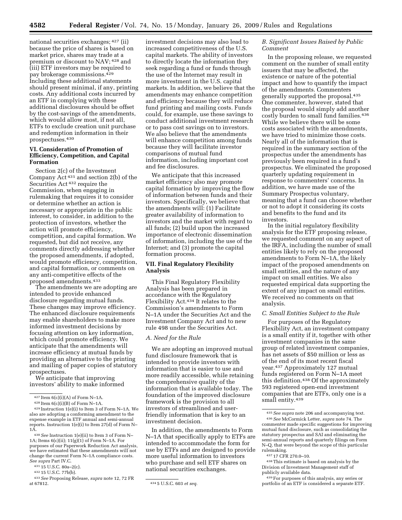**4582 Federal Register** / Vol. 74, No. 15 / Monday, January 26, 2009 / Rules and Regulations

national securities exchanges; 427 (ii) because the price of shares is based on market price, shares may trade at a premium or discount to NAV; 428 and (iii) ETF investors may be required to pay brokerage commissions.429 Including these additional statements should present minimal, if any, printing costs. Any additional costs incurred by an ETF in complying with these additional disclosures should be offset by the cost-savings of the amendments, which would allow most, if not all, ETFs to exclude creation unit purchase and redemption information in their prospectuses.430

# **VI. Consideration of Promotion of Efficiency, Competition, and Capital Formation**

Section 2(c) of the Investment Company Act 431 and section 2(b) of the Securities Act 432 require the Commission, when engaging in rulemaking that requires it to consider or determine whether an action is necessary or appropriate in the public interest, to consider, in addition to the protection of investors, whether the action will promote efficiency, competition, and capital formation. We requested, but did not receive, any comments directly addressing whether the proposed amendments, if adopted, would promote efficiency, competition, and capital formation, or comments on any anti-competitive effects of the proposed amendments.433

The amendments we are adopting are intended to provide enhanced disclosure regarding mutual funds. These changes may improve efficiency. The enhanced disclosure requirements may enable shareholders to make more informed investment decisions by focusing attention on key information, which could promote efficiency. We anticipate that the amendments will increase efficiency at mutual funds by providing an alternative to the printing and mailing of paper copies of statutory prospectuses.

We anticipate that improving investors' ability to make informed

investment decisions may also lead to increased competitiveness of the U.S. capital markets. The ability of investors to directly locate the information they seek regarding a fund or funds through the use of the Internet may result in more investment in the U.S. capital markets. In addition, we believe that the amendments may enhance competition and efficiency because they will reduce fund printing and mailing costs. Funds could, for example, use these savings to conduct additional investment research or to pass cost savings on to investors. We also believe that the amendments will enhance competition among funds because they will facilitate investor comparisons of mutual fund information, including important cost and fee disclosures.

We anticipate that this increased market efficiency also may promote capital formation by improving the flow of information between funds and their investors. Specifically, we believe that the amendments will: (1) Facilitate greater availability of information to investors and the market with regard to all funds; (2) build upon the increased importance of electronic dissemination of information, including the use of the Internet; and (3) promote the capital formation process.

# **VII. Final Regulatory Flexibility Analysis**

This Final Regulatory Flexibility Analysis has been prepared in accordance with the Regulatory Flexibility Act.434 It relates to the Commission's amendments to Form N–1A under the Securities Act and the Investment Company Act and to new rule 498 under the Securities Act.

# *A. Need for the Rule*

We are adopting an improved mutual fund disclosure framework that is intended to provide investors with information that is easier to use and more readily accessible, while retaining the comprehensive quality of the information that is available today. The foundation of the improved disclosure framework is the provision to all investors of streamlined and userfriendly information that is key to an investment decision.

In addition, the amendments to Form N–1A that specifically apply to ETFs are intended to accommodate the form for use by ETFs and are designed to provide more useful information to investors who purchase and sell ETF shares on national securities exchanges.

# *B. Significant Issues Raised by Public Comment*

In the proposing release, we requested comment on the number of small entity issuers that may be affected, the existence or nature of the potential impact and how to quantify the impact of the amendments. Commenters generally supported the proposal.435 One commenter, however, stated that the proposal would simply add another costly burden to small fund families.436 While we believe there will be some costs associated with the amendments, we have tried to minimize those costs. Nearly all of the information that is required in the summary section of the prospectus under the amendments has previously been required in a fund's prospectus. We eliminated the proposed quarterly updating requirement in response to commenters' concerns. In addition, we have made use of the Summary Prospectus voluntary, meaning that a fund can choose whether or not to adopt it considering its costs and benefits to the fund and its investors.

In the initial regulatory flexibility analysis for the ETF proposing release, we requested comment on any aspect of the IRFA, including the number of small entities likely to rely on the proposed amendments to Form N–1A, the likely impact of the proposed amendments on small entities, and the nature of any impact on small entities. We also requested empirical data supporting the extent of any impact on small entities. We received no comments on that analysis.

# *C. Small Entities Subject to the Rule*

For purposes of the Regulatory Flexibility Act, an investment company is a small entity if it, together with other investment companies in the same group of related investment companies, has net assets of \$50 million or less as of the end of its most recent fiscal year.437 Approximately 127 mutual funds registered on Form N–1A meet this definition.438 Of the approximately 593 registered open-end investment companies that are ETFs, only one is a small entity.<sup>439</sup>

<sup>427</sup> Item 6(c)(i)(A) of Form N–1A.<br><sup>428</sup> Item 6(c)(i)(B) of Form N–1A.<br><sup>429</sup> Instruction 1(e)(i) to Item 3 of Form N–1A. We also are adopting a conforming amendment to the expense example in ETF annual and semi-annual reports. Instruction 1(e)(i) to Item 27(d) of Form N–

<sup>1</sup>A. 430 *See* Instruction 1(e)(ii) to Item 3 of Form N– 1A; Items 6(c)(ii); 11(g)(1) of Form N–1A. For purposes of our Paperwork Reduction Act analysis, we have estimated that these amendments will not change the current Form N–1A compliance costs. *See supra Part IV.C.*<br><sup>431</sup> 15 U.S.C. 80a-2(c).

<sup>431 15</sup> U.S.C. 80a–2(c). 432 15 U.S.C. 77b(b). 433 *See* Proposing Release, *supra* note 12, 72 FR at 67812.

<sup>434 5</sup> U.S.C. 603 *et seq.* 

<sup>435</sup> *See supra* note 206 and accompanying text. 436 *See* McCormick Letter, *supra* note 74. The commenter made specific suggestions for improving mutual fund disclosure, such as consolidating the statutory prospectus and SAI and eliminating the semi-annual reports and quarterly filings on Form N–Q, that were beyond the scope of this particular rulemaking.

<sup>437 17</sup> CFR 270.0–10.

<sup>438</sup> This estimate is based on analysis by the Division of Investment Management staff of publicly available data.

<sup>439</sup> For purposes of this analysis, any series or portfolio of an ETF is considered a separate ETF.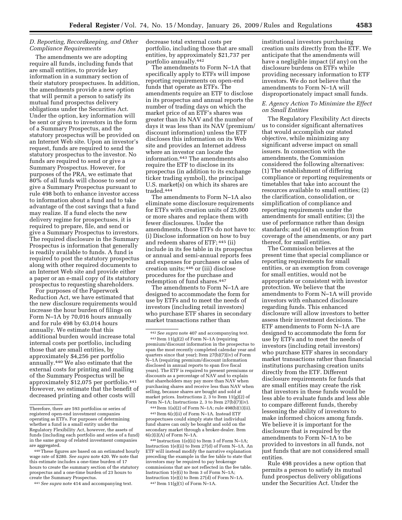# *D. Reporting, Recordkeeping, and Other Compliance Requirements*

The amendments we are adopting require all funds, including funds that are small entities, to provide key information in a summary section of their statutory prospectuses. In addition, the amendments provide a new option that will permit a person to satisfy its mutual fund prospectus delivery obligations under the Securities Act. Under the option, key information will be sent or given to investors in the form of a Summary Prospectus, and the statutory prospectus will be provided on an Internet Web site. Upon an investor's request, funds are required to send the statutory prospectus to the investor. No funds are required to send or give a Summary Prospectus. However, for purposes of the PRA, we estimate that 80% of all funds will choose to send or give a Summary Prospectus pursuant to rule 498 both to enhance investor access to information about a fund and to take advantage of the cost savings that a fund may realize. If a fund elects the new delivery regime for prospectuses, it is required to prepare, file, and send or give a Summary Prospectus to investors. The required disclosure in the Summary Prospectus is information that generally is readily available to funds. A fund is required to post the statutory prospectus along with other required documents to an Internet Web site and provide either a paper or an e-mail copy of its statutory prospectus to requesting shareholders.

For purposes of the Paperwork Reduction Act, we have estimated that the new disclosure requirements would increase the hour burden of filings on Form N–1A by 70,016 hours annually and for rule 498 by 63,014 hours annually. We estimate that this additional burden would increase total internal costs per portfolio, including those that are small entities, by approximately \$4,256 per portfolio annually.440 We also estimate that the external costs for printing and mailing of the Summary Prospectus will be approximately \$12,075 per portfolio.441 However, we estimate that the benefit of decreased printing and other costs will

441 *See supra* note 414 and accompanying text.

decrease total external costs per portfolio, including those that are small entities, by approximately \$21,737 per portfolio annually.442

The amendments to Form N–1A that specifically apply to ETFs will impose reporting requirements on open-end funds that operate as ETFs. The amendments require an ETF to disclose in its prospectus and annual reports the number of trading days on which the market price of an ETF's shares was greater than its NAV and the number of days it was less than its NAV (premium/ discount information) unless the ETF discloses this information on its Web site and provides an Internet address where an investor can locate the information.443 The amendments also require the ETF to disclose in its prospectus (in addition to its exchange ticker trading symbol), the principal U.S. market(s) on which its shares are traded.444

The amendments to Form N–1A also eliminate some disclosure requirements for ETFs with creation units of 25,000 or more shares and replace them with fewer disclosures. Under the amendments, those ETFs do not have to: (i) Disclose information on how to buy and redeem shares of ETF; 445 (ii) include in its fee table in its prospectus or annual and semi-annual reports fees and expenses for purchases or sales of creation units; 446 or (iii) disclose procedures for the purchase and redemption of fund shares.447

The amendments to Form N–1A are designed to accommodate the form for use by ETFs and to meet the needs of investors (including retail investors) who purchase ETF shares in secondary market transactions rather than

445 Item 6(c)(ii) of Form N–1A. Instead ETF prospectuses could simply state that individual fund shares can only be bought and sold on the secondary market through a broker-dealer. Item  $6(c)(i)(A)$  of Form N–1A.

446 Instruction 1(e)(ii) to Item 3 of Form N–1A; Instruction 1(e)(ii) to Item 27(d) of Form N–1A. An ETF will instead modify the narrative explanation preceding the example in the fee table to state that investors may be required to pay brokerage commissions that are not reflected in the fee table. Instruction 1(e)(i) to Item 3 of Form N–1A; Instruction 1(e)(i) to Item 27(d) of Form N–1A. 447 Item 11(g)(1) of Form N–1A.

institutional investors purchasing creation units directly from the ETF. We anticipate that the amendments will have a negligible impact (if any) on the disclosure burdens on ETFs while providing necessary information to ETF investors. We do not believe that the amendments to Form N–1A will disproportionately impact small funds.

# *E. Agency Action To Minimize the Effect on Small Entities*

The Regulatory Flexibility Act directs us to consider significant alternatives that would accomplish our stated objective, while minimizing any significant adverse impact on small issuers. In connection with the amendments, the Commission considered the following alternatives: (1) The establishment of differing compliance or reporting requirements or timetables that take into account the resources available to small entities; (2) the clarification, consolidation, or simplification of compliance and reporting requirements under the amendments for small entities; (3) the use of performance rather than design standards; and (4) an exemption from coverage of the amendments, or any part thereof, for small entities.

The Commission believes at the present time that special compliance or reporting requirements for small entities, or an exemption from coverage for small entities, would not be appropriate or consistent with investor protection. We believe that the amendments to Form N–1A will provide investors with enhanced disclosure regarding funds. This enhanced disclosure will allow investors to better assess their investment decisions. The ETF amendments to Form N–1A are designed to accommodate the form for use by ETFs and to meet the needs of investors (including retail investors) who purchase ETF shares in secondary market transactions rather than financial institutions purchasing creation units directly from the ETF. Different disclosure requirements for funds that are small entities may create the risk that investors in these funds would be less able to evaluate funds and less able to compare different funds, thereby lessening the ability of investors to make informed choices among funds. We believe it is important for the disclosure that is required by the amendments to Form N–1A to be provided to investors in all funds, not just funds that are not considered small entities.

Rule 498 provides a new option that permits a person to satisfy its mutual fund prospectus delivery obligations under the Securities Act. Under the

Therefore, there are 593 portfolios or series of registered open-end investment companies operating as ETFs. For purposes of determining whether a fund is a small entity under the Regulatory Flexibility Act, however, the assets of funds (including each portfolio and series of a fund) in the same group of related investment companies are aggregated.

<sup>440</sup> These figures are based on an estimated hourly wage rate of \$280. *See supra* note 420. We note that this estimate includes a one-time burden of 17 hours to create the summary section of the statutory prospectus and a one-time burden of 23 hours to create the Summary Prospectus.

<sup>442</sup> *See supra* note 407 and accompanying text. 443 Item 11(g)(2) of Form N–1A (requiring premium/discount information in the prospectus to span the most recently completed calendar year and quarters since that year); Item 27(b)(7)(iv) of Form N–1A (requiring premium/discount information disclosed in annual reports to span five fiscal years). The ETF is required to present premiums or discounts as a percentage of NAV and to explain that shareholders may pay more than NAV when purchasing shares and receive less than NAV when selling, because shares are bought and sold at market prices. Instructions 2, 3 to Item 11(g)(2) of Form N–1A; Instructions 2, 3 to Item  $27(b)(7)(iv)$ . 444 Item 1(a)(2) of Form N–1A; rule 498(b)(1)(ii).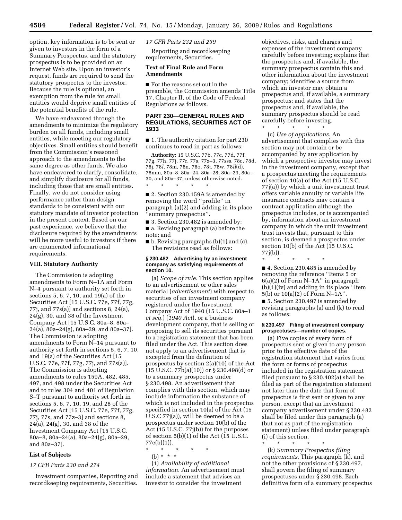option, key information is to be sent or given to investors in the form of a Summary Prospectus, and the statutory prospectus is to be provided on an Internet Web site. Upon an investor's request, funds are required to send the statutory prospectus to the investor. Because the rule is optional, an exemption from the rule for small entities would deprive small entities of the potential benefits of the rule.

We have endeavored through the amendments to minimize the regulatory burden on all funds, including small entities, while meeting our regulatory objectives. Small entities should benefit from the Commission's reasoned approach to the amendments to the same degree as other funds. We also have endeavored to clarify, consolidate, and simplify disclosure for all funds, including those that are small entities. Finally, we do not consider using performance rather than design standards to be consistent with our statutory mandate of investor protection in the present context. Based on our past experience, we believe that the disclosure required by the amendments will be more useful to investors if there are enumerated informational requirements.

#### **VIII. Statutory Authority**

The Commission is adopting amendments to Form N–1A and Form N–4 pursuant to authority set forth in sections 5, 6, 7, 10, and 19(a) of the Securities Act [15 U.S.C. 77e, 77f, 77g, 77j, and 77s(a)] and sections 8, 24(a), 24(g), 30, and 38 of the Investment Company Act [15 U.S.C. 80a–8, 80a– 24(a), 80a–24(g), 80a–29, and 80a–37]. The Commission is adopting amendments to Form N–14 pursuant to authority set forth in sections 5, 6, 7, 10, and 19(a) of the Securities Act [15 U.S.C. 77e, 77f, 77g, 77j, and 77s(a)]. The Commission is adopting amendments to rules 159A, 482, 485, 497, and 498 under the Securities Act and to rules 304 and 401 of Regulation S–T pursuant to authority set forth in sections 5, 6, 7, 10, 19, and 28 of the Securities Act [15 U.S.C. 77e, 77f, 77g, 77j, 77s, and 77z–3] and sections 8, 24(a), 24(g), 30, and 38 of the Investment Company Act [15 U.S.C. 80a–8, 80a–24(a), 80a–24(g), 80a–29, and 80a–37].

#### **List of Subjects**

*17 CFR Parts 230 and 274* 

Investment companies, Reporting and recordkeeping requirements, Securities.

*17 CFR Parts 232 and 239* 

Reporting and recordkeeping requirements, Securities.

# **Text of Final Rule and Form Amendments**

■ For the reasons set out in the preamble, the Commission amends Title 17, Chapter II, of the Code of Federal Regulations as follows.

# **PART 230—GENERAL RULES AND REGULATIONS, SECURITIES ACT OF 1933**

■ 1. The authority citation for part 230 continues to read in part as follows:

**Authority:** 15 U.S.C. 77b, 77c, 77d, 77f, 77g, 77h, 77j, 77r, 77s, 77z–3, 77sss, 78c, 78d, 78j, 78*l*, 78m, 78n, 78o, 78t, 78w, 78*ll*(d), 78mm, 80a–8, 80a–24, 80a–28, 80a–29, 80a– 30, and 80a–37, unless otherwise noted. \* \* \* \* \*

■ 2. Section 230.159A is amended by removing the word ''profile'' in paragraph (a)(2) and adding in its place ''summary prospectus''.

■ 3. Section 230.482 is amended by: ■ a. Revising paragraph (a) before the note; and

■ b. Revising paragraphs (b)(1) and (c). The revisions read as follows:

# **§ 230.482 Advertising by an investment company as satisfying requirements of section 10.**

(a) *Scope of rule.* This section applies to an advertisement or other sales material (*advertisement*) with respect to securities of an investment company registered under the Investment Company Act of 1940 (15 U.S.C. 80a–1 *et seq.*) (*1940 Act*), or a business development company, that is selling or proposing to sell its securities pursuant to a registration statement that has been filed under the Act. This section does not apply to an advertisement that is excepted from the definition of prospectus by section 2(a)(10) of the Act (15 U.S.C. 77b(a)(10)) or § 230.498(d) or to a summary prospectus under § 230.498. An advertisement that complies with this section, which may include information the substance of which is not included in the prospectus specified in section 10(a) of the Act (15 U.S.C 77j(a)), will be deemed to be a prospectus under section 10(b) of the Act (15 U.S.C. 77j(b)) for the purposes of section 5(b)(1) of the Act (15 U.S.C. 77e(b)(1)).

\* \* \* \* \* (b) \* \* \*

(1) *Availability of additional information.* An advertisement must include a statement that advises an investor to consider the investment

objectives, risks, and charges and expenses of the investment company carefully before investing; explains that the prospectus and, if available, the summary prospectus contain this and other information about the investment company; identifies a source from which an investor may obtain a prospectus and, if available, a summary prospectus; and states that the prospectus and, if available, the summary prospectus should be read carefully before investing.

\* \* \* \* \*

(c) *Use of applications.* An advertisement that complies with this section may not contain or be accompanied by any application by which a prospective investor may invest in the investment company, except that a prospectus meeting the requirements of section 10(a) of the Act (15 U.S.C. 77j(a)) by which a unit investment trust offers variable annuity or variable life insurance contracts may contain a contract application although the prospectus includes, or is accompanied by, information about an investment company in which the unit investment trust invests that, pursuant to this section, is deemed a prospectus under section 10(b) of the Act (15 U.S.C. 77j(b)).

\* \* \* \* \* ■ 4. Section 230.485 is amended by removing the reference ''Items 5 or 6(a)(2) of Form N–1A'' in paragraph (b)(1)(iv) and adding in its place ''Item 5(b) or 10(a)(2) of Form N–1A''.

■ 5. Section 230.497 is amended by revising paragraphs (a) and (k) to read as follows:

# **§ 230.497 Filing of investment company prospectuses—number of copies.**

(a) Five copies of every form of prospectus sent or given to any person prior to the effective date of the registration statement that varies from the form or forms of prospectus included in the registration statement filed pursuant to § 230.402(a) shall be filed as part of the registration statement not later than the date that form of prospectus is first sent or given to any person, except that an investment company advertisement under § 230.482 shall be filed under this paragraph (a) (but not as part of the registration statement) unless filed under paragraph (i) of this section.

\* \* \* \* \* (k) *Summary Prospectus filing requirements.* This paragraph (k), and not the other provisions of § 230.497, shall govern the filing of summary prospectuses under § 230.498. Each definitive form of a summary prospectus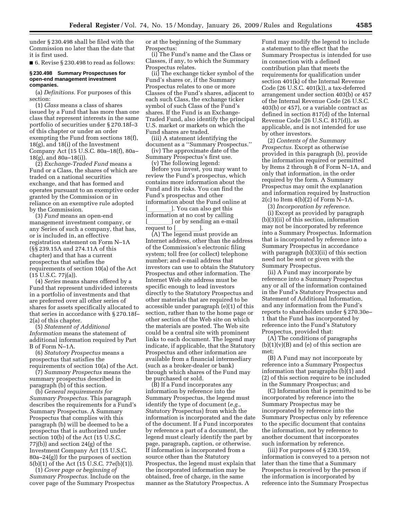under § 230.498 shall be filed with the Commission no later than the date that it is first used.

■ 6. Revise § 230.498 to read as follows:

#### **§ 230.498 Summary Prospectuses for open-end management investment companies.**

(a) *Definitions.* For purposes of this section:

(1) *Class* means a class of shares issued by a Fund that has more than one class that represent interests in the same portfolio of securities under § 270.18f–3 of this chapter or under an order exempting the Fund from sections 18(f), 18(g), and 18(i) of the Investment Company Act (15 U.S.C. 80a–18(f), 80a– 18(g), and 80a–18(i)).

(2) *Exchange-Traded Fund* means a Fund or a Class, the shares of which are traded on a national securities exchange, and that has formed and operates pursuant to an exemptive order granted by the Commission or in reliance on an exemptive rule adopted by the Commission.

(3) *Fund* means an open-end management investment company, or any Series of such a company, that has, or is included in, an effective registration statement on Form N–1A (§§ 239.15A and 274.11A of this chapter) and that has a current prospectus that satisfies the requirements of section 10(a) of the Act  $(15 \text{ U.S.C. } 77j(a))$ .

(4) *Series* means shares offered by a Fund that represent undivided interests in a portfolio of investments and that are preferred over all other series of shares for assets specifically allocated to that series in accordance with § 270.18f– 2(a) of this chapter.

(5) *Statement of Additional Information* means the statement of additional information required by Part B of Form N–1A.

(6) *Statutory Prospectus* means a prospectus that satisfies the requirements of section 10(a) of the Act.

(7) *Summary Prospectus* means the summary prospectus described in paragraph (b) of this section.

(b) *General requirements for Summary Prospectus.* This paragraph describes the requirements for a Fund's Summary Prospectus. A Summary Prospectus that complies with this paragraph (b) will be deemed to be a prospectus that is authorized under section 10(b) of the Act (15 U.S.C. 77j(b)) and section 24(g) of the Investment Company Act (15 U.S.C. 80a–24(g)) for the purposes of section 5(b)(1) of the Act (15 U.S.C. 77e(b)(1)).

(1) *Cover page or beginning of Summary Prospectus.* Include on the cover page of the Summary Prospectus or at the beginning of the Summary Prospectus:

(i) The Fund's name and the Class or Classes, if any, to which the Summary Prospectus relates.

(ii) The exchange ticker symbol of the Fund's shares or, if the Summary Prospectus relates to one or more Classes of the Fund's shares, adjacent to each such Class, the exchange ticker symbol of such Class of the Fund's shares. If the Fund is an Exchange-Traded Fund, also identify the principal U.S. market or markets on which the Fund shares are traded.

(iii) A statement identifying the document as a ''Summary Prospectus.''

(iv) The approximate date of the Summary Prospectus's first use.

(v) The following legend:

Before you invest, you may want to review the Fund's prospectus, which contains more information about the Fund and its risks. You can find the Fund's prospectus and other information about the Fund online at<br>[ ]. You can also get this [**iddit**]. You can also get this information at no cost by calling  $[\underline{\hspace{1cm}}]$  or by sending an e-mail request to  $[\underline{\hspace{1cm}}]$ .

request to [\_\_\_\_\_\_\_\_].<br>(A) The legend must provide an Internet address, other than the address of the Commission's electronic filing system; toll free (or collect) telephone number; and e-mail address that investors can use to obtain the Statutory Prospectus and other information. The Internet Web site address must be specific enough to lead investors directly to the Statutory Prospectus and other materials that are required to be accessible under paragraph (e)(1) of this section, rather than to the home page or other section of the Web site on which the materials are posted. The Web site could be a central site with prominent links to each document. The legend may indicate, if applicable, that the Statutory Prospectus and other information are available from a financial intermediary (such as a broker-dealer or bank) through which shares of the Fund may be purchased or sold.

(B) If a Fund incorporates any information by reference into the Summary Prospectus, the legend must identify the type of document (*e.g.*, Statutory Prospectus) from which the information is incorporated and the date of the document. If a Fund incorporates by reference a part of a document, the legend must clearly identify the part by page, paragraph, caption, or otherwise. If information is incorporated from a source other than the Statutory Prospectus, the legend must explain that the incorporated information may be obtained, free of charge, in the same manner as the Statutory Prospectus. A

Fund may modify the legend to include a statement to the effect that the Summary Prospectus is intended for use in connection with a defined contribution plan that meets the requirements for qualification under section 401(k) of the Internal Revenue Code (26 U.S.C. 401(k)), a tax-deferred arrangement under section 403(b) or 457 of the Internal Revenue Code (26 U.S.C. 403(b) or 457), or a variable contract as defined in section 817(d) of the Internal Revenue Code (26 U.S.C. 817(d)), as applicable, and is not intended for use by other investors.

(2) *Contents of the Summary Prospectus.* Except as otherwise provided in this paragraph (b), provide the information required or permitted by Items 2 through 8 of Form N–1A, and only that information, in the order required by the form. A Summary Prospectus may omit the explanation and information required by Instruction  $2(c)$  to Item  $4(b)(2)$  of Form N–1A.

(3) *Incorporation by reference.* 

(i) Except as provided by paragraph (b)(3)(ii) of this section, information may not be incorporated by reference into a Summary Prospectus. Information that is incorporated by reference into a Summary Prospectus in accordance with paragraph (b)(3)(ii) of this section need not be sent or given with the Summary Prospectus.

(ii) A Fund may incorporate by reference into a Summary Prospectus any or all of the information contained in the Fund's Statutory Prospectus and Statement of Additional Information, and any information from the Fund's reports to shareholders under § 270.30e– 1 that the Fund has incorporated by reference into the Fund's Statutory Prospectus, provided that:

(A) The conditions of paragraphs  $(b)(1)(v)(B)$  and  $(e)$  of this section are met;

(B) A Fund may not incorporate by reference into a Summary Prospectus information that paragraphs (b)(1) and (2) of this section require to be included in the Summary Prospectus; and

(C) Information that is permitted to be incorporated by reference into the Summary Prospectus may be incorporated by reference into the Summary Prospectus only by reference to the specific document that contains the information, not by reference to another document that incorporates such information by reference.

(iii) For purposes of § 230.159, information is conveyed to a person not later than the time that a Summary Prospectus is received by the person if the information is incorporated by reference into the Summary Prospectus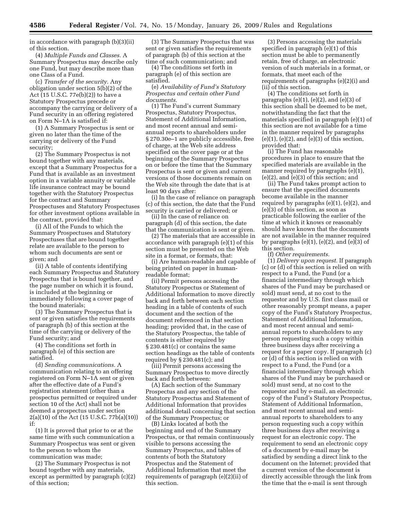in accordance with paragraph (b)(3)(ii) of this section.

(4) *Multiple Funds and Classes.* A Summary Prospectus may describe only one Fund, but may describe more than one Class of a Fund.

(c) *Transfer of the security.* Any obligation under section 5(b)(2) of the Act (15 U.S.C. 77e(b)(2)) to have a Statutory Prospectus precede or accompany the carrying or delivery of a Fund security in an offering registered on Form N–1A is satisfied if:

(1) A Summary Prospectus is sent or given no later than the time of the carrying or delivery of the Fund security;

(2) The Summary Prospectus is not bound together with any materials, except that a Summary Prospectus for a Fund that is available as an investment option in a variable annuity or variable life insurance contract may be bound together with the Statutory Prospectus for the contract and Summary Prospectuses and Statutory Prospectuses for other investment options available in the contract, provided that:

(i) All of the Funds to which the Summary Prospectuses and Statutory Prospectuses that are bound together relate are available to the person to whom such documents are sent or given; and

(ii) A table of contents identifying each Summary Prospectus and Statutory Prospectus that is bound together, and the page number on which it is found, is included at the beginning or immediately following a cover page of the bound materials;

(3) The Summary Prospectus that is sent or given satisfies the requirements of paragraph (b) of this section at the time of the carrying or delivery of the Fund security; and

(4) The conditions set forth in paragraph (e) of this section are satisfied.

(d) *Sending communications.* A communication relating to an offering registered on Form N–1A sent or given after the effective date of a Fund's registration statement (other than a prospectus permitted or required under section 10 of the Act) shall not be deemed a prospectus under section 2(a)(10) of the Act (15 U.S.C. 77b(a)(10)) if:

(1) It is proved that prior to or at the same time with such communication a Summary Prospectus was sent or given to the person to whom the communication was made;

(2) The Summary Prospectus is not bound together with any materials, except as permitted by paragraph (c)(2) of this section;

(3) The Summary Prospectus that was sent or given satisfies the requirements of paragraph (b) of this section at the time of such communication; and

(4) The conditions set forth in paragraph (e) of this section are satisfied.

(e) *Availability of Fund's Statutory Prospectus and certain other Fund documents.* 

(1) The Fund's current Summary Prospectus, Statutory Prospectus, Statement of Additional Information, and most recent annual and semiannual reports to shareholders under § 270.30e–1 are publicly accessible, free of charge, at the Web site address specified on the cover page or at the beginning of the Summary Prospectus on or before the time that the Summary Prospectus is sent or given and current versions of those documents remain on the Web site through the date that is at least 90 days after:

(i) In the case of reliance on paragraph (c) of this section, the date that the Fund security is carried or delivered; or

(ii) In the case of reliance on paragraph (d) of this section, the date that the communication is sent or given.

(2) The materials that are accessible in accordance with paragraph (e)(1) of this section must be presented on the Web site in a format, or formats, that:

(i) Are human-readable and capable of being printed on paper in humanreadable format;

(ii) Permit persons accessing the Statutory Prospectus or Statement of Additional Information to move directly back and forth between each section heading in a table of contents of such document and the section of the document referenced in that section heading; provided that, in the case of the Statutory Prospectus, the table of contents is either required by § 230.481(c) or contains the same section headings as the table of contents required by § 230.481(c); and

(iii) Permit persons accessing the Summary Prospectus to move directly back and forth between:

(A) Each section of the Summary Prospectus and any section of the Statutory Prospectus and Statement of Additional Information that provides additional detail concerning that section of the Summary Prospectus; or

(B) Links located at both the beginning and end of the Summary Prospectus, or that remain continuously visible to persons accessing the Summary Prospectus, and tables of contents of both the Statutory Prospectus and the Statement of Additional Information that meet the requirements of paragraph (e)(2)(ii) of this section.

(3) Persons accessing the materials specified in paragraph (e)(1) of this section must be able to permanently retain, free of charge, an electronic version of such materials in a format, or formats, that meet each of the requirements of paragraphs (e)(2)(i) and (ii) of this section.

(4) The conditions set forth in paragraphs  $(e)(1)$ ,  $(e)(2)$ , and  $(e)(3)$  of this section shall be deemed to be met, notwithstanding the fact that the materials specified in paragraph (e)(1) of this section are not available for a time in the manner required by paragraphs  $(e)(1)$ ,  $(e)(2)$ , and  $(e)(3)$  of this section, provided that:

(i) The Fund has reasonable procedures in place to ensure that the specified materials are available in the manner required by paragraphs (e)(1), (e)(2), and (e)(3) of this section; and

(ii) The Fund takes prompt action to ensure that the specified documents become available in the manner required by paragraphs (e)(1), (e)(2), and  $(e)$  $(3)$  of this section, as soon as practicable following the earlier of the time at which it knows or reasonably should have known that the documents are not available in the manner required by paragraphs  $(e)(1)$ ,  $(e)(2)$ , and  $(e)(3)$  of this section.

(f) *Other requirements.* 

(1) *Delivery upon request.* If paragraph (c) or (d) of this section is relied on with respect to a Fund, the Fund (or a financial intermediary through which shares of the Fund may be purchased or sold) must send, at no cost to the requestor and by U.S. first class mail or other reasonably prompt means, a paper copy of the Fund's Statutory Prospectus, Statement of Additional Information, and most recent annual and semiannual reports to shareholders to any person requesting such a copy within three business days after receiving a request for a paper copy. If paragraph (c) or (d) of this section is relied on with respect to a Fund, the Fund (or a financial intermediary through which shares of the Fund may be purchased or sold) must send, at no cost to the requestor and by e-mail, an electronic copy of the Fund's Statutory Prospectus, Statement of Additional Information, and most recent annual and semiannual reports to shareholders to any person requesting such a copy within three business days after receiving a request for an electronic copy. The requirement to send an electronic copy of a document by e-mail may be satisfied by sending a direct link to the document on the Internet; provided that a current version of the document is directly accessible through the link from the time that the e-mail is sent through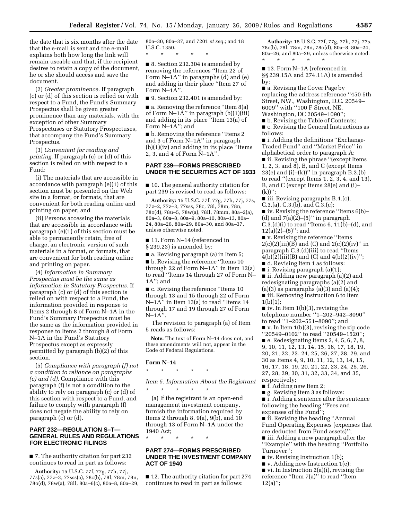the date that is six months after the date that the e-mail is sent and the e-mail explains both how long the link will remain useable and that, if the recipient desires to retain a copy of the document, he or she should access and save the document.

(2) *Greater prominence.* If paragraph (c) or (d) of this section is relied on with respect to a Fund, the Fund's Summary Prospectus shall be given greater prominence than any materials, with the exception of other Summary Prospectuses or Statutory Prospectuses, that accompany the Fund's Summary Prospectus.

(3) *Convenient for reading and printing.* If paragraph (c) or (d) of this section is relied on with respect to a Fund:

(i) The materials that are accessible in accordance with paragraph (e)(1) of this section must be presented on the Web site in a format, or formats, that are convenient for both reading online and printing on paper; and

(ii) Persons accessing the materials that are accessible in accordance with paragraph (e)(1) of this section must be able to permanently retain, free of charge, an electronic version of such materials in a format, or formats, that are convenient for both reading online and printing on paper.

(4) *Information in Summary Prospectus must be the same as information in Statutory Prospectus.* If paragraph (c) or (d) of this section is relied on with respect to a Fund, the information provided in response to Items 2 through 8 of Form N–1A in the Fund's Summary Prospectus must be the same as the information provided in response to Items 2 through 8 of Form N–1A in the Fund's Statutory Prospectus except as expressly permitted by paragraph (b)(2) of this section.

(5) *Compliance with paragraph (f) not a condition to reliance on paragraphs (c) and (d).* Compliance with this paragraph (f) is not a condition to the ability to rely on paragraph (c) or (d) of this section with respect to a Fund, and failure to comply with paragraph (f) does not negate the ability to rely on paragraph (c) or (d).

# **PART 232—REGULATION S–T— GENERAL RULES AND REGULATIONS FOR ELECTRONIC FILINGS**

■ 7. The authority citation for part 232 continues to read in part as follows:

**Authority:** 15 U.S.C. 77f, 77g, 77h, 77j, 77s(a), 77z–3, 77sss(a), 78c(b), 78l, 78m, 78n, 78o(d), 78w(a), 78ll, 80a–6(c), 80a–8, 80a–29, 80a–30, 80a–37, and 7201 *et seq.*; and 18 U.S.C. 1350. \* \* \* \* \*

■ 8. Section 232.304 is amended by removing the references ''Item 22 of Form N–1A'' in paragraphs (d) and (e) and adding in their place ''Item 27 of Form N–1A''.

■ 9. Section 232.401 is amended by:

■ a. Removing the reference "Item 8(a) of Form  $N-1$ A" in paragraph (b)(1)(iii) and adding in its place ''Item 13(a) of Form N–1A''; and

■ b. Removing the reference "Items 2 and 3 of Form N–1A'' in paragraph (b)(1)(iv) and adding in its place ''Items 2, 3, and 4 of Form N–1A''.

# **PART 239—FORMS PRESCRIBED UNDER THE SECURITIES ACT OF 1933**

■ 10. The general authority citation for part 239 is revised to read as follows:

**Authority:** 15 U.S.C. 77f, 77g, 77h, 77j, 77s, 77z–2, 77z–3, 77sss, 78c, 78l, 78m, 78n, 78o(d), 78u–5, 78w(a), 78ll, 78mm, 80a–2(a), 80a–3, 80a–8, 80a–9, 80a–10, 80a–13, 80a– 24, 80a–26, 80a–29, 80a–30, and 80a–37, unless otherwise noted.

■ 11. Form N-14 (referenced in § 239.23) is amended by:

■ a. Revising paragraph (a) in Item 5;

■ b. Revising the reference "Items 10 through 22 of Form N–1A'' in Item 12(a) to read ''Items 14 through 27 of Form N– 1A''; and

■ c. Revising the reference "Items 10 through 13 and 15 through 22 of Form N–1A'' in Item 13(a) to read ''Items 14 through 17 and 19 through 27 of Form N–1A''.

The revision to paragraph (a) of Item 5 reads as follows:

**Note:** The text of Form N–14 does not, and these amendments will not, appear in the Code of Federal Regulations.

# **Form N–14**

\* \* \* \* \*

*Item 5. Information About the Registrant*  \* \* \* \* \*

(a) If the registrant is an open-end management investment company, furnish the information required by Items 2 through 8, 9(a), 9(b), and 10 through 13 of Form N–1A under the 1940 Act;

\* \* \* \* \*

# **PART 274—FORMS PRESCRIBED UNDER THE INVESTMENT COMPANY ACT OF 1940**

■ 12. The authority citation for part 274 continues to read in part as follows:

**Authority:** 15 U.S.C. 77f, 77g, 77h, 77j, 77s, 78c(b), 78l, 78m, 78n, 78o(d), 80a–8, 80a–24, 80a–26, and 80a–29, unless otherwise noted. \* \* \* \* \*

■ 13. Form N-1A (referenced in §§ 239.15A and 274.11A) is amended by:

■ a. Revising the Cover Page by replacing the address reference ''450 5th Street, NW., Washington, D.C. 20549– 6009'' with ''100 F Street, NE, Washington, DC 20549–1090'';

■ b. Revising the Table of Contents;

■ c. Revising the General Instructions as follows:

■ i. Adding the definitions "Exchange-Traded Fund'' and ''Market Price'' in alphabetical order to paragraph A;

■ ii. Revising the phrase "(except Items 1, 2, 3, and 8), B, and C (except Items  $23(e)$  and  $(i)$ – $(k)$ )" in paragraph B.2. $(b)$ to read ''(except Items 1, 2, 3, 4, and 13), B, and C (except Items 28(e) and (i)–  $(k)$ )'';

■ iii. Revising paragraphs B.4.(c),

C.3.(a), C.3.(b), and C.3.(c);

 $\blacksquare$  iv. Revising the reference "Items 6(b)-(d) and  $7(a)(2)$ –(5)" in paragraph

C.3. $(d)(i)$  to read "Items 6,  $11(b)$ – $(d)$ , and  $12(a)(2)–(5)$ "; and

■ v. Revising the reference "Items  $2(c)(2)(iii)(B)$  and  $(C)$  and  $2(c)(2)(iv)$ " in paragraph C.3.(d)(iii) to read ''Items  $4(b)(2)(iii)(B)$  and  $(C)$  and  $4(b)(2)(iv)$ ";

■ d. Revising Item 1 as follows:

 $\blacksquare$  i. Revising paragraph (a)(1);

■ ii. Adding new paragraph (a)(2) and redesignating paragraphs (a)(2) and (a)(3) as paragraphs (a)(3) and (a)(4);

■ iii. Removing Instruction 6 to Item  $1(b)(1);$ 

 $\blacksquare$  iv. In Item 1(b)(3), revising the telephone number ''1–202–942–8090'' to read ''1–202–551–8090''; and

 $\blacksquare$  v. In Item 1(b)(3), revising the zip code ''20549–0102'' to read ''20549–1520'';

 $\blacksquare$  e. Redesignating Items 2, 4, 5, 6, 7, 8, 9, 10, 11, 12, 13, 14, 15, 16, 17, 18, 19, 20, 21, 22, 23, 24, 25, 26, 27, 28, 29, and 30 as Items 4, 9, 10, 11, 12, 13, 14, 15, 16, 17, 18, 19, 20, 21, 22, 23, 24, 25, 26, 27, 28, 29, 30, 31, 32, 33, 34, and 35, respectively;

■ f. Adding new Item 2;

■ g. Revising Item 3 as follows:

■ i. Adding a sentence after the sentence following the heading ''Fees and expenses of the Fund'';

■ ii. Revising the heading "Annual Fund Operating Expenses (expenses that are deducted from Fund assets)'';

■ iii. Adding a new paragraph after the ''Example'' with the heading ''Portfolio Turnover'';

 $\blacksquare$  iv. Revising Instruction 1(b);

 $12(a)$ ";

■ v. Adding new Instruction 1(e); ■ vi. In Instruction 2(a)(i), revising the reference ''Item 7(a)'' to read ''Item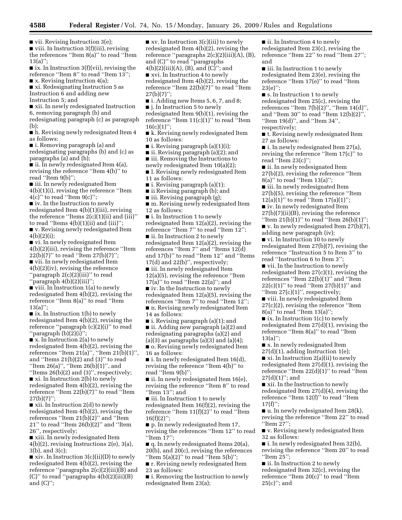$\blacksquare$  vii. Revising Instruction 3(e);

 $\blacksquare$  viii. In Instruction 3(f)(iii), revising the references ''Item 8(a)'' to read ''Item  $13(a)$ ";

■ ix. In Instruction 3(f)(vii), revising the reference ''Item 8'' to read ''Item 13'';  $\blacksquare$  x. Revising Instruction 4(a);

■ xi. Redesignating Instruction 5 as

- Instruction 6 and adding new Instruction 5; and
- xii. In newly redesignated Instruction

6, removing paragraph (b) and redesignating paragraph (c) as paragraph (b);

■ h. Revising newly redesignated Item 4 as follows:

■ i. Removing paragraph (a) and redesignating paragraphs (b) and (c) as paragraphs (a) and (b);

■ ii. In newly redesignated Item 4(a), revising the reference ''Item 4(b)'' to read ''Item 9(b)'';

■ iii. In newly redesignated Item 4(b)(1)(i), revising the reference ''Item

 $4(c)$ " to read "Item  $9(c)$ ";

■ iv. In the Instruction to newly redesignated Item 4(b)(1)(iii), revising the reference ''Items 2(c)(1)(ii) and (iii)'' to read "Items  $4(b)(1)(ii)$  and  $(iii)$ "; ■ v. Revising newly redesignated Item 4(b)(2)(i);

■ vi. In newly redesignated Item 4(b)(2)(iii), revising the reference ''Item  $22(b)(7)$ " to read "Item  $27(b)(7)$ "; ■ vii. In newly redesignated Item 4(b)(2)(iv), revising the reference "paragraph  $2(c)(2)$ (iii)" to read ''paragraph 4(b)(2)(iii)'';

■ viii. In Instruction 1(a) to newly redesignated Item 4(b)(2), revising the reference ''Item 8(a)'' to read ''Item 13(a)'';

■ ix. In Instruction 1(b) to newly redesignated Item 4(b)(2), revising the reference ''paragraph (c)(2)(i)'' to read "paragraph  $(b)(2)(i)$ ";

 $\blacksquare$  x. In Instruction 2(a) to newly redesignated Item 4(b)(2), revising the references ''Item 21(a)'', ''Item 21(b)(1)'', and ''Items 21(b)(2) and (3)'' to read "Item 26(a)", "Item 26(b)(1)", and "Items  $26(b)(2)$  and  $(3)$ ", respectively;

■ xi. In Instruction 2(b) to newly redesignated Item 4(b)(2), revising the reference ''Item 22(b)(7)'' to read ''Item  $27(b)(7)$ 

■ xii. In Instruction 2(d) to newly redesignated Item 4(b)(2), revising the references ''Item 21(b)(2)'' and ''Item  $21$ " to read "Item  $26(b)(2)$ " and "Item 26'', respectively;

■ xiii. In newly redesignated Item 4(b)(2), revising Instructions 2(e), 3(a), 3(b), and 3(c);

■ xiv. In Instruction 3(c)(ii)(D) to newly redesignated Item 4(b)(2), revising the reference ''paragraphs 2(c)(2)(iii)(B) and (C)'' to read ''paragraphs 4(b)(2)(iii)(B) and  $(C)$ ";

 $\blacksquare$  xv. In Instruction 3(c)(iii) to newly redesignated Item 4(b)(2), revising the reference ''paragraphs 2(c)(2)(iii)(A), (B), and (C)'' to read ''paragraphs  $4(b)(2)(iii)(A), (B), and (C)$ "; and ■ xvi. In Instruction 4 to newly redesignated Item 4(b)(2), revising the reference ''Item 22(b)(7)'' to read ''Item  $27(b)(7)$ ";

■ i. Adding new Items 5, 6, 7, and 8;

■ j. In Instruction 5 to newly redesignated Item 9(b)(1), revising the reference "Item 11(c)(1)" to read "Item  $16(c)(1)$ ":

■ k. Revising newly redesignated Item 10 as follows:

■ i. Revising paragraph (a)(1)(i);

■ ii. Revising paragraph (a)(2); and

■ iii. Removing the Instructions to newly redesignated Item 10(a)(2);

■ l. Revising newly redesignated Item

11 as follows:

 $\blacksquare$  i. Revising paragraph (a)(1);

■ ii Revising paragraph (b); and

■ iii. Revising paragraph (g);

■ m. Revising newly redesignated Item 12 as follows:

■ i. In Instruction 1 to newly redesignated Item 12(a)(2), revising the reference ''Item 7'' to read ''Item 12'';

■ ii. In Instruction 2 to newly redesignated Item 12(a)(2), revising the references ''Item 7'' and ''Items 12(d) and 17(b)'' to read ''Item 12'' and ''Items 17(d) and 22(b)'', respectively; ■ iii. In newly redesignated Item

12(a)(5), revising the reference ''Item  $17(a)$ " to read "Item  $22(a)$ "; and

■ iv. In the Instruction to newly redesignated Item 12(a)(5), revising the references ''Item 7'' to read ''Item 12'';

■ n. Revising newly redesignated Item 14 as follows:

■ i. Revising paragraph (a)(1); and ■ ii. Adding new paragraph (a)(2) and redesignating paragraphs (a)(2) and (a)(3) as paragraphs (a)(3) and (a)(4); ■ o. Revising newly redesignated Item 16 as follows:

 $\blacksquare$  i. In newly redesignated Item 16(d), revising the reference ''Item 4(b)'' to read ''Item 9(b)'';

■ ii. In newly redesignated Item 16(e), revising the reference ''Item 8'' to read ''Item 13''; and

■ iii. In Instruction 1 to newly redesignated Item 16(f)(2), revising the reference ''Item 11(f)(2)'' to read ''Item  $16(f)(2)$ ";

■ p. In newly redesignated Item 17, revising the references ''Item 12'' to read ''Item 17'';

■ q. In newly redesignated Items 20(a), 20(b), and 20(c), revising the references "Item  $5(a)(2)$ " to read "Item  $5(b)$ ";

■ r. Revising newly redesignated Item 23 as follows:

■ i. Removing the Instruction to newly redesignated Item 23(a);

■ ii. In Instruction 4 to newly redesignated Item 23(c), revising the reference ''Item 22'' to read ''Item 27''; and

■ iii. In Instruction 1 to newly redesignated Item 23(e), revising the reference ''Item 17(e)'' to read ''Item  $23(e)$ ";

■ s. In Instruction 1 to newly redesignated Item 25(c), revising the references ''Item 7(b)(2)'', ''Item 14(d)'', and ''Item 30'' to read ''Item 12(b)(2)'', ''Item 19(d)'', and ''Item 34'', respectively;

■ t. Revising newly redesignated Item 27 as follows:

 $\blacksquare$  i. In newly redesignated Item 27(a), revising the reference ''Item 17(c)'' to read ''Item 23(c)'';

■ ii. In newly redesignated Item 27(b)(2), revising the reference ''Item 8(a)'' to read ''Item 13(a)'';

■ iii. In newly redesignated Item 27(b)(5), revising the reference ''Item  $12(a)(1)$ " to read "Item  $17(a)(1)$ ";

■ iv. In newly redesignated Item

27(b)(7)(ii)(B), revising the reference "Item  $21(b)(1)$ " to read "Item  $26(b)(1)$ ";

■ v. In newly redesignated Item 27(b)(7), adding new paragraph (iv);

■ vi. In Instruction 10 to newly redesignated Item 27(b)(7), revising the reference ''Instruction 5 to Item 3'' to read ''Instruction 6 to Item 3'';

■ vii. In the Instruction to newly redesignated Item 27(c)(1), revising the references ''Item 22(b)(1)'' and ''Item  $22(c)(1)$ " to read "Item  $27(b)(1)$ " and ''Item 27(c)(1)'', respectively;

■ viii. In newly redesignated Item 27(c)(2), revising the reference ''Item  $8(a)$ " to read "Item 13(a)";

 $\blacksquare$  ix. In Instruction 1(c) to newly redesignated Item 27(d)(1), revising the reference ''Item 8(a)'' to read ''Item  $13(a)$ ";

■ x. In newly redesignated Item  $27(d)(1)$ , adding Instruction  $1(e)$ ;

■ xi. In Instruction 2(a)(ii) to newly redesignated Item 27(d)(1), revising the reference "Item 22(d)(1)" to read "Item  $27(d)(1)$ "; and

■ xii. In the Instruction to newly redesignated Item 27(d)(4), revising the reference ''Item 12(f)'' to read ''Item  $17(f)$ ";

 $\blacksquare$  u. In newly redesignated Item 28(k), revising the reference ''Item 22'' to read ''Item 27'';

■ v. Revising newly redesignated Item 32 as follows:

 $\blacksquare$  i. In newly redesignated Item 32(b), revising the reference ''Item 20'' to read ''Item 25'';

■ ii. In Instruction 2 to newly redesignated Item 32(c), revising the reference ''Item 20(c)'' to read ''Item  $25(c)$ "; and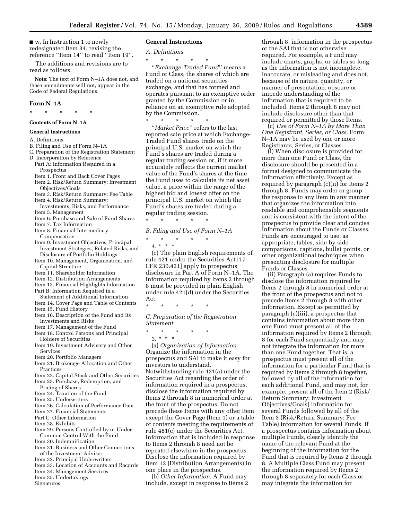■ w. In Instruction 1 to newly redesignated Item 34, revising the reference ''Item 14'' to read ''Item 19''.

The additions and revisions are to read as follows:

**Note:** The text of Form N–1A does not, and these amendments will not, appear in the Code of Federal Regulations.

# **Form N–1A**

\* \* \* \* \*

# **Contents of Form N–1A**

#### **General Instructions**

- A. Definitions
- B. Filing and Use of Form N–1A
- C. Preparation of the Registration Statement
- D. Incorporation by Reference
- Part A: Information Required in a Prospectus

Item 1. Front and Back Cover Pages

- Item 2. Risk/Return Summary: Investment Objectives/Goals
- Item 3. Risk/Return Summary: Fee Table Item 4. Risk/Return Summary:
- Investments, Risks, and Performance
- Item 5. Management
- Item 6. Purchase and Sale of Fund Shares
- Item 7. Tax Information
- Item 8. Financial Intermediary Compensation
- Item 9. Investment Objectives, Principal Investment Strategies, Related Risks, and Disclosure of Portfolio Holdings
- Item 10. Management, Organization, and Capital Structure
- Item 11. Shareholder Information
- Item 12. Distribution Arrangements
- Item 13. Financial Highlights Information
- Part B: Information Required in a
- Statement of Additional Information Item 14. Cover Page and Table of Contents
- Item 15. Fund History
- Item 16. Description of the Fund and Its Investments and Risks
- Item 17. Management of the Fund
- Item 18. Control Persons and Principal Holders of Securities
- Item 19. Investment Advisory and Other Services
- Item 20. Portfolio Managers
- Item 21. Brokerage Allocation and Other Practices
- Item 22. Capital Stock and Other Securities Item 23. Purchase, Redemption, and
- Pricing of Shares
- Item 24. Taxation of the Fund
- Item 25. Underwriters
- Item 26. Calculation of Performance Data
- Item 27. Financial Statements
- Part C: Other Information
- Item 28. Exhibits
- Item 29. Persons Controlled by or Under Common Control With the Fund
- Item 30. Indemnification Item 31. Business and Other Connections
- of the Investment Adviser
- Item 32. Principal Underwriters
- Item 33. Location of Accounts and Records Item 34. Management Services
- Item 35. Undertakings
- 
- Signatures

# **General Instructions**

*A. Definitions* 

\* \* \* \* \*

''*Exchange-Traded Fund*'' means a Fund or Class, the shares of which are traded on a national securities exchange, and that has formed and operates pursuant to an exemptive order granted by the Commission or in reliance on an exemptive rule adopted

''*Market Price*'' refers to the last reported sale price at which Exchange-Traded Fund shares trade on the principal U.S. market on which the Fund's shares are traded during a regular trading session or, if it more accurately reflects the current market value of the Fund's shares at the time the Fund uses to calculate its net asset value, a price within the range of the highest bid and lowest offer on the principal U.S. market on which the Fund's shares are traded during a regular trading session.

\* \* \* \* \*

*B. Filing and Use of Form N–1A* 

 $\star$   $\star$   $\star$ 

4. \* \* \*

(c) The plain English requirements of rule 421 under the Securities Act [17 CFR 230.421] apply to prospectus disclosure in Part A of Form N–1A. The information required by Items 2 through 8 must be provided in plain English under rule 421(d) under the Securities Act.

\* \* \* \* \*

*C. Preparation of the Registration Statement* 

- \* \* \* \* \*
- 3. \* \* \*

(a) *Organization of Information*. Organize the information in the prospectus and SAI to make it easy for investors to understand. Notwithstanding rule 421(a) under the Securities Act regarding the order of information required in a prospectus, disclose the information required by Items 2 through 8 in numerical order at the front of the prospectus. Do not precede these Items with any other Item except the Cover Page (Item 1) or a table of contents meeting the requirements of rule 481(c) under the Securities Act. Information that is included in response to Items 2 through 8 need not be repeated elsewhere in the prospectus. Disclose the information required by Item 12 (Distribution Arrangements) in one place in the prospectus.

(b) *Other Information*. A Fund may include, except in response to Items 2

through 8, information in the prospectus or the SAI that is not otherwise required. For example, a Fund may include charts, graphs, or tables so long as the information is not incomplete, inaccurate, or misleading and does not, because of its nature, quantity, or manner of presentation, obscure or impede understanding of the information that is required to be included. Items 2 through 8 may not include disclosure other than that required or permitted by those Items.

(c) *Use of Form N–1A by More Than One Registrant, Series, or Class*. Form N–1A may be used by one or more Registrants, Series, or Classes.

(i) When disclosure is provided for more than one Fund or Class, the disclosure should be presented in a format designed to communicate the information effectively. Except as required by paragraph (c)(ii) for Items 2 through 8, Funds may order or group the response to any Item in any manner that organizes the information into readable and comprehensible segments and is consistent with the intent of the prospectus to provide clear and concise information about the Funds or Classes. Funds are encouraged to use, as appropriate, tables, side-by-side comparisons, captions, bullet points, or other organizational techniques when presenting disclosure for multiple Funds or Classes.

(ii) Paragraph (a) requires Funds to disclose the information required by Items 2 through 8 in numerical order at the front of the prospectus and not to precede Items 2 through 8 with other information. Except as permitted by paragraph (c)(iii), a prospectus that contains information about more than one Fund must present all of the information required by Items 2 through 8 for each Fund sequentially and may not integrate the information for more than one Fund together. That is, a prospectus must present all of the information for a particular Fund that is required by Items 2 through 8 together, followed by all of the information for each additional Fund, and may not, for example, present all of the Item 2 (Risk/ Return Summary: Investment Objectives/Goals) information for several Funds followed by all of the Item 3 (Risk/Return Summary: Fee Table) information for several Funds. If a prospectus contains information about multiple Funds, clearly identify the name of the relevant Fund at the beginning of the information for the Fund that is required by Items 2 through 8. A Multiple Class Fund may present the information required by Items 2 through 8 separately for each Class or may integrate the information for

by the Commission.

\* \* \* \* \*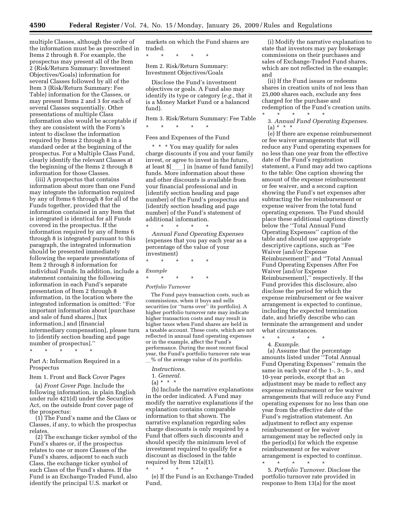multiple Classes, although the order of the information must be as prescribed in Items 2 through 8. For example, the prospectus may present all of the Item 2 (Risk/Return Summary: Investment Objectives/Goals) information for several Classes followed by all of the Item 3 (Risk/Return Summary: Fee Table) information for the Classes, or may present Items 2 and 3 for each of several Classes sequentially. Other presentations of multiple Class information also would be acceptable if they are consistent with the Form's intent to disclose the information required by Items 2 through 8 in a standard order at the beginning of the prospectus. For a Multiple Class Fund, clearly identify the relevant Classes at the beginning of the Items 2 through 8 information for those Classes.

(iii) A prospectus that contains information about more than one Fund may integrate the information required by any of Items 6 through 8 for all of the Funds together, provided that the information contained in any Item that is integrated is identical for all Funds covered in the prospectus. If the information required by any of Items 6 through 8 is integrated pursuant to this paragraph, the integrated information should be presented immediately following the separate presentations of Item 2 through 8 information for individual Funds. In addition, include a statement containing the following information in each Fund's separate presentation of Item 2 through 8 information, in the location where the integrated information is omitted: ''For important information about [purchase and sale of fund shares,] [tax information,] and [financial intermediary compensation], please turn to [identify section heading and page number of prospectus].''

\* \* \* \* \*

Part A: Information Required in a Prospectus

Item 1. Front and Back Cover Pages

(a) *Front Cover Page*. Include the following information, in plain English under rule 421(d) under the Securities Act, on the outside front cover page of the prospectus:

(1) The Fund's name and the Class or Classes, if any, to which the prospectus relates.

(2) The exchange ticker symbol of the Fund's shares or, if the prospectus relates to one or more Classes of the Fund's shares, adjacent to each such Class, the exchange ticker symbol of such Class of the Fund's shares. If the Fund is an Exchange-Traded Fund, also identify the principal U.S. market or

markets on which the Fund shares are traded.

\* \* \* \* \* Item 2. Risk/Return Summary: Investment Objectives/Goals

Disclose the Fund's investment objectives or goals. A Fund also may identify its type or category (*e.g.*, that it is a Money Market Fund or a balanced

fund). Item 3. Risk/Return Summary: Fee Table

\* \* \* \* \*

# Fees and Expenses of the Fund

\* \* \* You may qualify for sales charge discounts if you and your family invest, or agree to invest in the future, at least \$[\_\_\_] in [name of fund family]<br>funds. More information about these and other discounts is available from your financial professional and in [identify section heading and page number] of the Fund's prospectus and [identify section heading and page number] of the Fund's statement of additional information.

\* \* \* \* \* *Annual Fund Operating Expenses*  (expenses that you pay each year as a percentage of the value of your investment)

#### *Example*

\* \* \* \* \*

\* \* \* \* \*

# *Portfolio Turnover*

The Fund pays transaction costs, such as commissions, when it buys and sells securities (or ''turns over'' its portfolio). A higher portfolio turnover rate may indicate higher transaction costs and may result in higher taxes when Fund shares are held in a taxable account. These costs, which are not reflected in annual fund operating expenses or in the example, affect the Fund's performance. During the most recent fiscal year, the Fund's portfolio turnover rate was l% of the average value of its portfolio.

*Instructions*.

1. *General*.

 $(a) * * * *$ 

(b) Include the narrative explanations in the order indicated. A Fund may modify the narrative explanations if the explanation contains comparable information to that shown. The narrative explanation regarding sales charge discounts is only required by a Fund that offers such discounts and should specify the minimum level of investment required to qualify for a discount as disclosed in the table required by Item 12(a)(1).

\* \* \* \* \* (e) If the Fund is an Exchange-Traded Fund,

(i) Modify the narrative explanation to state that investors may pay brokerage commissions on their purchases and sales of Exchange-Traded Fund shares, which are not reflected in the example; and

(ii) If the Fund issues or redeems shares in creation units of not less than 25,000 shares each, exclude any fees charged for the purchase and redemption of the Fund's creation units.

3. *Annual Fund Operating Expenses*. (a)  $* * * *$ 

 $\star$   $\star$   $\star$ 

(e) If there are expense reimbursement or fee waiver arrangements that will reduce any Fund operating expenses for no less than one year from the effective date of the Fund's registration statement, a Fund may add two captions to the table: One caption showing the amount of the expense reimbursement or fee waiver, and a second caption showing the Fund's net expenses after subtracting the fee reimbursement or expense waiver from the total fund operating expenses. The Fund should place these additional captions directly below the ''Total Annual Fund Operating Expenses'' caption of the table and should use appropriate descriptive captions, such as ''Fee Waiver [and/or Expense Reimbursement]'' and ''Total Annual Fund Operating Expenses After Fee Waiver [and/or Expense Reimbursement],'' respectively. If the Fund provides this disclosure, also disclose the period for which the expense reimbursement or fee waiver arrangement is expected to continue, including the expected termination date, and briefly describe who can terminate the arrangement and under what circumstances.

\* \* \* \* \* 4. *Example*.

(a) Assume that the percentage amounts listed under ''Total Annual Fund Operating Expenses'' remain the same in each year of the 1-, 3-, 5-, and 10-year periods, except that an adjustment may be made to reflect any expense reimbursement or fee waiver arrangements that will reduce any Fund operating expenses for no less than one year from the effective date of the Fund's registration statement. An adjustment to reflect any expense reimbursement or fee waiver arrangement may be reflected only in the period(s) for which the expense reimbursement or fee waiver arrangement is expected to continue.

\* \* \* \* \*

5. *Portfolio Turnover*. Disclose the portfolio turnover rate provided in response to Item 13(a) for the most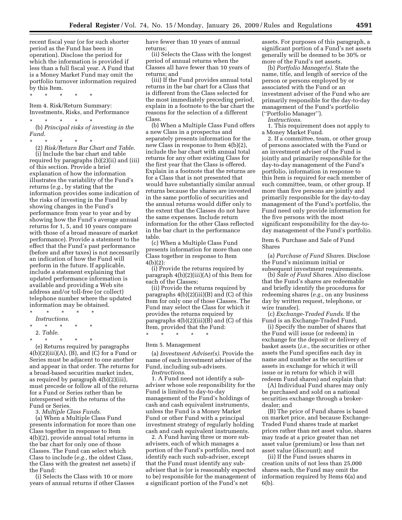recent fiscal year (or for such shorter period as the Fund has been in operation). Disclose the period for which the information is provided if less than a full fiscal year. A Fund that is a Money Market Fund may omit the portfolio turnover information required by this Item.

\* \* \* \* \*

Item 4. Risk/Return Summary: Investments, Risks, and Performance

\* \* \* \* \* (b) *Principal risks of investing in the Fund*.

\* \* \* \* \*

(2) *Risk/Return Bar Chart and Table*. (i) Include the bar chart and table required by paragraphs (b)(2)(ii) and (iii) of this section. Provide a brief explanation of how the information illustrates the variability of the Fund's returns (*e.g.*, by stating that the information provides some indication of the risks of investing in the Fund by showing changes in the Fund's performance from year to year and by showing how the Fund's average annual returns for 1, 5, and 10 years compare with those of a broad measure of market performance). Provide a statement to the effect that the Fund's past performance (before and after taxes) is not necessarily an indication of how the Fund will perform in the future. If applicable, include a statement explaining that updated performance information is available and providing a Web site address and/or toll-free (or collect) telephone number where the updated information may be obtained.

- \* \* \* \* \* *Instructions*. \* \* \* \* \* 2. *Table*.
- \* \* \* \* \*

(e) Returns required by paragraphs  $4(b)(2)(iii)(A), (B),$  and  $(C)$  for a Fund or Series must be adjacent to one another and appear in that order. The returns for a broad-based securities market index, as required by paragraph 4(b)(2)(iii), must precede or follow all of the returns for a Fund or Series rather than be interspersed with the returns of the Fund or Series.

3. *Multiple Class Funds*.

(a) When a Multiple Class Fund presents information for more than one Class together in response to Item 4(b)(2), provide annual total returns in the bar chart for only one of those Classes. The Fund can select which Class to include (*e.g.*, the oldest Class, the Class with the greatest net assets) if the Fund:

(i) Selects the Class with 10 or more years of annual returns if other Classes have fewer than 10 years of annual returns;

(ii) Selects the Class with the longest period of annual returns when the Classes all have fewer than 10 years of returns; and

(iii) If the Fund provides annual total returns in the bar chart for a Class that is different from the Class selected for the most immediately preceding period, explain in a footnote to the bar chart the reasons for the selection of a different Class.

(b) When a Multiple Class Fund offers a new Class in a prospectus and separately presents information for the new Class in response to Item 4(b)(2), include the bar chart with annual total returns for any other existing Class for the first year that the Class is offered. Explain in a footnote that the returns are for a Class that is not presented that would have substantially similar annual returns because the shares are invested in the same portfolio of securities and the annual returns would differ only to the extent that the Classes do not have the same expenses. Include return information for the other Class reflected in the bar chart in the performance table.

(c) When a Multiple Class Fund presents information for more than one Class together in response to Item 4(b)(2):

(i) Provide the returns required by paragraph 4(b)(2)(iii)(A) of this Item for each of the Classes;

(ii) Provide the returns required by paragraphs 4(b)(2)(iii)(B) and (C) of this Item for only one of those Classes. The Fund may select the Class for which it provides the returns required by paragraphs  $4(b)(2)(iii)(B)$  and  $(C)$  of this Item, provided that the Fund:

#### Item 5. Management

\* \* \* \* \*

(a) *Investment Adviser(s)*. Provide the name of each investment adviser of the Fund, including sub-advisers. *Instructions*.

1. A Fund need not identify a subadviser whose sole responsibility for the Fund is limited to day-to-day management of the Fund's holdings of cash and cash equivalent instruments, unless the Fund is a Money Market Fund or other Fund with a principal investment strategy of regularly holding cash and cash equivalent instruments.

2. A Fund having three or more subadvisers, each of which manages a portion of the Fund's portfolio, need not identify each such sub-adviser, except that the Fund must identify any subadviser that is (or is reasonably expected to be) responsible for the management of a significant portion of the Fund's net

assets. For purposes of this paragraph, a significant portion of a Fund's net assets generally will be deemed to be 30% or more of the Fund's net assets.

(b) *Portfolio Manager(s)*. State the name, title, and length of service of the person or persons employed by or associated with the Fund or an investment adviser of the Fund who are primarily responsible for the day-to-day management of the Fund's portfolio (''Portfolio Manager'').

*Instructions*.

1. This requirement does not apply to a Money Market Fund.

2. If a committee, team, or other group of persons associated with the Fund or an investment adviser of the Fund is jointly and primarily responsible for the day-to-day management of the Fund's portfolio, information in response to this Item is required for each member of such committee, team, or other group. If more than five persons are jointly and primarily responsible for the day-to-day management of the Fund's portfolio, the Fund need only provide information for the five persons with the most significant responsibility for the day-today management of the Fund's portfolio.

Item 6. Purchase and Sale of Fund Shares

(a) *Purchase of Fund Shares*. Disclose the Fund's minimum initial or subsequent investment requirements.

(b) *Sale of Fund Shares*. Also disclose that the Fund's shares are redeemable and briefly identify the procedures for redeeming shares (*e.g.*, on any business day by written request, telephone, or wire transfer).

(c) *Exchange-Traded Funds*. If the Fund is an Exchange-Traded Fund,

(i) Specify the number of shares that the Fund will issue (or redeem) in exchange for the deposit or delivery of basket assets (*i.e.*, the securities or other assets the Fund specifies each day in name and number as the securities or assets in exchange for which it will issue or in return for which it will redeem Fund shares) and explain that:

(A) Individual Fund shares may only be purchased and sold on a national securities exchange through a brokerdealer; and

(B) The price of Fund shares is based on market price, and because Exchange-Traded Fund shares trade at market prices rather than net asset value, shares may trade at a price greater than net asset value (premium) or less than net asset value (discount); and

(ii) If the Fund issues shares in creation units of not less than 25,000 shares each, the Fund may omit the information required by Items 6(a) and 6(b).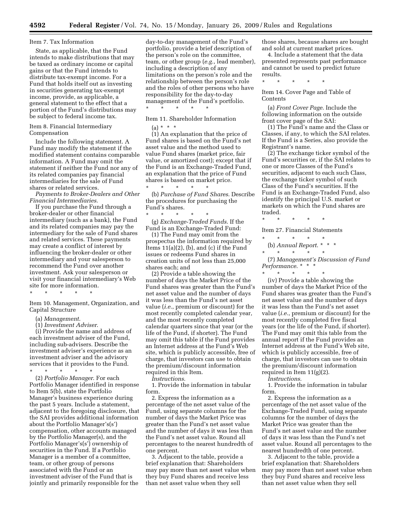# Item 7. Tax Information

State, as applicable, that the Fund intends to make distributions that may be taxed as ordinary income or capital gains or that the Fund intends to distribute tax-exempt income. For a Fund that holds itself out as investing in securities generating tax-exempt income, provide, as applicable, a general statement to the effect that a portion of the Fund's distributions may be subject to federal income tax.

# Item 8. Financial Intermediary Compensation

Include the following statement. A Fund may modify the statement if the modified statement contains comparable information. A Fund may omit the statement if neither the Fund nor any of its related companies pay financial intermediaries for the sale of Fund shares or related services.

*Payments to Broker-Dealers and Other Financial Intermediaries*.

If you purchase the Fund through a broker-dealer or other financial intermediary (such as a bank), the Fund and its related companies may pay the intermediary for the sale of Fund shares and related services. These payments may create a conflict of interest by influencing the broker-dealer or other intermediary and your salesperson to recommend the Fund over another investment. Ask your salesperson or visit your financial intermediary's Web site for more information.

Item 10. Management, Organization, and Capital Structure

(a) *Management*.

\* \* \* \* \*

(1) *Investment Adviser*.

(i) Provide the name and address of each investment adviser of the Fund, including sub-advisers. Describe the investment adviser's experience as an investment adviser and the advisory services that it provides to the Fund.

\* \* \* \* \* (2) *Portfolio Manager*. For each Portfolio Manager identified in response to Item 5(b), state the Portfolio Manager's business experience during the past 5 years. Include a statement, adjacent to the foregoing disclosure, that the SAI provides additional information about the Portfolio Manager's(s') compensation, other accounts managed by the Portfolio Manager(s), and the Portfolio Manager's(s') ownership of securities in the Fund. If a Portfolio Manager is a member of a committee, team, or other group of persons associated with the Fund or an investment adviser of the Fund that is jointly and primarily responsible for the

day-to-day management of the Fund's portfolio, provide a brief description of the person's role on the committee, team, or other group (*e.g.*, lead member), including a description of any limitations on the person's role and the relationship between the person's role and the roles of other persons who have responsibility for the day-to-day management of the Fund's portfolio. \* \* \* \* \*

Item 11. Shareholder Information

 $(a) * * * *$ (1) An explanation that the price of

Fund shares is based on the Fund's net asset value and the method used to value Fund shares (market price, fair value, or amortized cost); except that if the Fund is an Exchange-Traded Fund, an explanation that the price of Fund shares is based on market price.

\* \* \* \* \* (b) *Purchase of Fund Shares*. Describe the procedures for purchasing the Fund's shares.

\* \* \* \* \* (g) *Exchange-Traded Funds*. If the Fund is an Exchange-Traded Fund:

(1) The Fund may omit from the prospectus the information required by Items  $11(a)(2)$ , (b), and (c) if the Fund issues or redeems Fund shares in creation units of not less than 25,000 shares each; and

(2) Provide a table showing the number of days the Market Price of the Fund shares was greater than the Fund's net asset value and the number of days it was less than the Fund's net asset value (*i.e.*, premium or discount) for the most recently completed calendar year, and the most recently completed calendar quarters since that year (or the life of the Fund, if shorter). The Fund may omit this table if the Fund provides an Internet address at the Fund's Web site, which is publicly accessible, free of charge, that investors can use to obtain the premium/discount information required in this Item.

*Instructions*.

1. Provide the information in tabular form.

2. Express the information as a percentage of the net asset value of the Fund, using separate columns for the number of days the Market Price was greater than the Fund's net asset value and the number of days it was less than the Fund's net asset value. Round all percentages to the nearest hundredth of one percent.

3. Adjacent to the table, provide a brief explanation that: Shareholders may pay more than net asset value when they buy Fund shares and receive less than net asset value when they sell

those shares, because shares are bought and sold at current market prices.

4. Include a statement that the data presented represents past performance and cannot be used to predict future results.

\* \* \* \* \*

Item 14. Cover Page and Table of Contents

(a) *Front Cover Page*. Include the following information on the outside front cover page of the SAI:

(1) The Fund's name and the Class or Classes, if any, to which the SAI relates. If the Fund is a Series, also provide the Registrant's name.

(2) The exchange ticker symbol of the Fund's securities or, if the SAI relates to one or more Classes of the Fund's securities, adjacent to each such Class, the exchange ticker symbol of such Class of the Fund's securities. If the Fund is an Exchange-Traded Fund, also identify the principal U.S. market or markets on which the Fund shares are traded.

\* \* \* \* \*

Item 27. Financial Statements

- \* \* \* \* \*
- (b) *Annual Report*. \* \* \*
- \* \* \* \* \*

(7) *Management's Discussion of Fund Performance*. \* \* \*  $\star$   $\star$ 

(iv) Provide a table showing the number of days the Market Price of the Fund shares was greater than the Fund's net asset value and the number of days it was less than the Fund's net asset value (*i.e.*, premium or discount) for the most recently completed five fiscal years (or the life of the Fund, if shorter). The Fund may omit this table from the annual report if the Fund provides an Internet address at the Fund's Web site, which is publicly accessible, free of charge, that investors can use to obtain the premium/discount information required in Item 11(g)(2).

*Instructions*.

1. Provide the information in tabular form.

2. Express the information as a percentage of the net asset value of the Exchange-Traded Fund, using separate columns for the number of days the Market Price was greater than the Fund's net asset value and the number of days it was less than the Fund's net asset value. Round all percentages to the nearest hundredth of one percent.

3. Adjacent to the table, provide a brief explanation that: Shareholders may pay more than net asset value when they buy Fund shares and receive less than net asset value when they sell